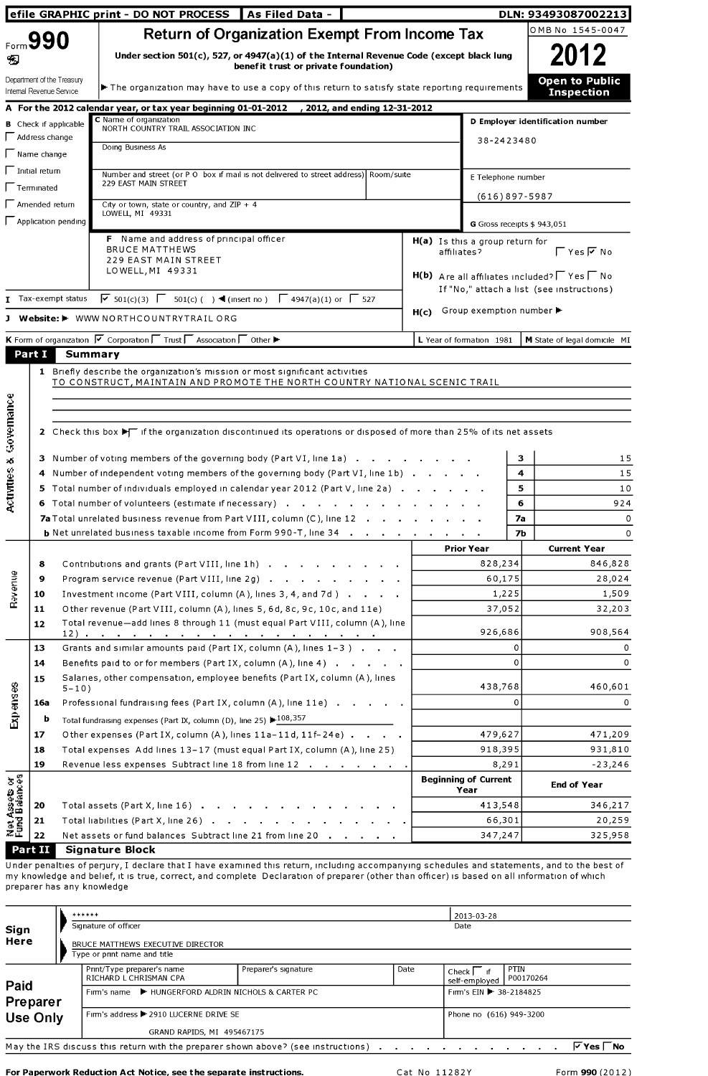|                                                                                |                                                        | <b>efile GRAPHIC print - DO NOT PROCESS</b><br>As Filed Data -                                                                                                    |             |                                      | DLN: 93493087002213                                          |
|--------------------------------------------------------------------------------|--------------------------------------------------------|-------------------------------------------------------------------------------------------------------------------------------------------------------------------|-------------|--------------------------------------|--------------------------------------------------------------|
|                                                                                |                                                        | <b>Return of Organization Exempt From Income Tax</b>                                                                                                              |             |                                      | OMB No 1545-0047                                             |
| 9                                                                              | Form 990                                               | Under section 501(c), 527, or 4947(a)(1) of the Internal Revenue Code (except black lung<br>benefit trust or private foundation)                                  |             |                                      | 2012                                                         |
|                                                                                | Department of the Treasury<br>Internal Revenue Service | The organization may have to use a copy of this return to satisfy state reporting requirements                                                                    |             |                                      | <b>Open to Public</b><br><b>Inspection</b>                   |
|                                                                                |                                                        | A For the 2012 calendar year, or tax year beginning 01-01-2012 , 2012, and ending 12-31-2012                                                                      |             |                                      |                                                              |
|                                                                                | <b>B</b> Check if applicable                           | C Name of organization<br>NORTH COUNTRY TRAIL ASSOCIATION INC                                                                                                     |             |                                      | D Employer identification number                             |
|                                                                                | $\Box$ Address change                                  | Doing Business As                                                                                                                                                 |             | 38-2423480                           |                                                              |
|                                                                                | $\sqrt{\phantom{a}}$ Name change                       |                                                                                                                                                                   |             |                                      |                                                              |
|                                                                                | $\sqrt{\phantom{a}}$ Initial return                    | Number and street (or P O box if mail is not delivered to street address) Room/suite<br>229 EAST MAIN STREET                                                      |             | E Telephone number                   |                                                              |
|                                                                                | Terminated                                             |                                                                                                                                                                   |             | $(616)897 - 5987$                    |                                                              |
|                                                                                | $\Box$ Amended return                                  | City or town, state or country, and $ZIP + 4$<br>LOWELL, MI 49331                                                                                                 |             |                                      |                                                              |
|                                                                                |                                                        | $\Box$ Application pending                                                                                                                                        |             | G Gross receipts \$943,051           |                                                              |
|                                                                                |                                                        | F Name and address of principal officer<br><b>BRUCE MATTHEWS</b>                                                                                                  | affiliates? | H(a) Is this a group return for      | $\Gamma$ Yes $\overline{V}$ No                               |
|                                                                                |                                                        | 229 EAST MAIN STREET                                                                                                                                              |             |                                      |                                                              |
|                                                                                |                                                        | LOWELL, MI 49331                                                                                                                                                  |             |                                      | $H(b)$ Are all affiliates included? $\Gamma$ Yes $\Gamma$ No |
|                                                                                |                                                        | $\overline{V}$ 501(c)(3) $\overline{V}$ 501(c)( ) ◀ (insert no) $\overline{V}$ 4947(a)(1) or $\overline{V}$ 527<br>Tax-exempt status                              |             |                                      | If "No," attach a list (see instructions)                    |
|                                                                                |                                                        | Website: I WWW NORTHCOUNTRYTRAIL ORG                                                                                                                              | H(c)        | Group exemption number ▶             |                                                              |
|                                                                                |                                                        |                                                                                                                                                                   |             |                                      |                                                              |
|                                                                                | Part I                                                 | K Form of organization V Corporation IT Trust IT Association IT Other<br><b>Summary</b>                                                                           |             | L Year of formation 1981             | M State of legal domicile MI                                 |
|                                                                                |                                                        |                                                                                                                                                                   |             |                                      |                                                              |
|                                                                                |                                                        | 2 Check this box $\blacktriangleright$ if the organization discontinued its operations or disposed of more than 25% of its net assets                             |             |                                      |                                                              |
|                                                                                |                                                        |                                                                                                                                                                   |             |                                      |                                                              |
|                                                                                |                                                        | 3 Number of voting members of the governing body (Part VI, line 1a)                                                                                               |             |                                      | з<br>4                                                       |
|                                                                                |                                                        | 4 Number of independent voting members of the governing body (Part VI, line 1b)<br>5 Total number of individuals employed in calendar year 2012 (Part V, line 2a) |             |                                      | 15<br>15<br>5<br>10                                          |
|                                                                                |                                                        | 6 Total number of volunteers (estimate if necessary)                                                                                                              |             |                                      | 6<br>924                                                     |
|                                                                                |                                                        | 7a Total unrelated business revenue from Part VIII, column (C), line 12                                                                                           |             |                                      | <b>7a</b><br>0                                               |
|                                                                                |                                                        | <b>b</b> Net unrelated business taxable income from Form 990-T, line 34                                                                                           |             |                                      | 7Ь<br>0                                                      |
|                                                                                |                                                        |                                                                                                                                                                   |             | <b>Prior Year</b>                    | <b>Current Year</b>                                          |
|                                                                                | 8                                                      | Contributions and grants (Part VIII, line 1h)                                                                                                                     |             | 828,234                              | 846,828                                                      |
|                                                                                | 9                                                      | Program service revenue (Part VIII, line 2g)                                                                                                                      |             | 60,175                               | 28,024                                                       |
| Revenue                                                                        | 10                                                     | Investment income (Part VIII, column (A), lines 3, 4, and 7d)                                                                                                     |             | 1,225                                | 1,509                                                        |
|                                                                                | 11<br>12                                               | Other revenue (Part VIII, column (A), lines 5, 6d, 8c, 9c, 10c, and 11e)<br>Total revenue-add lines 8 through 11 (must equal Part VIII, column (A), line          |             | 37,052                               | 32,203                                                       |
|                                                                                |                                                        |                                                                                                                                                                   |             | 926,686                              | 908,564                                                      |
|                                                                                | 13                                                     | Grants and similar amounts paid (Part IX, column $(A)$ , lines $1-3$ ).                                                                                           |             | 0                                    | 0                                                            |
|                                                                                | 14                                                     | Benefits paid to or for members (Part IX, column (A), line 4)                                                                                                     |             | 0                                    | 0                                                            |
|                                                                                | 15                                                     | Salaries, other compensation, employee benefits (Part IX, column (A), lines<br>$5 - 10$ )                                                                         |             | 438,768                              | 460,601                                                      |
|                                                                                | 16a                                                    | Professional fundraising fees (Part IX, column (A), line 11e)                                                                                                     |             | $\Omega$                             | 0                                                            |
| Expenses                                                                       | b                                                      | Total fundraising expenses (Part IX, column (D), line 25) $\blacktriangleright$ 108,357                                                                           |             |                                      |                                                              |
|                                                                                | 17                                                     | Other expenses (Part IX, column (A), lines 11a-11d, 11f-24e)                                                                                                      |             | 479,627                              | 471,209                                                      |
|                                                                                | 18                                                     | Total expenses Add lines 13-17 (must equal Part IX, column (A), line 25)                                                                                          |             | 918,395                              | 931,810                                                      |
|                                                                                | 19                                                     | Revenue less expenses Subtract line 18 from line 12                                                                                                               |             | 8,291<br><b>Beginning of Current</b> | $-23,246$<br><b>End of Year</b>                              |
|                                                                                |                                                        |                                                                                                                                                                   |             | Year                                 |                                                              |
| w                                                                              | 20<br>21                                               | Total assets (Part X, line 16)<br>Total liabilities (Part X, line 26)                                                                                             |             | 413,548<br>66,301                    | 346,217<br>20,259                                            |
| Governance<br>$\lambda_{\rm s}$<br>Activitie<br>Net Assets or<br>Fund Balances | 22                                                     | Net assets or fund balances Subtract line 21 from line 20                                                                                                         |             | 347,247                              | 325,958                                                      |

my knowledge and belief, it is true, correct, and complete Declaration of preparer (other than officer) is based on all information of which<br>preparer has any knowledge

| Sign<br>Here     |  | ******<br>Signature of officer<br>BRUCE MATTHEWS EXECUTIVE DIRECTOR<br>Type or print name and title |                         |      | 2013-03-28<br>Date           |                                 |
|------------------|--|-----------------------------------------------------------------------------------------------------|-------------------------|------|------------------------------|---------------------------------|
|                  |  | Print/Type preparer's name<br>RICHARD L CHRISMAN CPA                                                | Preparer's signature    | Date | Check I<br>self-employed     | PTIN<br>P00170264               |
| Paid<br>Preparer |  | Firm's name ► HUNGERFORD ALDRIN NICHOLS & CARTER PC                                                 |                         |      | Firm's EIN <b>38-2184825</b> |                                 |
| Use Only         |  | Firm's address ▶ 2910 LUCERNE DRIVE SE                                                              | Phone no (616) 949-3200 |      |                              |                                 |
|                  |  | GRAND RAPIDS, MI 495467175                                                                          |                         |      |                              |                                 |
|                  |  | May the IRS discuss this return with the preparer shown above? (see instructions).                  |                         |      |                              | $\triangledown$ Yes $\sqcap$ No |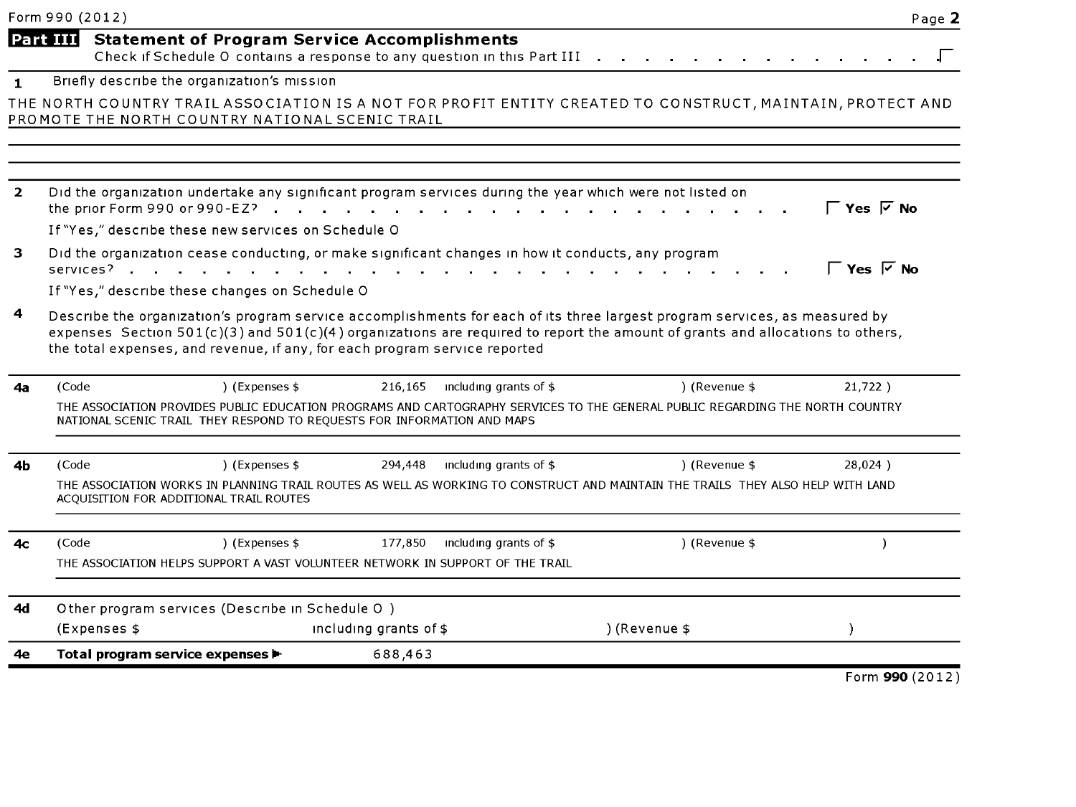|                | Form 990 (2012) |                                                                                                                                           |                        |                        |                                                                                                                                                                                                                                                             | Page 2                         |
|----------------|-----------------|-------------------------------------------------------------------------------------------------------------------------------------------|------------------------|------------------------|-------------------------------------------------------------------------------------------------------------------------------------------------------------------------------------------------------------------------------------------------------------|--------------------------------|
|                | Part III        | <b>Statement of Program Service Accomplishments</b><br>Check if Schedule O contains a response to any question in this Part III .         |                        |                        |                                                                                                                                                                                                                                                             |                                |
| $\blacksquare$ |                 | Briefly describe the organization's mission                                                                                               |                        |                        |                                                                                                                                                                                                                                                             |                                |
|                |                 | PROMOTE THE NORTH COUNTRY NATIONAL SCENIC TRAIL                                                                                           |                        |                        | THE NORTH COUNTRY TRAIL ASSOCIATION IS A NOT FOR PROFIT ENTITY CREATED TO CONSTRUCT, MAINTAIN, PROTECT AND                                                                                                                                                  |                                |
| $\overline{2}$ |                 | Did the organization undertake any significant program services during the year which were not listed on<br>the prior Form 990 or 990-EZ? |                        |                        |                                                                                                                                                                                                                                                             |                                |
|                |                 | If "Yes," describe these new services on Schedule O                                                                                       |                        |                        |                                                                                                                                                                                                                                                             |                                |
| 3              |                 | Did the organization cease conducting, or make significant changes in how it conducts, any program<br>services?                           |                        |                        |                                                                                                                                                                                                                                                             | $\Gamma$ Yes $\overline{V}$ No |
|                |                 | If "Yes," describe these changes on Schedule O                                                                                            |                        |                        |                                                                                                                                                                                                                                                             |                                |
| 4              |                 | the total expenses, and revenue, if any, for each program service reported                                                                |                        |                        | Describe the organization's program service accomplishments for each of its three largest program services, as measured by<br>expenses Section 501(c)(3) and 501(c)(4) organizations are required to report the amount of grants and allocations to others, |                                |
| 4а             | (Code           | ) (Expenses \$                                                                                                                            | 216,165                | including grants of \$ | ) (Revenue \$                                                                                                                                                                                                                                               | $21.722$ )                     |
|                |                 | NATIONAL SCENIC TRAIL THEY RESPOND TO REQUESTS FOR INFORMATION AND MAPS                                                                   |                        |                        | THE ASSOCIATION PROVIDES PUBLIC EDUCATION PROGRAMS AND CARTOGRAPHY SERVICES TO THE GENERAL PUBLIC REGARDING THE NORTH COUNTRY                                                                                                                               |                                |
| 4b             | (Code           | ) (Expenses \$                                                                                                                            | 294,448                | including grants of \$ | ) (Revenue \$                                                                                                                                                                                                                                               | 28,024)                        |
|                |                 | ACQUISITION FOR ADDITIONAL TRAIL ROUTES                                                                                                   |                        |                        | THE ASSOCIATION WORKS IN PLANNING TRAIL ROUTES AS WELL AS WORKING TO CONSTRUCT AND MAINTAIN THE TRAILS THEY ALSO HELP WITH LAND                                                                                                                             |                                |
| 4с             | (Code           | ) (Expenses \$                                                                                                                            | 177,850                | including grants of \$ | ) (Revenue \$                                                                                                                                                                                                                                               |                                |
|                |                 | THE ASSOCIATION HELPS SUPPORT A VAST VOLUNTEER NETWORK IN SUPPORT OF THE TRAIL                                                            |                        |                        |                                                                                                                                                                                                                                                             |                                |
| 4d             |                 | Other program services (Describe in Schedule O)                                                                                           |                        |                        |                                                                                                                                                                                                                                                             |                                |
|                |                 | (Expenses \$                                                                                                                              | including grants of \$ |                        | ) (Revenue \$                                                                                                                                                                                                                                               |                                |
| 4e             |                 | Total program service expenses $\blacktriangleright$                                                                                      | 688,463                |                        |                                                                                                                                                                                                                                                             |                                |
|                |                 |                                                                                                                                           |                        |                        |                                                                                                                                                                                                                                                             | Form 990 (2012)                |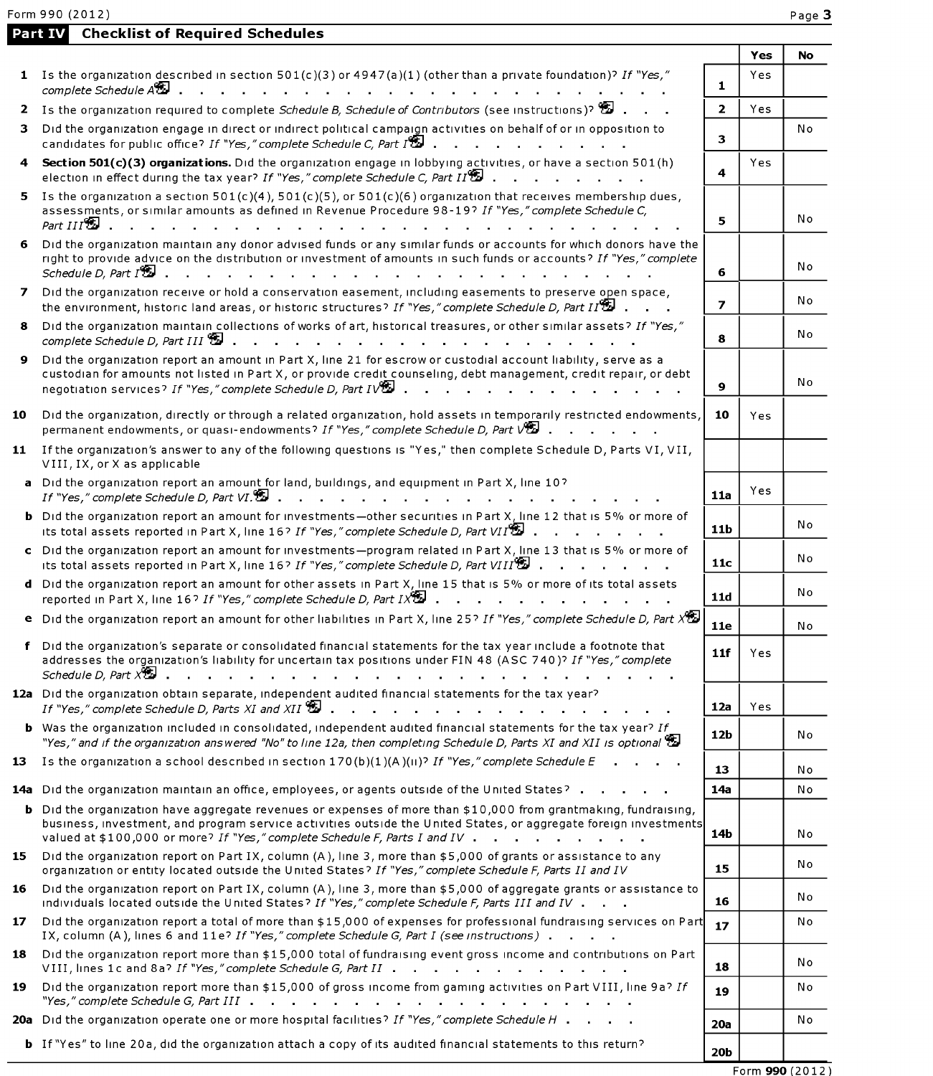| Form 990 (2012)                                                                                   |  |  |  |  |  |  |  |  |  |  |
|---------------------------------------------------------------------------------------------------|--|--|--|--|--|--|--|--|--|--|
| <b>Part IV</b> Checklist of Required Schedules                                                    |  |  |  |  |  |  |  |  |  |  |
| 1 Is the organization described in section $501(c)(3)$ or $4947(a)(1)$ (other than a private four |  |  |  |  |  |  |  |  |  |  |

|--|--|

|    |                                                                                                                                                                                                                                                                                                                                                                                                    |                 | Yes | No  |
|----|----------------------------------------------------------------------------------------------------------------------------------------------------------------------------------------------------------------------------------------------------------------------------------------------------------------------------------------------------------------------------------------------------|-----------------|-----|-----|
|    | 1 Is the organization described in section $501(c)(3)$ or $4947(a)(1)$ (other than a private foundation)? If "Yes,"<br>complete Schedule At                                                                                                                                                                                                                                                        | $\mathbf{1}$    | Yes |     |
|    | 2 Is the organization required to complete Schedule B, Schedule of Contributors (see instructions)?                                                                                                                                                                                                                                                                                                | $\mathbf{2}$    | Yes |     |
| з. | Did the organization engage in direct or indirect political campaign activities on behalf of or in opposition to<br>candidates for public office? If "Yes," complete Schedule C, Part $I^{\bigcirc\!\!\!A}$ .                                                                                                                                                                                      | 3.              |     | N o |
| 4  | Section 501(c)(3) organizations. Did the organization engage in lobbying activities, or have a section 501(h)<br>election in effect during the tax year? If "Yes," complete Schedule C, Part $II^{(2)}$                                                                                                                                                                                            | 4               | Yes |     |
| 5. | Is the organization a section $501(c)(4)$ , $501(c)(5)$ , or $501(c)(6)$ organization that receives membership dues,<br>assessments, or similar amounts as defined in Revenue Procedure 98-19? If "Yes," complete Schedule C,<br>Part $III$ <sup>o</sup>                                                                                                                                           | 5               |     | No  |
| 6  | Did the organization maintain any donor advised funds or any similar funds or accounts for which donors have the<br>right to provide advice on the distribution or investment of amounts in such funds or accounts? If "Yes," complete<br>Schedule D, Part $I^{\bigcircledast}$<br>the contract of the contract of the contract of the contract of the contract of the contract of the contract of | 6               |     | No  |
| 7  | Did the organization receive or hold a conservation easement, including easements to preserve open space,<br>the environment, historic land areas, or historic structures? If "Yes," complete Schedule D, Part II                                                                                                                                                                                  | $\overline{ }$  |     | N o |
| 8. | Did the organization maintain collections of works of art, historical treasures, or other similar assets? If "Yes,"<br>complete Schedule D, Part III $\mathbb S$                                                                                                                                                                                                                                   | 8               |     | No  |
| 9. | Did the organization report an amount in Part X, line 21 for escrow or custodial account liability, serve as a<br>custodian for amounts not listed in Part X, or provide credit counseling, debt management, credit repair, or debt<br>negotiation services? If "Yes," complete Schedule D, Part IV                                                                                                | 9               |     | No  |
| 10 | Did the organization, directly or through a related organization, hold assets in temporarily restricted endowments,<br>permanent endowments, or quasi-endowments? If "Yes," complete Schedule D, Part VE .                                                                                                                                                                                         | 10              | Yes |     |
|    | 11 If the organization's answer to any of the following questions is "Yes," then complete Schedule D, Parts VI, VII,<br>VIII, IX, or X as applicable                                                                                                                                                                                                                                               |                 |     |     |
|    | a Did the organization report an amount for land, buildings, and equipment in Part X, line 10?<br>If "Yes," complete Schedule D, Part VI.                                                                                                                                                                                                                                                          | 11a             | Yes |     |
|    | <b>b</b> Did the organization report an amount for investments-other securities in Part X, line 12 that is 5% or more of<br>its total assets reported in Part X, line 16? If "Yes," complete Schedule D, Part VII <sup>9</sup>                                                                                                                                                                     | 11b             |     | No  |
|    | c Did the organization report an amount for investments-program related in Part X, line 13 that is 5% or more of<br>its total assets reported in Part X, line 16? If "Yes," complete Schedule D, Part VIII                                                                                                                                                                                         | 11c             |     | No  |
|    | d Did the organization report an amount for other assets in Part X, line 15 that is 5% or more of its total assets<br>reported in Part X, line 16? If "Yes," complete Schedule D, Part $1X$                                                                                                                                                                                                        | 11d             |     | No  |
| е  | Did the organization report an amount for other liabilities in Part X, line 25? If "Yes," complete Schedule D, Part $X$                                                                                                                                                                                                                                                                            | <b>11e</b>      |     | No  |
|    | Did the organization's separate or consolidated financial statements for the tax year include a footnote that<br>addresses the organization's liability for uncertain tax positions under FIN 48 (ASC 740)? If "Yes," complete                                                                                                                                                                     | 11f             | Yes |     |
|    | 12a Did the organization obtain separate, independent audited financial statements for the tax year?<br>If "Yes," complete Schedule D, Parts XI and XII $\Sigma$ .<br>and the state of the state of the state of                                                                                                                                                                                   | 12a             | Yes |     |
|    | <b>b</b> Was the organization included in consolidated, independent audited financial statements for the tax year? If<br>"Yes," and if the organization answered "No" to line 12a, then completing Schedule D, Parts XI and XII is optional $\mathbb{S}$                                                                                                                                           | 12 <sub>b</sub> |     | No  |
| 13 | Is the organization a school described in section $170(b)(1)(A)(ii)^7$ If "Yes," complete Schedule E                                                                                                                                                                                                                                                                                               | 13              |     | No. |
|    | 14a Did the organization maintain an office, employees, or agents outside of the United States?                                                                                                                                                                                                                                                                                                    | 14a             |     | No  |
|    | b Did the organization have aggregate revenues or expenses of more than \$10,000 from grantmaking, fundraising,<br>business, investment, and program service activities outside the United States, or aggregate foreign investments<br>valued at \$100,000 or more? If "Yes," complete Schedule F, Parts I and IV                                                                                  | 14b             |     | No  |
| 15 | Did the organization report on Part IX, column (A), line 3, more than \$5,000 of grants or assistance to any<br>organization or entity located outside the United States? If "Yes," complete Schedule F, Parts II and IV                                                                                                                                                                           | 15              |     | No  |
| 16 | Did the organization report on Part IX, column (A), line 3, more than \$5,000 of aggregate grants or assistance to<br>individuals located outside the United States? If "Yes," complete Schedule F, Parts III and IV                                                                                                                                                                               | 16              |     | No  |
| 17 | Did the organization report a total of more than \$15,000 of expenses for professional fundraising services on Part<br>IX, column (A), lines 6 and 11e? If "Yes," complete Schedule G, Part I (see instructions)                                                                                                                                                                                   | 17              |     | No  |
| 18 | Did the organization report more than \$15,000 total of fundraising event gross income and contributions on Part<br>VIII, lines 1c and 8a? If "Yes," complete Schedule G, Part II                                                                                                                                                                                                                  | 18              |     | No  |
| 19 | Did the organization report more than \$15,000 of gross income from gaming activities on Part VIII, line 9a? If<br>"Yes," complete Schedule G, Part III $\cdots$ , $\cdots$ , $\cdots$ , $\cdots$ , $\cdots$ , $\cdots$ , $\cdots$ , $\cdots$                                                                                                                                                      | 19              |     | Νo  |
|    | <b>20a</b> Did the organization operate one or more hospital facilities? If "Yes," complete Schedule H                                                                                                                                                                                                                                                                                             | 20a             |     | No  |
|    | <b>b</b> If "Yes" to line 20a, did the organization attach a copy of its audited financial statements to this return?                                                                                                                                                                                                                                                                              | 20 <sub>b</sub> |     |     |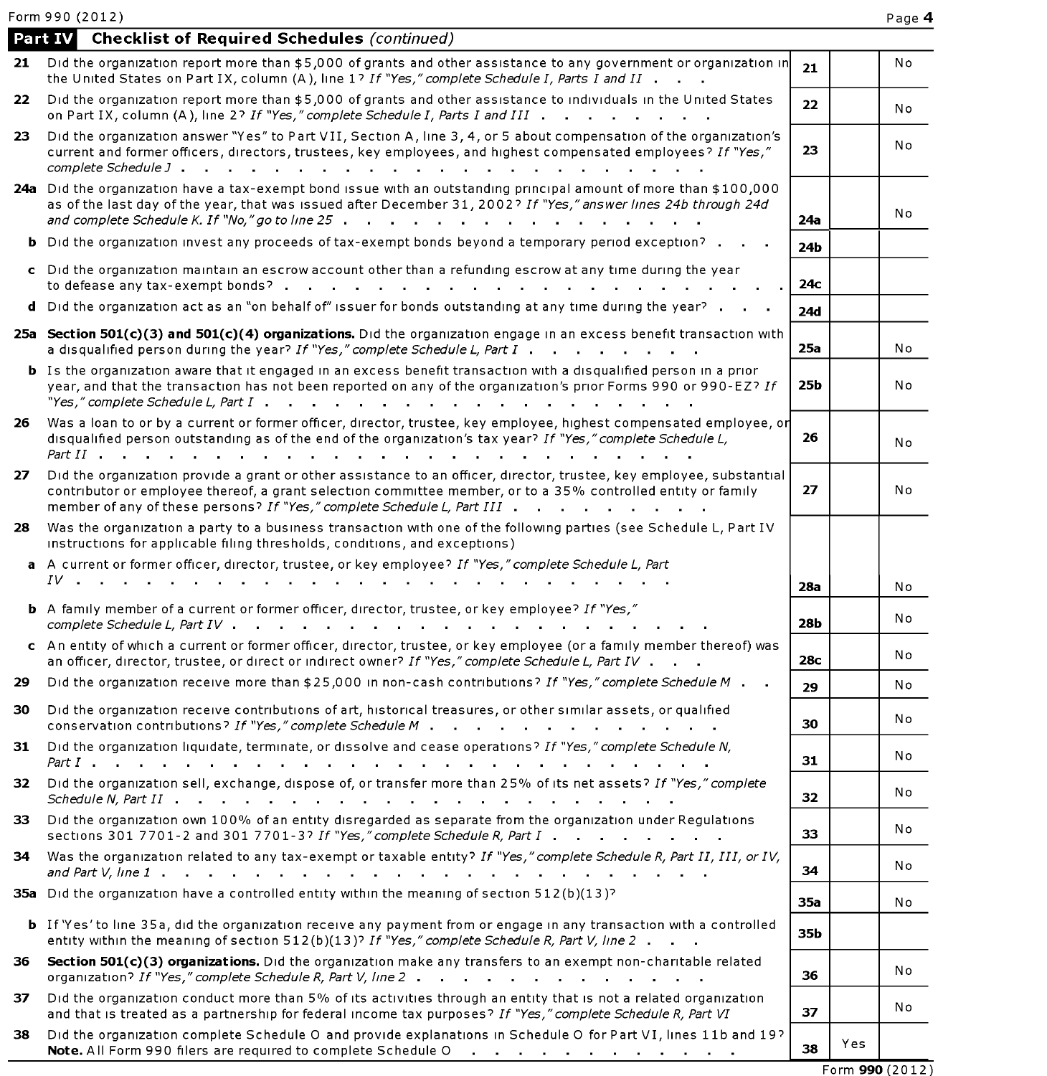Form 990 (2012) Page 4 **Page 4 Page 4** 

|     | <b>Part IV</b> Checklist of Required Schedules (continued)                                                                                                                                                                                                                                                                                                         |     |     |                 |
|-----|--------------------------------------------------------------------------------------------------------------------------------------------------------------------------------------------------------------------------------------------------------------------------------------------------------------------------------------------------------------------|-----|-----|-----------------|
| 21  | Did the organization report more than \$5,000 of grants and other assistance to any government or organization in<br>the United States on Part IX, column (A), line 1? If "Yes," complete Schedule I, Parts I and II                                                                                                                                               | 21  |     | No              |
| 22  | Did the organization report more than \$5,000 of grants and other assistance to individuals in the United States<br>on Part IX, column (A), line 2? If "Yes," complete Schedule I, Parts I and III                                                                                                                                                                 | 22  |     | No              |
| 23. | Did the organization answer "Yes" to Part VII, Section A, line 3, 4, or 5 about compensation of the organization's<br>current and former officers, directors, trustees, key employees, and highest compensated employees? If "Yes,"                                                                                                                                | 23  |     | Νo              |
|     | 24a Did the organization have a tax-exempt bond issue with an outstanding principal amount of more than \$100,000<br>as of the last day of the year, that was issued after December 31, 2002? If "Yes," answer lines 24b through 24d<br>and complete Schedule K. If "No," go to line 25 $\ldots$ , $\ldots$ , $\ldots$ , $\ldots$ , $\ldots$ , $\ldots$ , $\ldots$ | 24a |     | No              |
|     | <b>b</b> Did the organization invest any proceeds of tax-exempt bonds beyond a temporary period exception?                                                                                                                                                                                                                                                         | 24b |     |                 |
|     | c Did the organization maintain an escrow account other than a refunding escrow at any time during the year                                                                                                                                                                                                                                                        | 24с |     |                 |
| d   | Did the organization act as an "on behalf of" issuer for bonds outstanding at any time during the year?                                                                                                                                                                                                                                                            | 24d |     |                 |
|     | 25a Section 501(c)(3) and 501(c)(4) organizations. Did the organization engage in an excess benefit transaction with<br>a disqualified person during the year? If "Yes," complete Schedule L, Part I                                                                                                                                                               | 25a |     | No              |
|     | <b>b</b> Is the organization aware that it engaged in an excess benefit transaction with a disqualified person in a prior<br>year, and that the transaction has not been reported on any of the organization's prior Forms 990 or 990-EZ? If                                                                                                                       | 25b |     | No              |
| 26. | Was a loan to or by a current or former officer, director, trustee, key employee, highest compensated employee, or<br>disqualified person outstanding as of the end of the organization's tax year? If "Yes," complete Schedule L,                                                                                                                                 | 26  |     | No              |
| 27  | Did the organization provide a grant or other assistance to an officer, director, trustee, key employee, substantial<br>contributor or employee thereof, a grant selection committee member, or to a 35% controlled entity or family<br>member of any of these persons? If "Yes," complete Schedule L, Part III                                                    | 27  |     | No              |
| 28  | Was the organization a party to a business transaction with one of the following parties (see Schedule L, Part IV<br>instructions for applicable filing thresholds, conditions, and exceptions)<br>a A current or former officer, director, trustee, or key employee? If "Yes," complete Schedule L, Part                                                          |     |     |                 |
|     | $IV$ . The set of the set of the set of the set of the set of the set of the set of the set of the set of the set of the set of the set of the set of the set of the set of the set of the set of the set of the set of the se                                                                                                                                     | 28a |     | No              |
|     | <b>b</b> A family member of a current or former officer, director, trustee, or key employee? If "Yes,"                                                                                                                                                                                                                                                             | 28b |     | No              |
|     | c An entity of which a current or former officer, director, trustee, or key employee (or a family member thereof) was<br>an officer, director, trustee, or direct or indirect owner? If "Yes," complete Schedule L, Part IV                                                                                                                                        | 28c |     | No              |
| 29  | Did the organization receive more than \$25,000 in non-cash contributions? If "Yes," complete Schedule M                                                                                                                                                                                                                                                           | 29  |     | N o             |
| 30  | Did the organization receive contributions of art, historical treasures, or other similar assets, or qualified<br>conservation contributions? If "Yes," complete Schedule M                                                                                                                                                                                        | 30  |     | No              |
| 31  | Did the organization liquidate, terminate, or dissolve and cease operations? If "Yes," complete Schedule N,                                                                                                                                                                                                                                                        | 31  |     | No              |
| 32  | Did the organization sell, exchange, dispose of, or transfer more than 25% of its net assets? If "Yes," complete<br>Schedule N, Part $II$ $\cdots$ $\cdots$ $\cdots$ $\cdots$ $\cdots$ $\cdots$ $\cdots$ $\cdots$ $\cdots$ $\cdots$                                                                                                                                | 32  |     | N o             |
| 33  | Did the organization own 100% of an entity disregarded as separate from the organization under Regulations<br>sections 301 7701-2 and 301 7701-3? If "Yes," complete Schedule R, Part I                                                                                                                                                                            | 33  |     | No              |
| 34  | Was the organization related to any tax-exempt or taxable entity? If "Yes," complete Schedule R, Part II, III, or IV,                                                                                                                                                                                                                                              | 34  |     | No              |
|     | 35a Did the organization have a controlled entity within the meaning of section 512(b)(13)?                                                                                                                                                                                                                                                                        | 35a |     | No              |
|     | <b>b</b> If 'Yes' to line 35a, did the organization receive any payment from or engage in any transaction with a controlled<br>entity within the meaning of section 512(b)(13)? If "Yes," complete Schedule R, Part V, line 2                                                                                                                                      | 35b |     |                 |
| 36  | Section 501(c)(3) organizations. Did the organization make any transfers to an exempt non-charitable related<br>organization? If "Yes," complete Schedule R, Part V, line 2                                                                                                                                                                                        | 36  |     | No              |
| 37  | Did the organization conduct more than 5% of its activities through an entity that is not a related organization<br>and that is treated as a partnership for federal income tax purposes? If "Yes," complete Schedule R, Part VI                                                                                                                                   | 37  |     | No              |
| 38  | Did the organization complete Schedule O and provide explanations in Schedule O for Part VI, lines 11b and 19?<br>Note. All Form 990 filers are required to complete Schedule O<br>the contract of the contract of the contract of the                                                                                                                             | 38  | Yes |                 |
|     |                                                                                                                                                                                                                                                                                                                                                                    |     |     | Form 990 (2012) |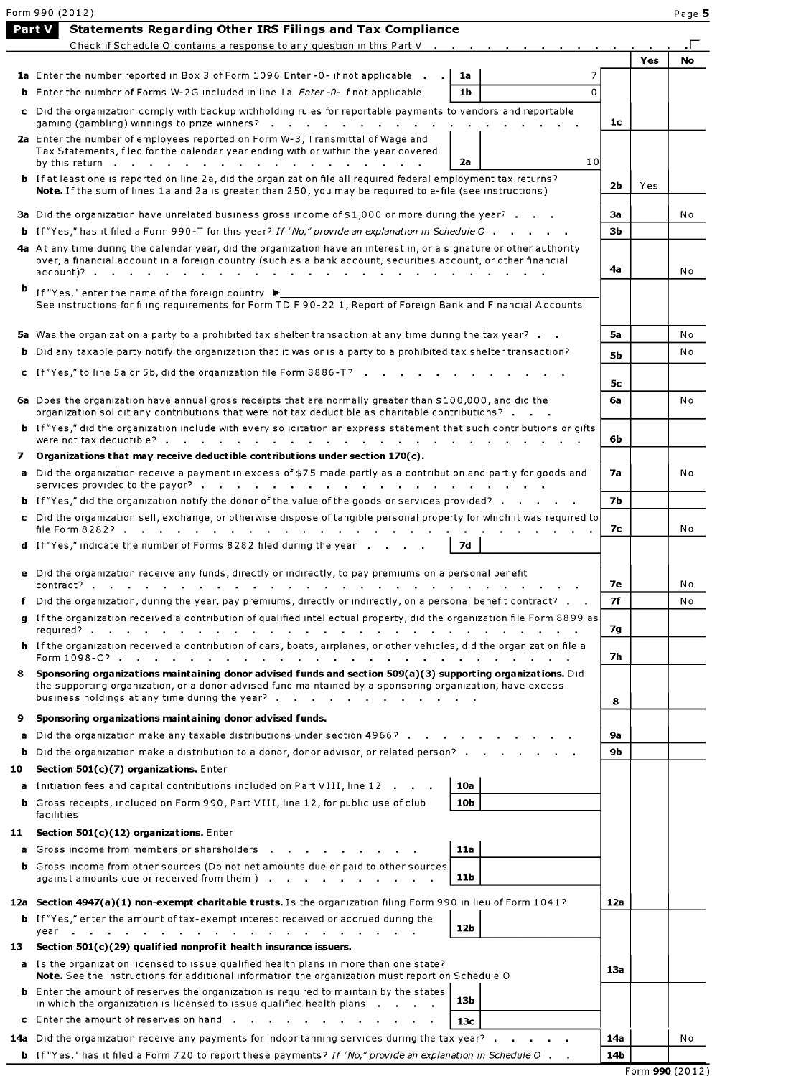|     | Form 990 (2012)<br>Part V<br><b>Statements Regarding Other IRS Filings and Tax Compliance</b>                                                                                                                                                                                                                                           |                |     | Page 5    |
|-----|-----------------------------------------------------------------------------------------------------------------------------------------------------------------------------------------------------------------------------------------------------------------------------------------------------------------------------------------|----------------|-----|-----------|
|     | Check if Schedule O contains a response to any question in this Part V                                                                                                                                                                                                                                                                  |                |     |           |
|     |                                                                                                                                                                                                                                                                                                                                         |                | Yes | <b>No</b> |
|     | 1a Enter the number reported in Box 3 of Form 1096 Enter -0- if not applicable<br>1a                                                                                                                                                                                                                                                    |                |     |           |
|     | <b>b</b> Enter the number of Forms W-2G included in line 1a <i>Enter -0-</i> if not applicable<br>1 <sub>b</sub><br>$\Omega$                                                                                                                                                                                                            |                |     |           |
|     | c Did the organization comply with backup withholding rules for reportable payments to vendors and reportable<br>gaming (gambling) winnings to prize winners?                                                                                                                                                                           | 1c             |     |           |
|     | 2a Enter the number of employees reported on Form W-3, Transmittal of Wage and<br>Tax Statements, filed for the calendar year ending with or within the year covered<br>10<br>2a<br>by this return<br>and the state of the state of the                                                                                                 |                |     |           |
|     | <b>b</b> If at least one is reported on line 2a, did the organization file all required federal employment tax returns?<br>Note. If the sum of lines 1a and 2a is greater than 250, you may be required to e-file (see instructions)                                                                                                    | 2b             | Yes |           |
|     | 3a Did the organization have unrelated business gross income of \$1,000 or more during the year?                                                                                                                                                                                                                                        | За             |     | No        |
|     | <b>b</b> If "Yes," has it filed a Form 990-T for this year? If "No," provide an explanation in Schedule O                                                                                                                                                                                                                               | 3b             |     |           |
|     | 4a At any time during the calendar year, did the organization have an interest in, or a signature or other authority<br>over, a financial account in a foreign country (such as a bank account, securities account, or other financial                                                                                                  | 4а             |     | No        |
| Þ   | If "Yes," enter the name of the foreign country ▶<br>See instructions for filing requirements for Form TD F 90-22 1, Report of Foreign Bank and Financial Accounts                                                                                                                                                                      |                |     |           |
|     | 5a Was the organization a party to a prohibited tax shelter transaction at any time during the tax year?                                                                                                                                                                                                                                | 5а             |     | N o       |
|     | <b>b</b> Did any taxable party notify the organization that it was or is a party to a prohibited tax shelter transaction?                                                                                                                                                                                                               | 5b             |     | No        |
|     | c If "Yes," to line 5a or 5b, did the organization file Form 8886-T?                                                                                                                                                                                                                                                                    |                |     |           |
|     |                                                                                                                                                                                                                                                                                                                                         | 5 <sub>c</sub> |     |           |
|     | 6a Does the organization have annual gross receipts that are normally greater than \$100,000, and did the<br>organization solicit any contributions that were not tax deductible as charitable contributions?<br>b If "Yes," did the organization include with every solicitation an express statement that such contributions or gifts | 6a             |     | N o       |
|     |                                                                                                                                                                                                                                                                                                                                         | 6b             |     |           |
| 7   | Organizations that may receive deductible contributions under section $170(c)$ .<br>a Did the organization receive a payment in excess of \$75 made partly as a contribution and partly for goods and                                                                                                                                   | 7a             |     | No        |
|     |                                                                                                                                                                                                                                                                                                                                         |                |     |           |
|     | <b>b</b> If "Yes," did the organization notify the donor of the value of the goods or services provided?                                                                                                                                                                                                                                | 7b             |     |           |
|     | c Did the organization sell, exchange, or otherwise dispose of tangible personal property for which it was required to<br>file Form 8282?                                                                                                                                                                                               | 7с             |     | No        |
|     | <b>d</b> If "Yes," indicate the number of Forms 8282 filed during the year<br>7d                                                                                                                                                                                                                                                        |                |     |           |
|     | e Did the organization receive any funds, directly or indirectly, to pay premiums on a personal benefit                                                                                                                                                                                                                                 | 7е             |     | N o       |
|     | f Did the organization, during the year, pay premiums, directly or indirectly, on a personal benefit contract?                                                                                                                                                                                                                          | 7f             |     | No        |
|     | g If the organization received a contribution of qualified intellectual property, did the organization file Form 8899 as                                                                                                                                                                                                                | 7g             |     |           |
|     | h If the organization received a contribution of cars, boats, airplanes, or other vehicles, did the organization file a                                                                                                                                                                                                                 | 7h             |     |           |
| 8   | Sponsoring organizations maintaining donor advised funds and section 509(a)(3) supporting organizations. Did<br>the supporting organization, or a donor advised fund maintained by a sponsoring organization, have excess<br>business holdings at any time during the year?                                                             | 8              |     |           |
| 9   | Sponsoring organizations maintaining donor advised funds.                                                                                                                                                                                                                                                                               |                |     |           |
|     | a Did the organization make any taxable distributions under section 4966?                                                                                                                                                                                                                                                               | 9a             |     |           |
| b.  | Did the organization make a distribution to a donor, donor advisor, or related person?                                                                                                                                                                                                                                                  | 9b             |     |           |
| 10  | Section $501(c)(7)$ organizations. Enter                                                                                                                                                                                                                                                                                                |                |     |           |
|     | a Initiation fees and capital contributions included on Part VIII, line 12<br>10a                                                                                                                                                                                                                                                       |                |     |           |
|     | <b>b</b> Gross receipts, included on Form 990, Part VIII, line 12, for public use of club<br>10b<br>facilities                                                                                                                                                                                                                          |                |     |           |
| 11  | Section 501(c)(12) organizations. Enter                                                                                                                                                                                                                                                                                                 |                |     |           |
|     | a Gross income from members or shareholders<br><b>11a</b>                                                                                                                                                                                                                                                                               |                |     |           |
|     | <b>b</b> Gross income from other sources (Do not net amounts due or paid to other sources<br>11b<br>against amounts due or received from them )                                                                                                                                                                                         |                |     |           |
|     | 12a Section 4947(a)(1) non-exempt charitable trusts. Is the organization filing Form 990 in lieu of Form 1041?                                                                                                                                                                                                                          | 12a            |     |           |
|     | <b>b</b> If "Yes," enter the amount of tax-exempt interest received or accrued during the<br>12b                                                                                                                                                                                                                                        |                |     |           |
| 13. | Section 501(c)(29) qualified nonprofit health insurance issuers.                                                                                                                                                                                                                                                                        |                |     |           |
|     | a Is the organization licensed to issue qualified health plans in more than one state?<br>Note. See the instructions for additional information the organization must report on Schedule O                                                                                                                                              | 13a            |     |           |
|     | <b>b</b> Enter the amount of reserves the organization is required to maintain by the states<br>13 <sub>b</sub><br>in which the organization is licensed to issue qualified health plans                                                                                                                                                |                |     |           |
|     | c Enter the amount of reserves on hand<br>13c                                                                                                                                                                                                                                                                                           |                |     |           |
|     | 14a Did the organization receive any payments for indoor tanning services during the tax year?                                                                                                                                                                                                                                          | 14a            |     | No        |
|     | <b>b</b> If "Yes," has it filed a Form 720 to report these payments? If "No," provide an explanation in Schedule O                                                                                                                                                                                                                      | 14b            |     |           |

Form **990** (2012)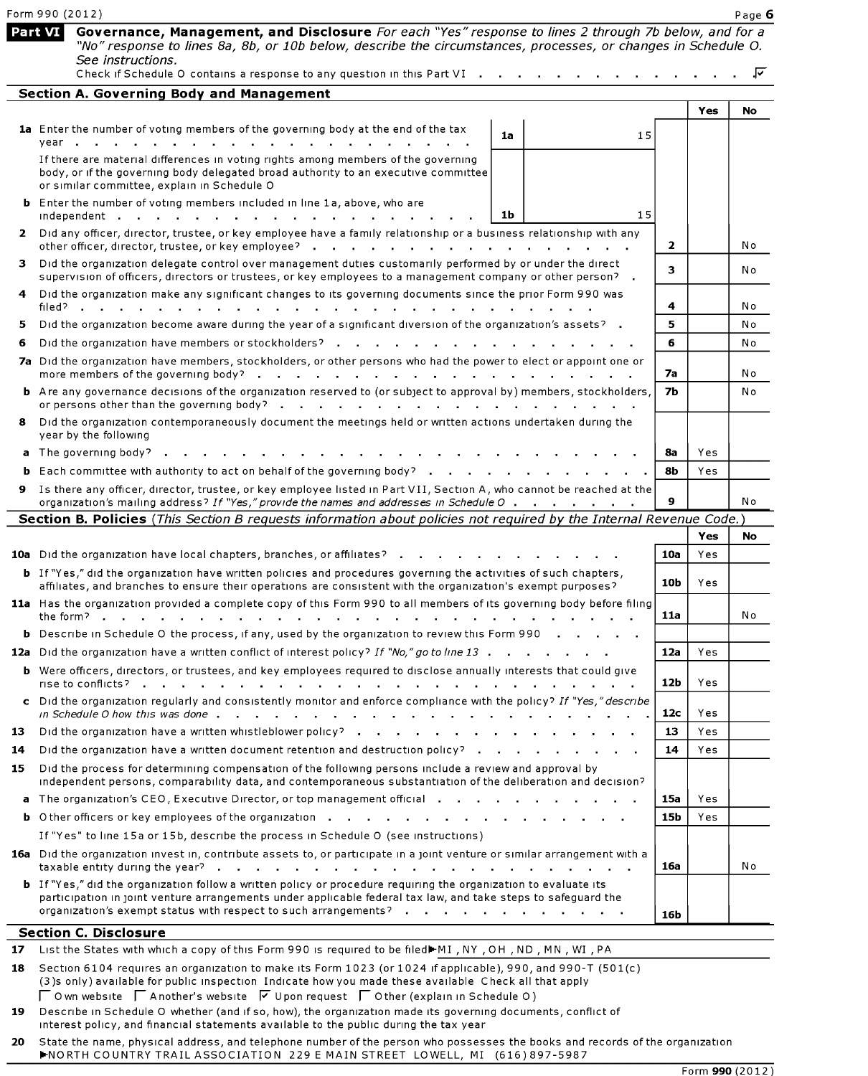|    | Form 990 (2012)                                                                                                                                                                                                                                                                                             |                 |     | Page 6 |
|----|-------------------------------------------------------------------------------------------------------------------------------------------------------------------------------------------------------------------------------------------------------------------------------------------------------------|-----------------|-----|--------|
|    | Governance, Management, and Disclosure For each "Yes" response to lines 2 through 7b below, and for a<br>Part VI<br>"No" response to lines 8a, 8b, or 10b below, describe the circumstances, processes, or changes in Schedule O.<br>See instructions.                                                      |                 |     |        |
|    | Check if Schedule O contains a response to any question in this Part VI                                                                                                                                                                                                                                     |                 |     | ⊽      |
|    | <b>Section A. Governing Body and Management</b>                                                                                                                                                                                                                                                             |                 |     |        |
|    | 1a Enter the number of voting members of the governing body at the end of the tax                                                                                                                                                                                                                           |                 | Yes | No     |
|    | 1a<br>15<br>year                                                                                                                                                                                                                                                                                            |                 |     |        |
|    | If there are material differences in voting rights among members of the governing<br>body, or if the governing body delegated broad authority to an executive committee<br>or similar committee, explain in Schedule O                                                                                      |                 |     |        |
|    | <b>b</b> Enter the number of voting members included in line 1a, above, who are<br>15<br>1b<br>independent .                                                                                                                                                                                                |                 |     |        |
|    | 2 Did any officer, director, trustee, or key employee have a family relationship or a business relationship with any<br>other officer, director, trustee, or key employee?<br>the contract of the contract of the contract of the contract of the contract of the contract of the contract of               | 2               |     | No     |
| з. | Did the organization delegate control over management duties customarily performed by or under the direct<br>supervision of officers, directors or trustees, or key employees to a management company or other person? .                                                                                    | 3               |     | No     |
|    | 4 Did the organization make any significant changes to its governing documents since the prior Form 990 was<br>filed?                                                                                                                                                                                       | 4               |     | No     |
| 5  | Did the organization become aware during the year of a significant diversion of the organization's assets? .                                                                                                                                                                                                | 5               |     | No     |
| 6  | Did the organization have members or stockholders?                                                                                                                                                                                                                                                          | 6               |     | No     |
|    | 7a Did the organization have members, stockholders, or other persons who had the power to elect or appoint one or<br>more members of the governing body?<br>a carried and a carried and a carried                                                                                                           | 7a              |     | No     |
|    | <b>b</b> Are any governance decisions of the organization reserved to (or subject to approval by) members, stockholders,<br>or persons other than the governing body?<br>the contract of the contract of the contract of the con-                                                                           | 7b              |     | No     |
|    | 8 Did the organization contemporaneously document the meetings held or written actions undertaken during the<br>year by the following                                                                                                                                                                       |                 |     |        |
|    | a The governing body?                                                                                                                                                                                                                                                                                       | 8a              | Yes |        |
|    | <b>b</b> Each committee with authority to act on behalf of the governing body?                                                                                                                                                                                                                              | 8b              | Yes |        |
|    | 9 Is there any officer, director, trustee, or key employee listed in Part VII, Section A, who cannot be reached at the<br>organization's mailing address? If "Yes," provide the names and addresses in Schedule O                                                                                           | 9               |     | N o    |
|    | Section B. Policies (This Section B requests information about policies not required by the Internal Revenue Code.)                                                                                                                                                                                         |                 |     |        |
|    |                                                                                                                                                                                                                                                                                                             |                 | Yes | No.    |
|    | 10a Did the organization have local chapters, branches, or affiliates?                                                                                                                                                                                                                                      | 10a             | Yes |        |
|    | <b>b</b> If "Yes," did the organization have written policies and procedures governing the activities of such chapters,<br>affiliates, and branches to ensure their operations are consistent with the organization's exempt purposes?                                                                      | 10b             | Yes |        |
|    | 11a Has the organization provided a complete copy of this Form 990 to all members of its governing body before filing<br>the form? $\blacksquare$                                                                                                                                                           | 11a             |     | No     |
|    | <b>b</b> Describe in Schedule O the process, if any, used by the organization to review this Form 990                                                                                                                                                                                                       |                 |     |        |
|    | 12a Did the organization have a written conflict of interest policy? If "No," go to line 13                                                                                                                                                                                                                 | 12a             | Yes |        |
|    | <b>b</b> Were officers, directors, or trustees, and key employees required to disclose annually interests that could give<br>rise to conflicts?<br>and the state of the state of<br>$\mathbf{r} = \mathbf{r} + \mathbf{r}$<br><b>All Cards</b>                                                              | 12 <sub>b</sub> | Yes |        |
|    | c Did the organization regularly and consistently monitor and enforce compliance with the policy? If "Yes," describe                                                                                                                                                                                        | 12c             | Yes |        |
| 13 | Did the organization have a written whistleblower policy?                                                                                                                                                                                                                                                   | 13              | Yes |        |
| 14 | Did the organization have a written document retention and destruction policy? .                                                                                                                                                                                                                            | 14              | Yes |        |
| 15 | Did the process for determining compensation of the following persons include a review and approval by<br>independent persons, comparability data, and contemporaneous substantiation of the deliberation and decision?                                                                                     |                 |     |        |
|    | a The organization's CEO, Executive Director, or top management official                                                                                                                                                                                                                                    | 15a             | Yes |        |
|    | <b>b</b> Other officers or key employees of the organization $\cdot \cdot \cdot \cdot \cdot \cdot \cdot \cdot \cdot \cdot \cdot \cdot \cdot \cdot \cdot \cdot$                                                                                                                                              | 15 <sub>b</sub> | Yes |        |
|    | If "Yes" to line 15a or 15b, describe the process in Schedule O (see instructions)                                                                                                                                                                                                                          |                 |     |        |
|    | 16a Did the organization invest in, contribute assets to, or participate in a joint venture or similar arrangement with a                                                                                                                                                                                   | 16a             |     | No     |
|    | <b>b</b> If "Yes," did the organization follow a written policy or procedure requiring the organization to evaluate its<br>participation in joint venture arrangements under applicable federal tax law, and take steps to safeguard the<br>organization's exempt status with respect to such arrangements? | 16b             |     |        |
|    | <b>Section C. Disclosure</b>                                                                                                                                                                                                                                                                                |                 |     |        |
|    | 17 List the States with which a copy of this Form 990 is required to be filed MI, NY, OH, ND, MN, WI, PA                                                                                                                                                                                                    |                 |     |        |

18 Section 6104 requires an organization to make its Form 1023 (or 1024 if applicable), 990, and 990-T (501(c) (3)s only) available for public inspection Indicate how you made these available Check all that apply  $\Box$  O wn website  $\Box$  A nother's website  $\Box$  U pon request  $\Box$  O ther (explain in Schedule O)

19 Describe in Schedule O whether (and if so, how), the organization made its governing documents, conflict of interest policy, and financial statements available to the public during the tax year

**20** State the name, physical address, and telephone number of the person who possesses the books and records of the organ1zat1on ~NORTH COUNTRY TRAIL ASSOCIATION 229 E MAIN STREET LOWELL, MI (616) 897-5987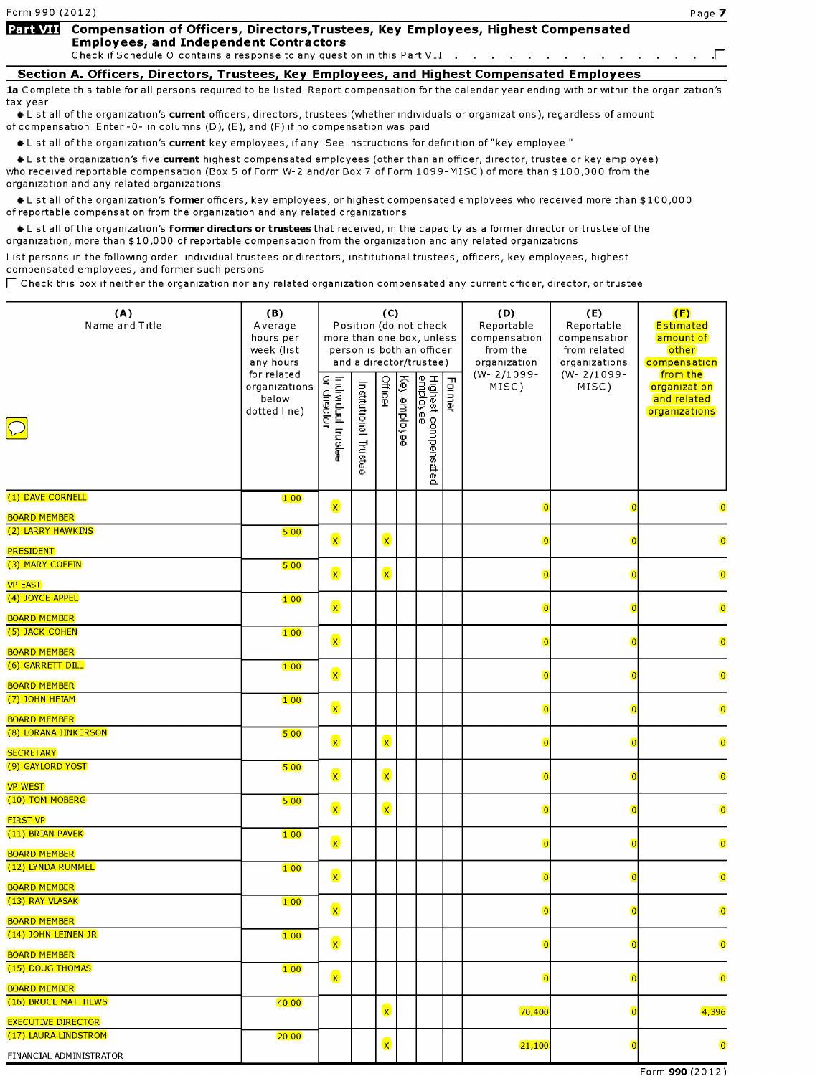Form **990** ( 2 O 1 2 )

### **Part VII** Compensation of Officers, Directors, Trustees, Key Employees, Highest Compensated **Employees, and Independent Contractors**

Check if Schedule O contains a response to any question in this Part VII . . . . . . . . Г.  $\sim$ 

**Section A. Officers, Directors, Trustees, Key Employees, and Highest Compensated Employees**  1a Complete this table for all persons required to be listed Report compensation for the calendar year ending with or within the organization's tax year

•List all of the organ1zat1on's **current** officers, directors, trustees (whether 1nd1v1duals or organ1zat1ons), regardless of amount of compensation Enter-0- 1n columns (D), (E), and (F) 1fno compensation was paid

**● List all of the organization's current** key employees, if any See instructions for definition of "key employee"

•List the organ1zat1on's five **current** highest compensated employees (other than an officer, director, trustee or key employee) who received reportable compensation (Box 5 of Form W-2 and/or Box 7 of Form 1099-MISC) of more than \$100,000 from the organization and any related organizations

•List all of the organ1zat1on's **former** officers, key employees, or highest compensated employees who received more than \$100,000 of reportable compensation from the organization and any related organizations

•List all of the organ1zat1on's **former directors or trustees** that received, 1n the capacity as a former director or trustee of the organization, more than \$10,000 of reportable compensation from the organization and any related organizations

List persons in the following order individual trustees or directors, institutional trustees, officers, key employees, highest compensated employees, and former such persons

 $\sqcap$  Check this box if neither the organization nor any related organization compensated any current officer, director, or trustee

| (A)<br>Name and Title                      | (B)<br>Average<br>hours per<br>week (list<br>any hours | more than one box, unless         |                          | (C)          |              | Position (do not check<br>person is both an officer<br>and a director/trustee) |        | (D)<br>Reportable<br>compensation<br>from the<br>organization | (E)<br>Reportable<br>compensation<br>from related<br>organizations | (F)<br>Estimated<br>amount of<br>other<br>compensation   |
|--------------------------------------------|--------------------------------------------------------|-----------------------------------|--------------------------|--------------|--------------|--------------------------------------------------------------------------------|--------|---------------------------------------------------------------|--------------------------------------------------------------------|----------------------------------------------------------|
| $\boxed{\bigcirc}$                         | for related<br>organizations<br>below<br>dotted line)  | Individual trustee<br>or diiector | Institutional<br>Trustee | Officer      | Key employee | Highest compensated<br><u>employee</u>                                         | Former | $(W - 2/1099 -$<br>MISC)                                      | $(W - 2/1099 -$<br>MISC)                                           | from the<br>organization<br>and related<br>organizations |
| (1) DAVE CORNELL                           | 100                                                    | $\mathbf{x}$                      |                          |              |              |                                                                                |        |                                                               |                                                                    |                                                          |
| <b>BOARD MEMBER</b>                        |                                                        |                                   |                          |              |              |                                                                                |        |                                                               |                                                                    | $\overline{0}$                                           |
| (2) LARRY HAWKINS                          | 500                                                    | $\mathbf{x}$                      |                          | $\mathbf{x}$ |              |                                                                                |        |                                                               |                                                                    | $\overline{0}$                                           |
| <b>PRESIDENT</b><br>(3) MARY COFFIN        | 500                                                    |                                   |                          |              |              |                                                                                |        |                                                               |                                                                    |                                                          |
| <b>VP EAST</b>                             |                                                        | $\mathbf{x}$                      |                          | $\mathbf{x}$ |              |                                                                                |        |                                                               |                                                                    | $\overline{0}$                                           |
| (4) JOYCE APPEL                            | 100                                                    | $\mathbf{x}$                      |                          |              |              |                                                                                |        |                                                               |                                                                    | $\overline{\mathbf{0}}$                                  |
| <b>BOARD MEMBER</b><br>(5) JACK COHEN      |                                                        |                                   |                          |              |              |                                                                                |        |                                                               |                                                                    |                                                          |
| <b>BOARD MEMBER</b>                        | 100                                                    | $\mathbf{x}$                      |                          |              |              |                                                                                |        |                                                               |                                                                    | $\overline{0}$                                           |
| (6) GARRETT DILL                           | 100                                                    | $\mathbf{x}$                      |                          |              |              |                                                                                |        | n                                                             |                                                                    | $\overline{0}$                                           |
| <b>BOARD MEMBER</b><br>(7) JOHN HEIAM      | 100                                                    | $\mathbf{x}$                      |                          |              |              |                                                                                |        |                                                               |                                                                    | $\bullet$                                                |
| <b>BOARD MEMBER</b>                        |                                                        |                                   |                          |              |              |                                                                                |        |                                                               |                                                                    |                                                          |
| (8) LORANA JINKERSON<br><b>SECRETARY</b>   | 500                                                    | $\mathbf{x}$                      |                          | $\mathbf{x}$ |              |                                                                                |        |                                                               |                                                                    | $\overline{0}$                                           |
| (9) GAYLORD YOST                           | 500                                                    |                                   |                          |              |              |                                                                                |        |                                                               |                                                                    |                                                          |
| <b>VP WEST</b>                             |                                                        | $\mathbf{x}$                      |                          | $\mathbf{x}$ |              |                                                                                |        |                                                               |                                                                    | $\overline{0}$                                           |
| (10) TOM MOBERG                            | 500                                                    |                                   |                          |              |              |                                                                                |        |                                                               |                                                                    |                                                          |
| <b>FIRST VP</b>                            |                                                        | $\mathbf{x}$                      |                          | $\mathbf{x}$ |              |                                                                                |        |                                                               |                                                                    | $\overline{\mathbf{0}}$                                  |
| (11) BRIAN PAVEK                           | 100                                                    | $\mathbf{x}$                      |                          |              |              |                                                                                |        |                                                               |                                                                    | $\overline{0}$                                           |
| <b>BOARD MEMBER</b>                        |                                                        |                                   |                          |              |              |                                                                                |        |                                                               |                                                                    |                                                          |
| (12) LYNDA RUMMEL                          | 100                                                    | $\mathbf{x}$                      |                          |              |              |                                                                                |        |                                                               |                                                                    | $\overline{0}$                                           |
| <b>BOARD MEMBER</b>                        |                                                        |                                   |                          |              |              |                                                                                |        |                                                               |                                                                    |                                                          |
| (13) RAY VLASAK                            | 100                                                    | $\mathbf{x}$                      |                          |              |              |                                                                                |        | $\overline{0}$                                                |                                                                    | $\overline{\mathbf{0}}$                                  |
| <b>BOARD MEMBER</b>                        |                                                        |                                   |                          |              |              |                                                                                |        |                                                               |                                                                    |                                                          |
| (14) JOHN LEINEN JR<br><b>BOARD MEMBER</b> | 100                                                    | $\mathbf{x}$                      |                          |              |              |                                                                                |        | $\overline{0}$                                                |                                                                    | $\overline{\mathbf{0}}$                                  |
| (15) DOUG THOMAS                           | 100                                                    | $\mathbf{x}$                      |                          |              |              |                                                                                |        |                                                               |                                                                    |                                                          |
| <b>BOARD MEMBER</b>                        |                                                        |                                   |                          |              |              |                                                                                |        |                                                               |                                                                    | $\overline{\mathbf{0}}$                                  |
| (16) BRUCE MATTHEWS                        | 40 00                                                  |                                   |                          | $\mathbf{x}$ |              |                                                                                |        | 70,400                                                        |                                                                    | 4,396                                                    |
| <b>EXECUTIVE DIRECTOR</b>                  |                                                        |                                   |                          |              |              |                                                                                |        |                                                               |                                                                    |                                                          |
| (17) LAURA LINDSTROM                       | 20 00                                                  |                                   |                          | $\mathsf{x}$ |              |                                                                                |        | 21,100                                                        |                                                                    | $\overline{\mathbf{0}}$                                  |
| FINANCIAL ADMINISTRATOR                    |                                                        |                                   |                          |              |              |                                                                                |        |                                                               |                                                                    |                                                          |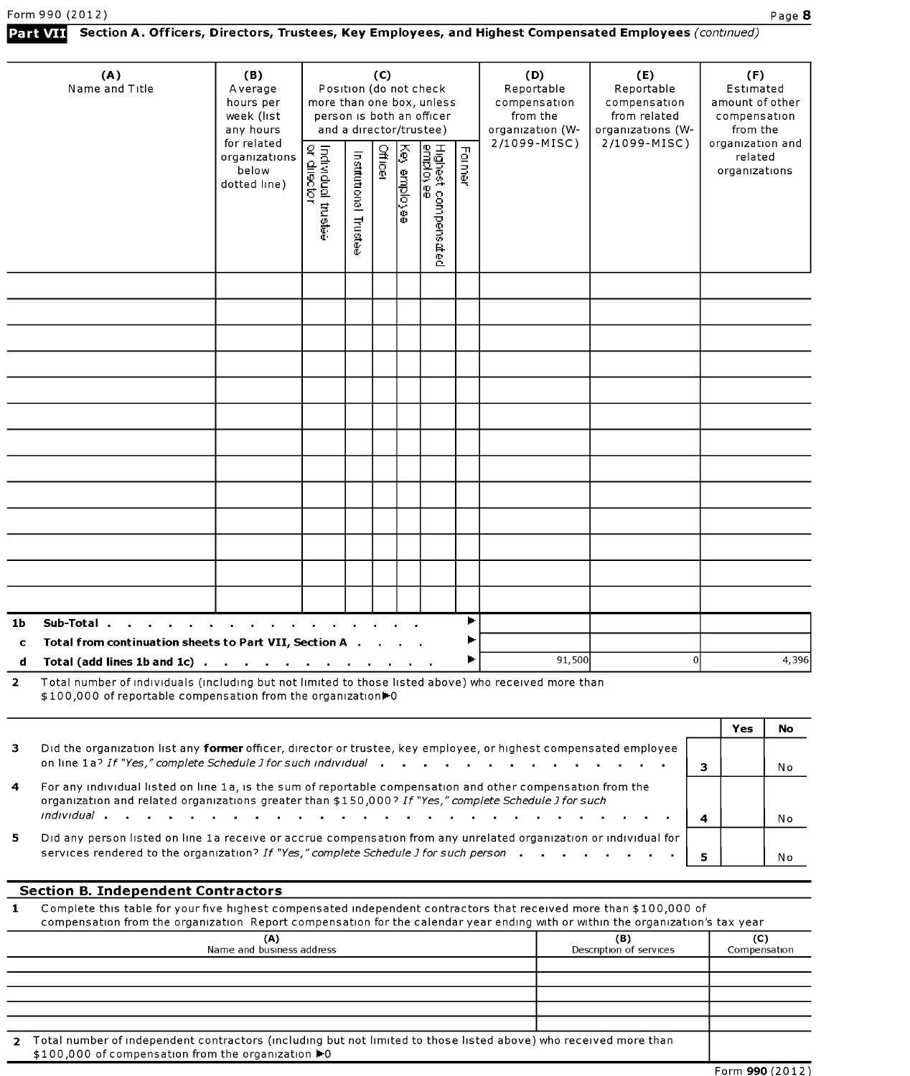## Part VII Section A. Officers, Directors, Trustees, Key Employees, and Highest Compensated Employees (continued)

|                | (A)<br>Name and Title                                                                                                                                                                     | (B)<br>Average<br>hours per<br>week (list<br>any hours | more than one box, unless                |                         | (C)            |               | Position (do not check<br>person is both an officer<br>and a director/trustee) |        | (D)<br>Reportable<br>compensation<br>from the<br>organization (W- | (E)<br>Reportable<br>compensation<br>from related<br>organizations (W- |    | (F)<br>Estimated<br>amount of other<br>compensation<br>from the |           |
|----------------|-------------------------------------------------------------------------------------------------------------------------------------------------------------------------------------------|--------------------------------------------------------|------------------------------------------|-------------------------|----------------|---------------|--------------------------------------------------------------------------------|--------|-------------------------------------------------------------------|------------------------------------------------------------------------|----|-----------------------------------------------------------------|-----------|
|                |                                                                                                                                                                                           | for related<br>organizations<br>below<br>dotted line)  | Individual trustee<br>or <u>director</u> | Institutional<br>Fuctee | <b>Officer</b> | Ţ<br>employee | Highest compens <i>a</i> t<br>employee<br>邕                                    | Former | 2/1099-MISC)                                                      | 2/1099-MISC)                                                           |    | organization and<br>related<br>organizations                    |           |
|                |                                                                                                                                                                                           |                                                        |                                          |                         |                |               |                                                                                |        |                                                                   |                                                                        |    |                                                                 |           |
|                |                                                                                                                                                                                           |                                                        |                                          |                         |                |               |                                                                                |        |                                                                   |                                                                        |    |                                                                 |           |
|                |                                                                                                                                                                                           |                                                        |                                          |                         |                |               |                                                                                |        |                                                                   |                                                                        |    |                                                                 |           |
|                |                                                                                                                                                                                           |                                                        |                                          |                         |                |               |                                                                                |        |                                                                   |                                                                        |    |                                                                 |           |
|                |                                                                                                                                                                                           |                                                        |                                          |                         |                |               |                                                                                |        |                                                                   |                                                                        |    |                                                                 |           |
|                |                                                                                                                                                                                           |                                                        |                                          |                         |                |               |                                                                                |        |                                                                   |                                                                        |    |                                                                 |           |
|                |                                                                                                                                                                                           |                                                        |                                          |                         |                |               |                                                                                |        |                                                                   |                                                                        |    |                                                                 |           |
|                |                                                                                                                                                                                           |                                                        |                                          |                         |                |               |                                                                                |        |                                                                   |                                                                        |    |                                                                 |           |
|                |                                                                                                                                                                                           |                                                        |                                          |                         |                |               |                                                                                |        |                                                                   |                                                                        |    |                                                                 |           |
|                |                                                                                                                                                                                           |                                                        |                                          |                         |                |               |                                                                                |        |                                                                   |                                                                        |    |                                                                 |           |
|                |                                                                                                                                                                                           |                                                        |                                          |                         |                |               |                                                                                |        |                                                                   |                                                                        |    |                                                                 |           |
|                |                                                                                                                                                                                           |                                                        |                                          |                         |                |               |                                                                                |        |                                                                   |                                                                        |    |                                                                 |           |
|                |                                                                                                                                                                                           |                                                        |                                          |                         |                |               |                                                                                |        |                                                                   |                                                                        |    |                                                                 |           |
| 1b             | Sub-Total                                                                                                                                                                                 |                                                        |                                          |                         |                |               |                                                                                | Þ.     |                                                                   |                                                                        |    |                                                                 |           |
| $\mathbf C$    | Total from continuation sheets to Part VII, Section A .                                                                                                                                   |                                                        |                                          |                         |                |               |                                                                                |        |                                                                   |                                                                        | ΩI |                                                                 | 4,396     |
| $\overline{2}$ | Total (add lines 1b and 1c) $\cdots$ $\cdots$ $\cdots$ $\cdots$ $\cdots$ $\cdots$<br>Total number of individuals (including but not limited to those listed above) who received more than |                                                        |                                          |                         |                |               |                                                                                |        | 91,500                                                            |                                                                        |    |                                                                 |           |
|                | \$100,000 of reportable compensation from the organization <sup>1</sup> 0                                                                                                                 |                                                        |                                          |                         |                |               |                                                                                |        |                                                                   |                                                                        |    |                                                                 |           |
|                |                                                                                                                                                                                           |                                                        |                                          |                         |                |               |                                                                                |        |                                                                   |                                                                        |    | Yes                                                             | <b>No</b> |
| з              | Did the organization list any former officer, director or trustee, key employee, or highest compensated employee<br>on line 1a? If "Yes," complete Schedule J for such individual         |                                                        |                                          |                         |                |               |                                                                                |        |                                                                   |                                                                        |    |                                                                 |           |
|                |                                                                                                                                                                                           |                                                        |                                          |                         |                |               |                                                                                |        |                                                                   |                                                                        | 3  |                                                                 | No        |

| $\overline{4}$ | For any individual listed on line 1a, is the sum of reportable compensation and other compensation from the<br>organization and related organizations greater than \$150,000? If "Yes," complete Schedule J for such                                                                                                     |  |      |
|----------------|--------------------------------------------------------------------------------------------------------------------------------------------------------------------------------------------------------------------------------------------------------------------------------------------------------------------------|--|------|
|                |                                                                                                                                                                                                                                                                                                                          |  | -N o |
| 5.             | Did any person listed on line 1a receive or accrue compensation from any unrelated organization or individual for<br>services rendered to the organization? If "Yes," complete Schedule J for such person $\begin{array}{cccc} \textbf{5} & \textbf{6} & \textbf{7} \\ \textbf{6} & \textbf{8} & \textbf{1} \end{array}$ |  | N o  |

## **Section B. Independent Contractors**

 $\blacksquare$ 

| Complete this table for your five highest compensated independent contractors that received more than \$100,000 of             |
|--------------------------------------------------------------------------------------------------------------------------------|
| compensation from the organization Report compensation for the calendar year ending with or within the organization's tax year |

| (A)<br>Name and business address                                                                                                                                         | (B)<br>Description of services | (C)<br>Compensation |
|--------------------------------------------------------------------------------------------------------------------------------------------------------------------------|--------------------------------|---------------------|
|                                                                                                                                                                          |                                |                     |
|                                                                                                                                                                          |                                |                     |
|                                                                                                                                                                          |                                |                     |
|                                                                                                                                                                          |                                |                     |
|                                                                                                                                                                          |                                |                     |
| 2 Total number of independent contractors (including but not limited to those listed above) who received more than<br>\$100,000 of compensation from the organization ▶0 |                                |                     |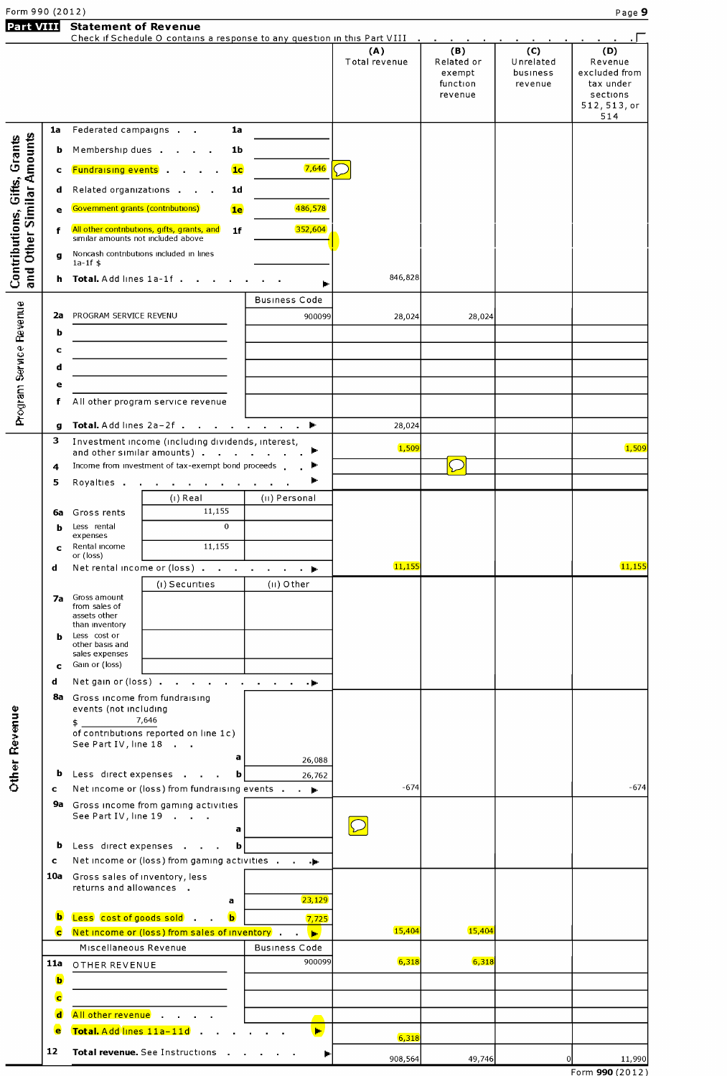|  | Form 990 (2012) |  |
|--|-----------------|--|

**Part VIII** Statement of Revenue

| GI L VIII                                                 |              | SIGICIIICIII VI REVEIIUC                                                                                         | Check if Schedule O contains a response to any question in this Part VIII            |                      |                      | the company of the company of                      |                                         |                                                                                 |
|-----------------------------------------------------------|--------------|------------------------------------------------------------------------------------------------------------------|--------------------------------------------------------------------------------------|----------------------|----------------------|----------------------------------------------------|-----------------------------------------|---------------------------------------------------------------------------------|
|                                                           |              |                                                                                                                  |                                                                                      |                      | (A)<br>Total revenue | (B)<br>Related or<br>exempt<br>function<br>revenue | (C)<br>Unrelated<br>business<br>revenue | (D)<br>Revenue<br>excluded from<br>tax under<br>sections<br>512, 513, or<br>514 |
|                                                           | 1a           | Federated campaigns                                                                                              | 1a                                                                                   |                      |                      |                                                    |                                         |                                                                                 |
|                                                           | b            | Membership dues .                                                                                                | 1b                                                                                   |                      |                      |                                                    |                                         |                                                                                 |
|                                                           | c            | <b>Fundraising events</b> .                                                                                      | 1 <sub>c</sub>                                                                       | 7,646                |                      |                                                    |                                         |                                                                                 |
|                                                           |              |                                                                                                                  |                                                                                      |                      |                      |                                                    |                                         |                                                                                 |
|                                                           | d            | Related organizations                                                                                            | 1 <sub>d</sub>                                                                       |                      |                      |                                                    |                                         |                                                                                 |
|                                                           | e            | Government grants (contributions)                                                                                | 1e                                                                                   | 486,578              |                      |                                                    |                                         |                                                                                 |
|                                                           | f            | similar amounts not included above                                                                               | All other contributions, gifts, grants, and<br>1f                                    | 352,604              |                      |                                                    |                                         |                                                                                 |
|                                                           | $\mathbf{q}$ |                                                                                                                  | Noncash contributions included in lines                                              |                      |                      |                                                    |                                         |                                                                                 |
| and Other Similar Amounts<br>Contributions, Gifts, Grants | h            | $1a-1f$ \$<br>Total. Add lines 1a-1f.                                                                            |                                                                                      |                      | 846,828              |                                                    |                                         |                                                                                 |
|                                                           |              |                                                                                                                  |                                                                                      |                      |                      |                                                    |                                         |                                                                                 |
|                                                           |              |                                                                                                                  |                                                                                      | <b>Business Code</b> |                      |                                                    |                                         |                                                                                 |
|                                                           | 2a<br>b      | PROGRAM SERVICE REVENU                                                                                           |                                                                                      | 900099               | 28,024               | 28,024                                             |                                         |                                                                                 |
|                                                           | c            |                                                                                                                  |                                                                                      |                      |                      |                                                    |                                         |                                                                                 |
|                                                           | d            |                                                                                                                  |                                                                                      |                      |                      |                                                    |                                         |                                                                                 |
|                                                           | е            |                                                                                                                  |                                                                                      |                      |                      |                                                    |                                         |                                                                                 |
|                                                           | f            |                                                                                                                  | All other program service revenue                                                    |                      |                      |                                                    |                                         |                                                                                 |
| Program Service Revenue                                   |              |                                                                                                                  |                                                                                      |                      |                      |                                                    |                                         |                                                                                 |
|                                                           | g<br>3       |                                                                                                                  | Total. Add lines 2a-2f<br>Investment income (including dividends, interest,          |                      | 28,024               |                                                    |                                         |                                                                                 |
|                                                           |              |                                                                                                                  | and other similar amounts)                                                           | ►                    | 1,509                |                                                    |                                         | 1,509                                                                           |
|                                                           | 4            |                                                                                                                  | Income from investment of tax-exempt bond proceeds                                   | ►                    |                      |                                                    |                                         |                                                                                 |
|                                                           | 5            | Royalties .                                                                                                      | the contract of the contract of                                                      | ►                    |                      |                                                    |                                         |                                                                                 |
|                                                           |              | (i) Real<br>11,155<br>6a Gross rents                                                                             |                                                                                      | (II) Personal        |                      |                                                    |                                         |                                                                                 |
|                                                           | b            | Less rental                                                                                                      | $\Omega$                                                                             |                      |                      |                                                    |                                         |                                                                                 |
|                                                           | c            | expenses<br>Rental income                                                                                        | 11,155                                                                               |                      |                      |                                                    |                                         |                                                                                 |
|                                                           | d            | or (loss)                                                                                                        | Net rental income or (loss)                                                          |                      | 11,155               |                                                    |                                         | 11,155                                                                          |
|                                                           |              |                                                                                                                  | (i) Securities                                                                       | $(II)$ Other         |                      |                                                    |                                         |                                                                                 |
|                                                           | 7a           | Gross amount<br>from sales of                                                                                    |                                                                                      |                      |                      |                                                    |                                         |                                                                                 |
|                                                           |              | assets other<br>than inventory                                                                                   |                                                                                      |                      |                      |                                                    |                                         |                                                                                 |
|                                                           | b            | Less cost or<br>other basis and                                                                                  |                                                                                      |                      |                      |                                                    |                                         |                                                                                 |
|                                                           |              | sales expenses                                                                                                   |                                                                                      |                      |                      |                                                    |                                         |                                                                                 |
|                                                           | C<br>d       | Gain or (loss)                                                                                                   | Net gain or (loss)                                                                   |                      |                      |                                                    |                                         |                                                                                 |
|                                                           | 8a           | Gross income from fundraising                                                                                    |                                                                                      |                      |                      |                                                    |                                         |                                                                                 |
|                                                           |              | events (not including                                                                                            |                                                                                      |                      |                      |                                                    |                                         |                                                                                 |
| <b>Other Revenue</b>                                      |              | \$.                                                                                                              | 7,646<br>of contributions reported on line 1c)                                       |                      |                      |                                                    |                                         |                                                                                 |
|                                                           |              | See Part IV, line 18                                                                                             |                                                                                      |                      |                      |                                                    |                                         |                                                                                 |
|                                                           |              |                                                                                                                  | a                                                                                    | 26,088               |                      |                                                    |                                         |                                                                                 |
|                                                           | b<br>c       |                                                                                                                  | Less direct expenses<br>b<br>Net income or (loss) from fundraising events            | 26,762               | $-674$               |                                                    |                                         | $-674$                                                                          |
|                                                           |              |                                                                                                                  | 9a Gross income from gaming activities                                               |                      |                      |                                                    |                                         |                                                                                 |
|                                                           |              | See Part IV, line 19                                                                                             |                                                                                      |                      |                      |                                                    |                                         |                                                                                 |
|                                                           | b            |                                                                                                                  | a<br>Less direct expenses<br>b                                                       |                      |                      |                                                    |                                         |                                                                                 |
|                                                           | c            |                                                                                                                  | Net income or (loss) from gaming activities                                          |                      |                      |                                                    |                                         |                                                                                 |
|                                                           |              | 10a Gross sales of inventory, less                                                                               |                                                                                      |                      |                      |                                                    |                                         |                                                                                 |
|                                                           |              | returns and allowances .                                                                                         | a                                                                                    | 23,129               |                      |                                                    |                                         |                                                                                 |
|                                                           | b            |                                                                                                                  | Less cost of goods sold<br>b                                                         | 7,725                |                      |                                                    |                                         |                                                                                 |
|                                                           | <b>C</b>     |                                                                                                                  | Net income or (loss) from sales of inventory $\begin{array}{ccc} \hline \end{array}$ |                      | 15,404               | 15,404                                             |                                         |                                                                                 |
|                                                           |              | Miscellaneous Revenue                                                                                            |                                                                                      | <b>Business Code</b> |                      |                                                    |                                         |                                                                                 |
|                                                           | 11a          | OTHER REVENUE                                                                                                    |                                                                                      | 900099               | 6,318                | 6,318                                              |                                         |                                                                                 |
|                                                           | b            |                                                                                                                  |                                                                                      |                      |                      |                                                    |                                         |                                                                                 |
|                                                           | c            |                                                                                                                  |                                                                                      |                      |                      |                                                    |                                         |                                                                                 |
|                                                           | d            | All other revenue in the set of the set of the set of the set of the set of the set of the set of the set of the |                                                                                      |                      |                      |                                                    |                                         |                                                                                 |
|                                                           | e            | Total. Add lines 11a-11d                                                                                         |                                                                                      | Þ,                   | 6,318                |                                                    |                                         |                                                                                 |
|                                                           | 12           |                                                                                                                  | Total revenue. See Instructions                                                      | ▶                    | 908,564              | 49,746                                             | 0l                                      | 11,990                                                                          |

Form 990 (2012)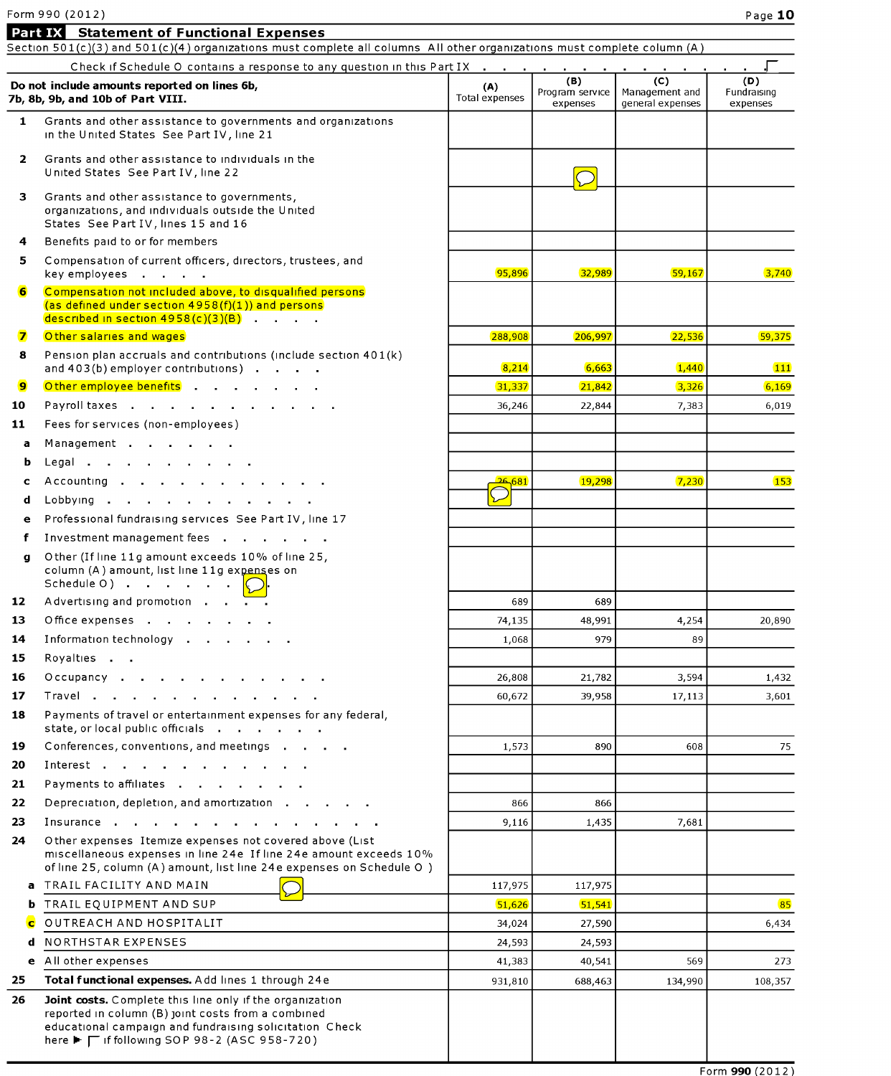## Form 990 (2012)

|              | Part IX Statement of Functional Expenses<br>Section 501(c)(3) and 501(c)(4) organizations must complete all columns All other organizations must complete column (A)                                                      |                       |                                    |                                           |                                |
|--------------|---------------------------------------------------------------------------------------------------------------------------------------------------------------------------------------------------------------------------|-----------------------|------------------------------------|-------------------------------------------|--------------------------------|
|              | Check if Schedule O contains a response to any question in this Part IX                                                                                                                                                   |                       |                                    |                                           |                                |
|              | Do not include amounts reported on lines 6b,<br>7b, 8b, 9b, and 10b of Part VIII.                                                                                                                                         | (A)<br>Total expenses | (B)<br>Program service<br>expenses | (C)<br>Management and<br>general expenses | (D)<br>Fundraising<br>expenses |
| 1            | Grants and other assistance to governments and organizations<br>in the United States See Part IV, line 21                                                                                                                 |                       |                                    |                                           |                                |
| $\mathbf{2}$ | Grants and other assistance to individuals in the<br>United States See Part IV, line 22                                                                                                                                   |                       |                                    |                                           |                                |
| з            | Grants and other assistance to governments,<br>organizations, and individuals outside the United<br>States See Part IV, lines 15 and 16                                                                                   |                       |                                    |                                           |                                |
| 4            | Benefits paid to or for members                                                                                                                                                                                           |                       |                                    |                                           |                                |
| 5.           | Compensation of current officers, directors, trustees, and<br>key employees                                                                                                                                               | 95,896                | 32,989                             | 59,167                                    | 3,740                          |
| 6            | Compensation not included above, to disqualified persons<br>(as defined under section 4958(f)(1)) and persons<br>described in section $4958(c)(3)(B)$                                                                     |                       |                                    |                                           |                                |
| $\mathbf{z}$ | Other salaries and wages                                                                                                                                                                                                  | 288,908               | 206,997                            | 22,536                                    | 59,375                         |
| 8            | Pension plan accruals and contributions (include section 401(k)<br>and 403(b) employer contributions)                                                                                                                     | 8,214                 | 6,663                              | 1,440                                     | 111                            |
| 9            | Other employee benefits                                                                                                                                                                                                   | 31,337                | 21,842                             | 3,326                                     | 6,169                          |
| 10           | Payroll taxes                                                                                                                                                                                                             | 36,246                | 22,844                             | 7,383                                     | 6,019                          |
| 11           | Fees for services (non-employees)                                                                                                                                                                                         |                       |                                    |                                           |                                |
| a            | Management                                                                                                                                                                                                                |                       |                                    |                                           |                                |
| b            |                                                                                                                                                                                                                           |                       |                                    |                                           |                                |
| c            | Accounting                                                                                                                                                                                                                | 26,681                | 19,298                             | 7,230                                     | 153                            |
| d            | Lobbying                                                                                                                                                                                                                  |                       |                                    |                                           |                                |
| e            | Professional fundraising services See Part IV, line 17                                                                                                                                                                    |                       |                                    |                                           |                                |
| f            | Investment management fees                                                                                                                                                                                                |                       |                                    |                                           |                                |
| q            | Other (If line 11g amount exceeds 10% of line 25,<br>column (A) amount, list line 11g expenses on<br>Schedule O)                                                                                                          |                       |                                    |                                           |                                |
| 12           |                                                                                                                                                                                                                           | 689                   | 689                                |                                           |                                |
| 13           | Office expenses                                                                                                                                                                                                           | 74,135                | 48,991                             | 4,254                                     | 20,890                         |
| 14           | Information technology                                                                                                                                                                                                    | 1.068                 | 979                                | 89                                        |                                |
| 15           | Royalties                                                                                                                                                                                                                 |                       |                                    |                                           |                                |
| 16           | Occupancy                                                                                                                                                                                                                 | 26,808                | 21,782                             | 3,594                                     | 1,432                          |
| 17           | Travel                                                                                                                                                                                                                    | 60,672                | 39,958                             | 17,113                                    | 3,601                          |
| 18           | Payments of travel or entertainment expenses for any federal,<br>state, or local public officials                                                                                                                         |                       |                                    |                                           |                                |
| 19           | Conferences, conventions, and meetings                                                                                                                                                                                    | 1,573                 | 890                                | 608                                       | 75                             |
| 20           | Interest                                                                                                                                                                                                                  |                       |                                    |                                           |                                |
| 21           | Payments to affiliates                                                                                                                                                                                                    |                       |                                    |                                           |                                |
| 22           | Depreciation, depletion, and amortization                                                                                                                                                                                 | 866                   | 866                                |                                           |                                |
| 23           | Insurance                                                                                                                                                                                                                 | 9,116                 | 1,435                              | 7,681                                     |                                |
| 24           | Other expenses Itemize expenses not covered above (List<br>miscellaneous expenses in line 24e If line 24e amount exceeds 10%<br>of line 25, column (A) amount, list line 24e expenses on Schedule O)                      |                       |                                    |                                           |                                |
| a            | TRAIL FACILITY AND MAIN                                                                                                                                                                                                   | 117,975               | 117,975                            |                                           |                                |
| b            | TRAIL EQUIPMENT AND SUP                                                                                                                                                                                                   | 51,626                | 51,541                             |                                           | 85                             |
| $\mathbf C$  | OUTREACH AND HOSPITALIT                                                                                                                                                                                                   | 34,024                | 27,590                             |                                           | 6,434                          |
| d            | <b>NORTHSTAR EXPENSES</b>                                                                                                                                                                                                 | 24,593                | 24,593                             |                                           |                                |
| e            | All other expenses                                                                                                                                                                                                        | 41,383                | 40,541                             | 569                                       | 273                            |
| 25           | Total functional expenses. Add lines 1 through 24e                                                                                                                                                                        | 931,810               | 688,463                            | 134,990                                   | 108,357                        |
| 26           | Joint costs. Complete this line only if the organization<br>reported in column (B) joint costs from a combined<br>educational campaign and fundraising solicitation Check<br>here ► Γ if following SOP 98-2 (ASC 958-720) |                       |                                    |                                           |                                |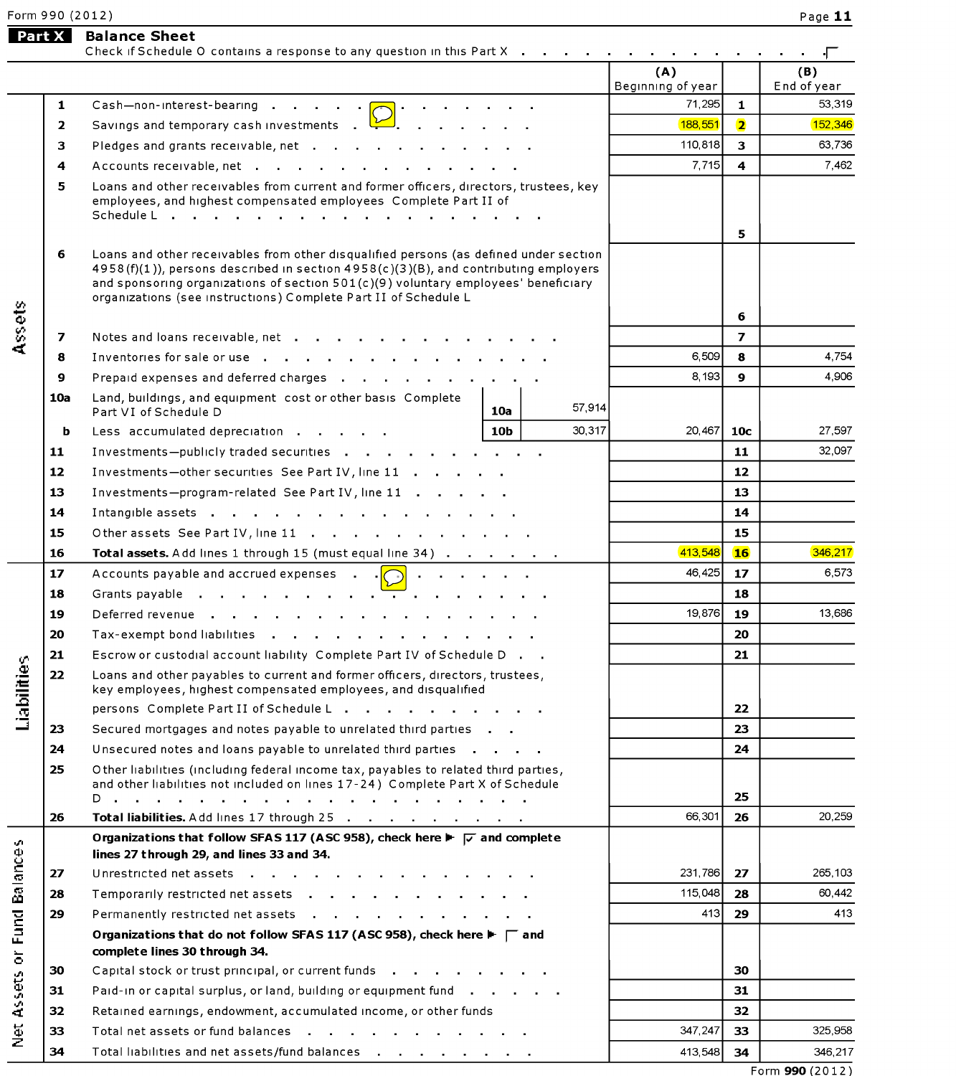Form 9 9 O ( 2 O 1 2 ) Page **11** 

# **lister 3 <b>Part X** Balance Sheet

|                                                     |              | Check if Schedule O contains a response to any question in this Part X                                                                                                                                                                                                                                                                |                 |         | (A)<br>Beginning of year |                         | (B)<br>End of year |
|-----------------------------------------------------|--------------|---------------------------------------------------------------------------------------------------------------------------------------------------------------------------------------------------------------------------------------------------------------------------------------------------------------------------------------|-----------------|---------|--------------------------|-------------------------|--------------------|
|                                                     | $\mathbf{1}$ | Cash-non-interest-bearing $\bigcap$                                                                                                                                                                                                                                                                                                   |                 |         | 71,295                   | $\mathbf{1}$            | 53,319             |
|                                                     | $\mathbf{2}$ | Savings and temporary cash investments $\Box$                                                                                                                                                                                                                                                                                         |                 |         | 188,551                  | $\overline{\mathbf{2}}$ | 152,346            |
|                                                     | 3            | Pledges and grants receivable, net                                                                                                                                                                                                                                                                                                    |                 |         | 110,818                  | $\overline{\mathbf{3}}$ | 63,736             |
|                                                     | 4            | Accounts receivable, net                                                                                                                                                                                                                                                                                                              |                 |         | 7,715                    | $\overline{\mathbf{4}}$ | 7.462              |
|                                                     | 5.           | Loans and other receivables from current and former officers, directors, trustees, key<br>employees, and highest compensated employees Complete Part II of                                                                                                                                                                            |                 |         |                          |                         |                    |
|                                                     | 6            | Loans and other receivables from other disqualified persons (as defined under section<br>4958(f)(1)), persons described in section 4958(c)(3)(B), and contributing employers<br>and sponsoring organizations of section 501(c)(9) voluntary employees' beneficiary<br>organizations (see instructions) Complete Part II of Schedule L |                 |         |                          | 5<br>6                  |                    |
| Assets                                              | 7            | Notes and loans receivable, net                                                                                                                                                                                                                                                                                                       |                 |         |                          | $\overline{ }$          |                    |
|                                                     | 8            | Inventories for sale or use                                                                                                                                                                                                                                                                                                           |                 |         | 6,509                    | 8                       | 4,754              |
|                                                     | 9            | Prepaid expenses and deferred charges                                                                                                                                                                                                                                                                                                 |                 |         | 8,193                    | 9                       | 4.906              |
|                                                     | 10a          | Land, buildings, and equipment cost or other basis Complete<br>Part VI of Schedule D                                                                                                                                                                                                                                                  | 10a             | 57,914  |                          |                         |                    |
|                                                     | b            | Less accumulated depreciation                                                                                                                                                                                                                                                                                                         | 10 <sub>b</sub> | 30,317  | 20,467                   | 10 <sub>c</sub>         | 27,597             |
|                                                     | 11           | Investments--publicly traded securities                                                                                                                                                                                                                                                                                               |                 |         |                          | 11                      | 32,097             |
|                                                     | 12           | Investments-other securities See Part IV, line 11                                                                                                                                                                                                                                                                                     |                 |         | 12                       |                         |                    |
|                                                     | 13           | Investments-program-related See Part IV, line 11                                                                                                                                                                                                                                                                                      |                 |         | 13                       |                         |                    |
|                                                     | 14           | Intangible assets                                                                                                                                                                                                                                                                                                                     |                 |         |                          | 14                      |                    |
|                                                     | 15           | Other assets See Part IV, line 11                                                                                                                                                                                                                                                                                                     |                 |         |                          | 15                      |                    |
|                                                     | 16           | Total assets. Add lines 1 through 15 (must equal line 34)                                                                                                                                                                                                                                                                             |                 |         | 413,548                  | 16 <sup>1</sup>         | 346,217            |
|                                                     | 17           | Accounts payable and accrued expenses .                                                                                                                                                                                                                                                                                               |                 |         | 46,425                   | 17 <sup>2</sup>         | 6,573              |
|                                                     | 18           | Grants payable                                                                                                                                                                                                                                                                                                                        |                 |         |                          | 18                      |                    |
|                                                     | 19           | Deferred revenue                                                                                                                                                                                                                                                                                                                      |                 |         | 19.876                   | 19                      | 13,686             |
|                                                     | 20           | Tax-exempt bond liabilities                                                                                                                                                                                                                                                                                                           |                 |         |                          | 20                      |                    |
|                                                     | 21           | Escrow or custodial account liability Complete Part IV of Schedule D.                                                                                                                                                                                                                                                                 |                 |         |                          | 21                      |                    |
| ties                                                | 22           | Loans and other payables to current and former officers, directors, trustees,<br>key employees, highest compensated employees, and disqualified                                                                                                                                                                                       |                 |         |                          |                         |                    |
| Liabili                                             |              | persons Complete Part II of Schedule L                                                                                                                                                                                                                                                                                                |                 |         |                          | 22                      |                    |
|                                                     | 23           | Secured mortgages and notes payable to unrelated third parties                                                                                                                                                                                                                                                                        |                 |         |                          | 23                      |                    |
|                                                     | 24           | Unsecured notes and loans payable to unrelated third parties                                                                                                                                                                                                                                                                          |                 |         |                          | 24                      |                    |
|                                                     | 25           | Other liabilities (including federal income tax, payables to related third parties,<br>and other liabilities not included on lines 17-24) Complete Part X of Schedule                                                                                                                                                                 |                 |         |                          | 25                      |                    |
|                                                     | 26           | Total liabilities. Add lines 17 through 25                                                                                                                                                                                                                                                                                            |                 |         | 66,301                   | 26                      | 20,259             |
| v.                                                  |              | Organizations that follow SFAS 117 (ASC 958), check here $\blacktriangleright \blacktriangleright \blacktriangleright$ and complete<br>lines 27 through 29, and lines 33 and 34.                                                                                                                                                      |                 |         |                          |                         |                    |
|                                                     | 27           | Unrestricted net assets                                                                                                                                                                                                                                                                                                               |                 |         | 231,786                  | 27                      | 265,103            |
|                                                     | 28           | Temporarily restricted net assets                                                                                                                                                                                                                                                                                                     |                 | 115,048 | 28                       | 60,442                  |                    |
|                                                     | 29           | Permanently restricted net assets                                                                                                                                                                                                                                                                                                     |                 | 413     | 29                       | 413                     |                    |
| <b>Fund Balance</b><br>$\overleftarrow{\mathrm{o}}$ |              | Organizations that do not follow SFAS 117 (ASC 958), check here $\blacktriangleright \top$ and<br>complete lines 30 through 34.                                                                                                                                                                                                       |                 |         |                          |                         |                    |
|                                                     | 30           | Capital stock or trust principal, or current funds                                                                                                                                                                                                                                                                                    |                 |         |                          | 30                      |                    |
| Assets                                              | 31           | Paid-in or capital surplus, or land, building or equipment fund                                                                                                                                                                                                                                                                       |                 |         |                          | 31                      |                    |
|                                                     | 32           | Retained earnings, endowment, accumulated income, or other funds                                                                                                                                                                                                                                                                      |                 |         |                          | 32                      |                    |
| $\frac{1}{2}$                                       | 33           | Total net assets or fund balances                                                                                                                                                                                                                                                                                                     |                 |         | 347,247                  | 33                      | 325,958            |
|                                                     | 34           | Total liabilities and net assets/fund balances                                                                                                                                                                                                                                                                                        |                 |         | 413,548                  | 34                      | 346,217            |
|                                                     |              |                                                                                                                                                                                                                                                                                                                                       |                 |         |                          |                         | 0.00120131         |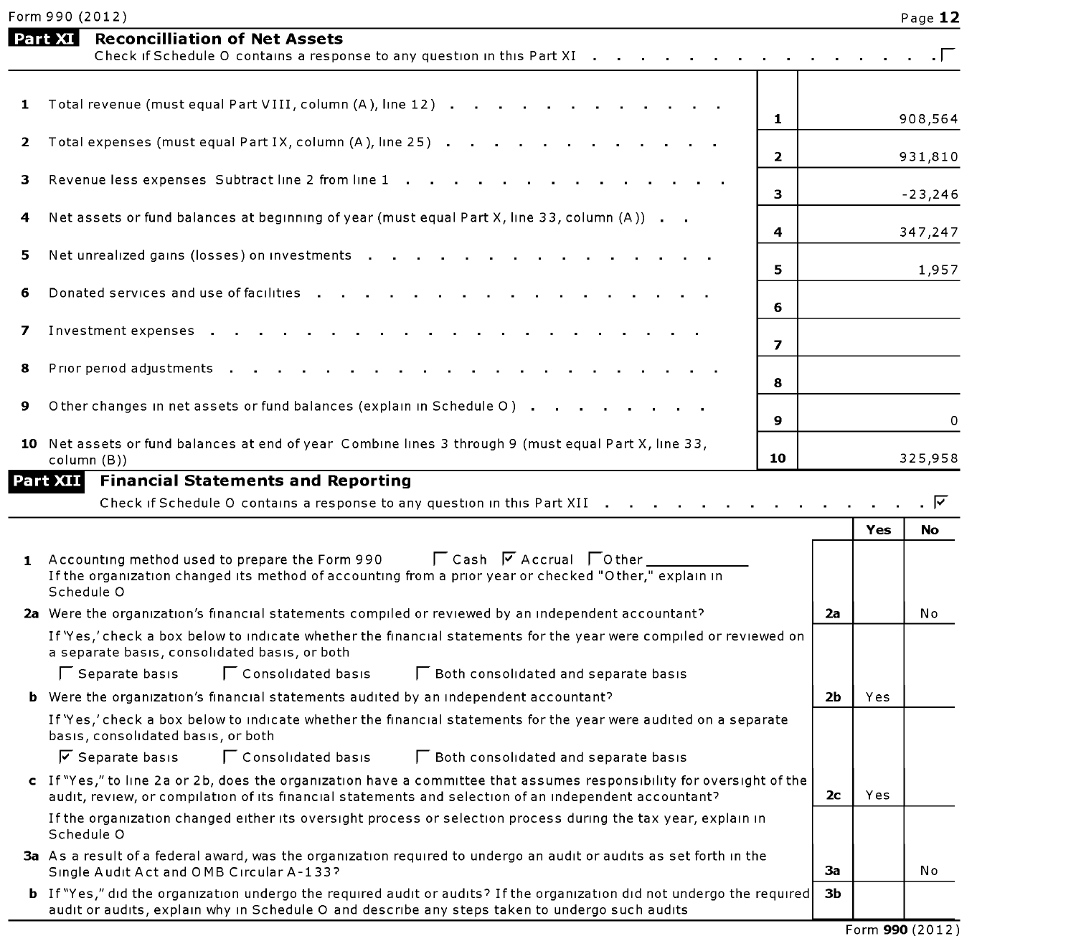| Form 990 (2012) | Page _ |
|-----------------|--------|
|-----------------|--------|

|    | Part XI<br><b>Reconcilliation of Net Assets</b><br>Check if Schedule O contains a response to any question in this Part XI                                                                                                       |                   |                |     |              |
|----|----------------------------------------------------------------------------------------------------------------------------------------------------------------------------------------------------------------------------------|-------------------|----------------|-----|--------------|
|    |                                                                                                                                                                                                                                  |                   |                |     |              |
| 1  | Total revenue (must equal Part VIII, column (A), line 12)                                                                                                                                                                        | $\mathbf{1}$      |                |     | 908,564      |
| 2  | Total expenses (must equal Part IX, column (A), line 25)                                                                                                                                                                         | $\overline{2}$    |                |     | 931,810      |
| з. | Revenue less expenses Subtract line 2 from line 1                                                                                                                                                                                | 3                 |                |     | $-23,246$    |
| 4  | Net assets or fund balances at beginning of year (must equal Part X, line 33, column (A))                                                                                                                                        | 4                 |                |     | 347,247      |
| 5  | Net unrealized gains (losses) on investments                                                                                                                                                                                     | 5                 |                |     | 1,957        |
| 6  | Donated services and use of facilities                                                                                                                                                                                           | 6                 |                |     |              |
| 7  | Investment expenses .                                                                                                                                                                                                            |                   |                |     |              |
| 8  | Prior period adjustments                                                                                                                                                                                                         | $\overline{ }$    |                |     |              |
| 9  | Other changes in net assets or fund balances (explain in Schedule O)                                                                                                                                                             | 8<br>$\mathbf{9}$ |                |     |              |
|    | 10 Net assets or fund balances at end of year Combine lines 3 through 9 (must equal Part X, line 33,<br>column (B))                                                                                                              | 10                |                |     | 0<br>325,958 |
|    | Part XII<br><b>Financial Statements and Reporting</b><br>Check if Schedule O contains a response to any question in this Part XII                                                                                                |                   |                |     |              |
|    |                                                                                                                                                                                                                                  |                   |                | Yes | No           |
|    | 1 Accounting method used to prepare the Form 990 $\Box$ Cash $\Box$ Accrual $\Box$ Other<br>If the organization changed its method of accounting from a prior year or checked "Other," explain in<br>Schedule O                  |                   |                |     |              |
|    | 2a Were the organization's financial statements compiled or reviewed by an independent accountant?                                                                                                                               |                   | 2a             |     | No           |
|    | If 'Yes,' check a box below to indicate whether the financial statements for the year were compiled or reviewed on<br>a separate basis, consolidated basis, or both                                                              |                   |                |     |              |
|    | Consolidated basis<br>Separate basis<br><b>F</b> Both consolidated and separate basis                                                                                                                                            |                   |                |     |              |
|    | <b>b</b> Were the organization's financial statements audited by an independent accountant?                                                                                                                                      |                   | 2 <sub>b</sub> | Yes |              |
|    | If 'Yes,' check a box below to indicate whether the financial statements for the year were audited on a separate<br>basis, consolidated basis, or both                                                                           |                   |                |     |              |
|    | $\sqrt{\phantom{a}}$ Separate basis<br>Consolidated basis<br>□ Both consolidated and separate basis                                                                                                                              |                   |                |     |              |
|    | c If "Yes," to line 2a or 2b, does the organization have a committee that assumes responsibility for oversight of the<br>audit, review, or compilation of its financial statements and selection of an independent accountant?   |                   | 2c             | Yes |              |
|    | If the organization changed either its oversight process or selection process during the tax year, explain in<br>Schedule O                                                                                                      |                   |                |     |              |
|    | 3a As a result of a federal award, was the organization required to undergo an audit or audits as set forth in the<br>Single Audit Act and OMB Circular A-133?                                                                   |                   | 3a             |     | No           |
|    | <b>b</b> If "Yes," did the organization undergo the required audit or audits? If the organization did not undergo the required<br>audit or audits, explain why in Schedule O and describe any steps taken to undergo such audits |                   | ЗЬ             |     |              |

Form 990(2012)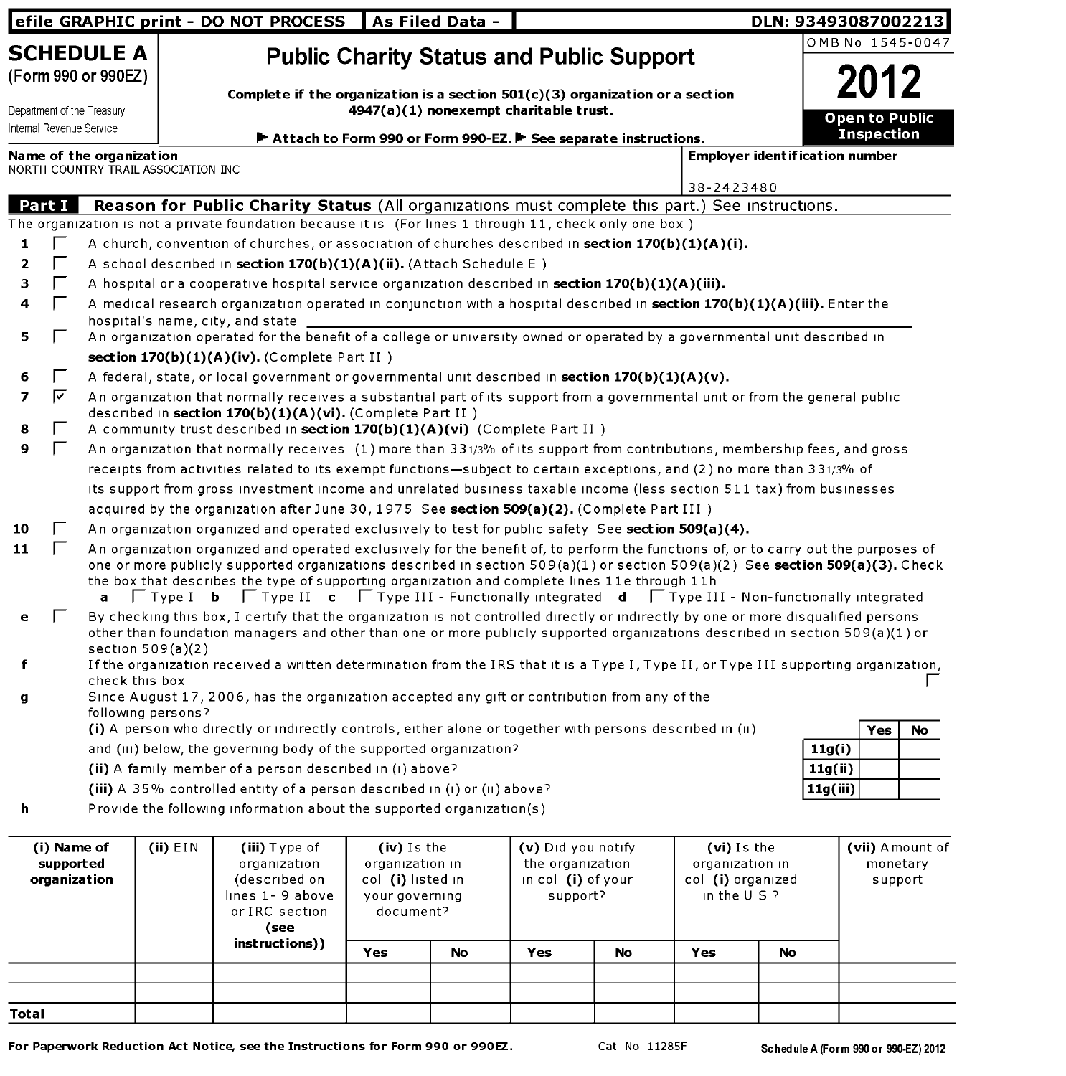|                                                                               |              |                          |                                     | efile GRAPHIC print - DO NOT PROCESS                                                                                                                                                                                                                                 |                                                                                                                                                                              | As Filed Data -    |                    |                   |                 |                | DLN: 93493087002213                     |
|-------------------------------------------------------------------------------|--------------|--------------------------|-------------------------------------|----------------------------------------------------------------------------------------------------------------------------------------------------------------------------------------------------------------------------------------------------------------------|------------------------------------------------------------------------------------------------------------------------------------------------------------------------------|--------------------|--------------------|-------------------|-----------------|----------------|-----------------------------------------|
|                                                                               |              | <b>SCHEDULE A</b>        |                                     |                                                                                                                                                                                                                                                                      |                                                                                                                                                                              |                    |                    |                   |                 |                | OMB No 1545-0047                        |
| (Form 990 or 990EZ)<br>Department of the Treasury<br>Internal Revenue Service |              |                          |                                     |                                                                                                                                                                                                                                                                      | <b>Public Charity Status and Public Support</b><br>Complete if the organization is a section $501(c)(3)$ organization or a section<br>4947(a)(1) nonexempt charitable trust. |                    |                    |                   |                 | Open to Public |                                         |
|                                                                               |              |                          |                                     | Attach to Form 990 or Form 990-EZ. F See separate instructions.                                                                                                                                                                                                      |                                                                                                                                                                              |                    |                    |                   |                 |                | <b>Inspection</b>                       |
|                                                                               |              | Name of the organization | NORTH COUNTRY TRAIL ASSOCIATION INC |                                                                                                                                                                                                                                                                      |                                                                                                                                                                              |                    |                    |                   |                 |                | <b>Employer ident if ication number</b> |
|                                                                               |              |                          |                                     |                                                                                                                                                                                                                                                                      |                                                                                                                                                                              |                    |                    |                   | 38-2423480      |                |                                         |
|                                                                               | Part I       |                          |                                     | Reason for Public Charity Status (All organizations must complete this part.) See instructions.                                                                                                                                                                      |                                                                                                                                                                              |                    |                    |                   |                 |                |                                         |
|                                                                               |              |                          |                                     | The organization is not a private foundation because it is (For lines 1 through 11, check only one box)                                                                                                                                                              |                                                                                                                                                                              |                    |                    |                   |                 |                |                                         |
| 1                                                                             |              |                          |                                     | A church, convention of churches, or association of churches described in section 170(b)(1)(A)(i).                                                                                                                                                                   |                                                                                                                                                                              |                    |                    |                   |                 |                |                                         |
| $\overline{\mathbf{z}}$                                                       |              |                          |                                     | A school described in section 170(b)(1)(A)(ii). (Attach Schedule E)                                                                                                                                                                                                  |                                                                                                                                                                              |                    |                    |                   |                 |                |                                         |
| з                                                                             |              |                          |                                     | A hospital or a cooperative hospital service organization described in section $170(b)(1)(A)(iii)$ .                                                                                                                                                                 |                                                                                                                                                                              |                    |                    |                   |                 |                |                                         |
| 4                                                                             | I.           |                          |                                     | A medical research organization operated in conjunction with a hospital described in section 170(b)(1)(A)(iii). Enter the                                                                                                                                            |                                                                                                                                                                              |                    |                    |                   |                 |                |                                         |
|                                                                               |              |                          |                                     | hospital's name, city, and state                                                                                                                                                                                                                                     |                                                                                                                                                                              |                    |                    |                   |                 |                |                                         |
| 5                                                                             |              |                          |                                     | An organization operated for the benefit of a college or university owned or operated by a governmental unit described in                                                                                                                                            |                                                                                                                                                                              |                    |                    |                   |                 |                |                                         |
|                                                                               |              |                          |                                     | section 170(b)(1)(A)(iv). (Complete Part II)                                                                                                                                                                                                                         |                                                                                                                                                                              |                    |                    |                   |                 |                |                                         |
| 6                                                                             | I.           |                          |                                     | A federal, state, or local government or governmental unit described in section $170(b)(1)(A)(v)$ .                                                                                                                                                                  |                                                                                                                                                                              |                    |                    |                   |                 |                |                                         |
| $\overline{ }$                                                                | ⊽            |                          |                                     | An organization that normally receives a substantial part of its support from a governmental unit or from the general public<br>described in section 170(b)(1)(A)(vi). (Complete Part II)                                                                            |                                                                                                                                                                              |                    |                    |                   |                 |                |                                         |
| 8                                                                             |              |                          |                                     | A community trust described in section 170(b)(1)(A)(vi) (Complete Part II)                                                                                                                                                                                           |                                                                                                                                                                              |                    |                    |                   |                 |                |                                         |
| 9                                                                             | $\mathbf{L}$ |                          |                                     | An organization that normally receives (1) more than 331/3% of its support from contributions, membership fees, and gross                                                                                                                                            |                                                                                                                                                                              |                    |                    |                   |                 |                |                                         |
|                                                                               |              |                          |                                     | receipts from activities related to its exempt functions-subject to certain exceptions, and (2) no more than 331/3% of                                                                                                                                               |                                                                                                                                                                              |                    |                    |                   |                 |                |                                         |
|                                                                               |              |                          |                                     | its support from gross investment income and unrelated business taxable income (less section 511 tax) from businesses                                                                                                                                                |                                                                                                                                                                              |                    |                    |                   |                 |                |                                         |
|                                                                               |              |                          |                                     | acquired by the organization after June 30, 1975 See section 509(a)(2). (Complete Part III)                                                                                                                                                                          |                                                                                                                                                                              |                    |                    |                   |                 |                |                                         |
| 10                                                                            | $\mathbf{L}$ |                          |                                     | An organization organized and operated exclusively to test for public safety See section 509(a)(4).                                                                                                                                                                  |                                                                                                                                                                              |                    |                    |                   |                 |                |                                         |
| 11                                                                            |              |                          |                                     | An organization organized and operated exclusively for the benefit of, to perform the functions of, or to carry out the purposes of<br>one or more publicly supported organizations described in section 509(a)(1) or section 509(a)(2) See section 509(a)(3). Check |                                                                                                                                                                              |                    |                    |                   |                 |                |                                         |
|                                                                               |              | a                        |                                     | the box that describes the type of supporting organization and complete lines 11e through 11h<br>$\Box$ Type I <b>b</b> $\Box$ Type II <b>c</b> $\Box$ Type III - Functionally integrated <b>d</b> $\Box$ Type III - Non-functionally integrated                     |                                                                                                                                                                              |                    |                    |                   |                 |                |                                         |
| е                                                                             |              |                          | section $509(a)(2)$                 | By checking this box, I certify that the organization is not controlled directly or indirectly by one or more disqualified persons<br>other than foundation managers and other than one or more publicly supported organizations described in section 509(a)(1) or   |                                                                                                                                                                              |                    |                    |                   |                 |                |                                         |
| f                                                                             |              |                          |                                     | If the organization received a written determination from the IRS that it is a Type I, Type II, or Type III supporting organization,                                                                                                                                 |                                                                                                                                                                              |                    |                    |                   |                 |                |                                         |
| g                                                                             |              | check this box           |                                     | Since August 17, 2006, has the organization accepted any gift or contribution from any of the                                                                                                                                                                        |                                                                                                                                                                              |                    |                    |                   |                 |                |                                         |
|                                                                               |              |                          | following persons?                  |                                                                                                                                                                                                                                                                      |                                                                                                                                                                              |                    |                    |                   |                 |                |                                         |
|                                                                               |              |                          |                                     | (i) A person who directly or indirectly controls, either alone or together with persons described in (ii)                                                                                                                                                            |                                                                                                                                                                              |                    |                    |                   |                 |                | Yes<br>No                               |
|                                                                               |              |                          |                                     | and (III) below, the governing body of the supported organization?                                                                                                                                                                                                   |                                                                                                                                                                              |                    |                    |                   |                 |                | 11g(i)                                  |
|                                                                               |              |                          |                                     | (ii) A family member of a person described in (i) above?                                                                                                                                                                                                             |                                                                                                                                                                              |                    |                    |                   |                 |                | 11g(ii)                                 |
|                                                                               |              |                          |                                     | (iii) A 35% controlled entity of a person described in (i) or (ii) above?                                                                                                                                                                                            |                                                                                                                                                                              |                    |                    |                   |                 |                | 11g(iii)                                |
| h                                                                             |              |                          |                                     | Provide the following information about the supported organization(s)                                                                                                                                                                                                |                                                                                                                                                                              |                    |                    |                   |                 |                |                                         |
|                                                                               |              |                          |                                     |                                                                                                                                                                                                                                                                      |                                                                                                                                                                              |                    |                    |                   |                 |                |                                         |
|                                                                               | (i) Name of  |                          | (ii) EIN                            | (iii) Type of                                                                                                                                                                                                                                                        | (iv) Is the                                                                                                                                                                  |                    | (v) Did you notify |                   | (vi) Is the     |                | (vii) Amount of                         |
|                                                                               | supported    |                          |                                     | organization                                                                                                                                                                                                                                                         | organization in                                                                                                                                                              |                    | the organization   |                   | organization in |                | monetary                                |
| organization                                                                  |              |                          | (described on                       | col (i) listed in                                                                                                                                                                                                                                                    |                                                                                                                                                                              | in col (i) of your |                    | col (i) organized |                 | support        |                                         |
|                                                                               |              |                          | lines 1 - 9 above                   | your governing                                                                                                                                                                                                                                                       |                                                                                                                                                                              | support?           |                    | in the $U S$ ?    |                 |                |                                         |
|                                                                               |              |                          |                                     | or IRC section<br>(see                                                                                                                                                                                                                                               | document?                                                                                                                                                                    |                    |                    |                   |                 |                |                                         |
|                                                                               |              |                          |                                     | instructions))                                                                                                                                                                                                                                                       |                                                                                                                                                                              |                    |                    |                   |                 |                |                                         |
|                                                                               |              |                          |                                     |                                                                                                                                                                                                                                                                      | Yes                                                                                                                                                                          | No                 | Yes                | No                | <b>Yes</b>      | No             |                                         |
|                                                                               |              |                          |                                     |                                                                                                                                                                                                                                                                      |                                                                                                                                                                              |                    |                    |                   |                 |                |                                         |
|                                                                               |              |                          |                                     |                                                                                                                                                                                                                                                                      |                                                                                                                                                                              |                    |                    |                   |                 |                |                                         |

Total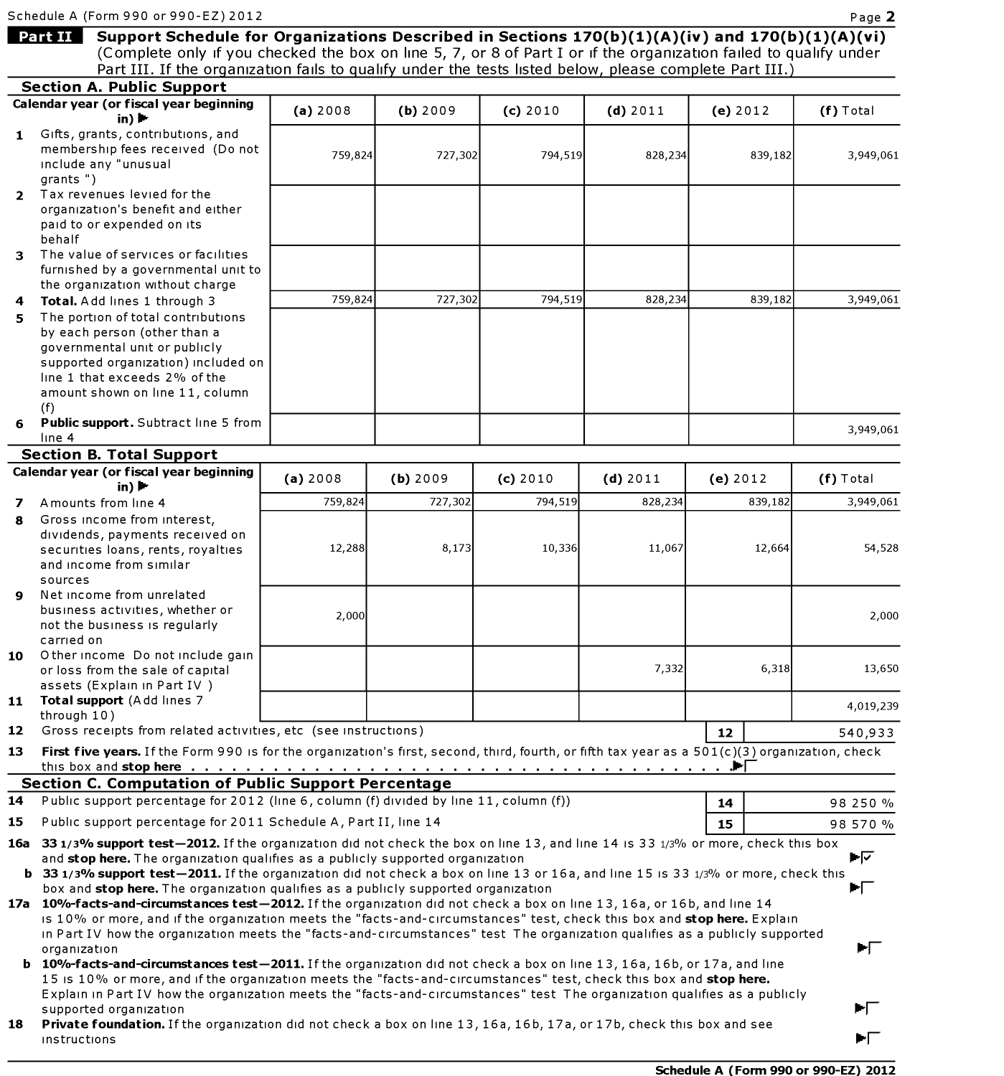Schedule A (Form 990 or 990-EZ) 2012 **Page 2 Page 2 Page 2 Page 2 Page 2 10.111 • 10.111 • Part III** Support Schedule for Organizations Described in Sections 170(b)(1)(A)(iv) and 170(b)(1)(A)(vi) (Complete only if you checked the box on line 5, 7, or 8 of Part I or if the organization failed to qualify under Part III. If the organization fails to qualify under the tests listed below, please complete Part III.) **Section A. Public Support Calendar year (or fiscal year beginning**   $\mathbf{in}$ ) $\mathbf{H}$ **1** Gifts, grants, contributions, and membership fees received (Do not include any "unusual grants") **2** Tax revenues levied forthe organization's benefit and either paid to or expended on its behalf 3 The value of services or facilities furnished by a governmental unit to the organization without charge **4 Total.** Add lines 1 through 3 **5** The portion of total contributions by each person (other than a governmental unit or publicly supported organization) included on line 1 that exceeds 2% of the amount shown on line 11, column (f) **Public support.** Subtract line 5 from line 4 **Section B. Total Support Calendar year (or fiscal year beginning**  in) $\blacktriangleright$ **7** Amounts from line 4 **8** Gross income from interest, dividends, payments received on securities loans, rents, royalties and income from similar sources **9** Net income from unrelated business activities, whether or not the business 1s regularly earned on 10 Other income Do not include gain or loss from the sale of capital assets (Explain 1n Part IV ) 11 Total support (Add lines 7 through 10) **(a)** 2008 **(b)** 2009 759,824 727,302 759,824 727,302 **(a)** 2008 **(b)** 2009 759,824 727,302 12,288 8,173 2,000 12 Gross receipts from related activities, etc (see instructions) (c) 2010 (d)2011 (e)2012 **(f)** Total 794,519 828,234 839,182 3,949,061 794,519 828,234 839,182 3,949,061 3,949,061 (c) 2010 **(d)** 2011 (e) 2012 **(f)** Total 794,519 828,234 839,182 3,949,061 10,336 11,067 12,664 54,528 2,000 7,332 6,318 13,650 4,019,239 **12 540,933 13 First five years.** If the Form 990 1s for the organ1zat1on's first, second, third, fourth, or fifth tax year as a 50 l(c)(3) organ1zat1on, check this box and **stop here** ........................................... I **Section C. Computation of Public Support Percentage 14** Public support percentage for 2012 (line 6, column (f) divided by line 11, column (f)) **15** Public support percentage for 2011 Schedule A, Part II, line 14 **14 15**  98 250 % 98 570 % 16a 331/3% support test-2012. If the organization did not check the box on line 13, and line 14 is 33 1/3% or more, check this box and **stop here.** The organization qualifies as a publicly supported organization  $\blacktriangleright$ **b 331/3% support test-2011.** If the organization did not check a box on line 13 or 16a, and line 15 is 33 1/3% or more, check this<br>box and **stop here.** The organization qualifies as a publicly supported organization box and stop here. The organization qualifies as a publicly supported organization 17a 10%-facts-and-circumstances test-2012. If the organization did not check a box on line 13, 16a, or 16b, and line 14 1s 10% or more, and if the organization meets the "facts-and-circumstances" test, check this box and stop here. Explain In Part IV how the organization meets the "facts-and-circumstances" test The organization qualifies as a publicly supported organization  $\blacktriangleright\hspace{-4.5pt}\lvert\hspace{-4.5pt}\rvert$ organization<br>**b 10%-facts-and-circumstances test-2011.** If the organization did not check a box on line 13, 16a, 16b, or 17a, and line 15 is 10% or more, and if the organization meets the "facts-and-circumstances" test, check this box and stop here. Explain in Part IV how the organization meets the "facts-and-circumstances" test The organization qualifies as a publicly supported organization 18 Private foundation. If the organization did not check a box on line 13, 16a, 16b, 17a, or 17b, check this box and see

1nstruct1ons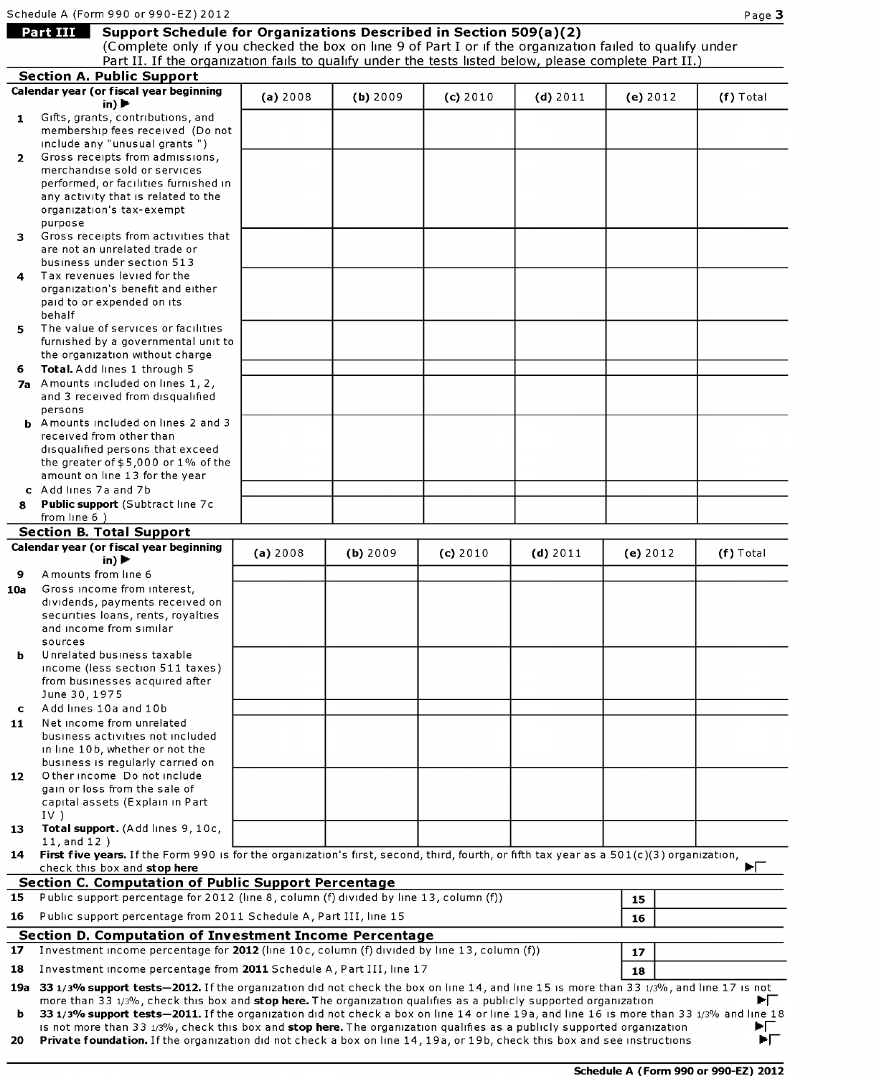# **Mart 111 Support Schedule for Organizations Described in Section 509(a)(2)**

(Complete only if you checked the box on line 9 of Part I or if the organization failed to qualify under Part II. If the organization falls to qualify under the tests listed below, please complete Part II.)

|              | <b>Section A. Public Support</b>                                                                                                                                                                                                                                    |          |            |          |            |          |             |
|--------------|---------------------------------------------------------------------------------------------------------------------------------------------------------------------------------------------------------------------------------------------------------------------|----------|------------|----------|------------|----------|-------------|
|              | Calendar year (or fiscal year beginning                                                                                                                                                                                                                             | (a) 2008 | $(b)$ 2009 | (c) 2010 | $(d)$ 2011 | (e) 2012 | (f) Total   |
| $\mathbf{1}$ | in) $\blacktriangleright$<br>Gifts, grants, contributions, and                                                                                                                                                                                                      |          |            |          |            |          |             |
|              | membership fees received (Do not<br>include any "unusual grants")                                                                                                                                                                                                   |          |            |          |            |          |             |
| $\mathbf{2}$ | Gross receipts from admissions,                                                                                                                                                                                                                                     |          |            |          |            |          |             |
|              | merchandise sold or services<br>performed, or facilities furnished in                                                                                                                                                                                               |          |            |          |            |          |             |
|              | any activity that is related to the                                                                                                                                                                                                                                 |          |            |          |            |          |             |
|              | organization's tax-exempt                                                                                                                                                                                                                                           |          |            |          |            |          |             |
|              | purpose                                                                                                                                                                                                                                                             |          |            |          |            |          |             |
| 3.           | Gross receipts from activities that                                                                                                                                                                                                                                 |          |            |          |            |          |             |
|              | are not an unrelated trade or<br>business under section 513                                                                                                                                                                                                         |          |            |          |            |          |             |
| 4            | Tax revenues levied for the                                                                                                                                                                                                                                         |          |            |          |            |          |             |
|              | organization's benefit and either                                                                                                                                                                                                                                   |          |            |          |            |          |             |
|              | paid to or expended on its                                                                                                                                                                                                                                          |          |            |          |            |          |             |
|              | behalf<br>The value of services or facilities                                                                                                                                                                                                                       |          |            |          |            |          |             |
| 5.           | furnished by a governmental unit to                                                                                                                                                                                                                                 |          |            |          |            |          |             |
|              | the organization without charge                                                                                                                                                                                                                                     |          |            |          |            |          |             |
| 6            | Total. Add lines 1 through 5                                                                                                                                                                                                                                        |          |            |          |            |          |             |
|              | 7a Amounts included on lines 1, 2,                                                                                                                                                                                                                                  |          |            |          |            |          |             |
|              | and 3 received from disqualified<br>persons                                                                                                                                                                                                                         |          |            |          |            |          |             |
|              | <b>b</b> Amounts included on lines 2 and 3                                                                                                                                                                                                                          |          |            |          |            |          |             |
|              | received from other than                                                                                                                                                                                                                                            |          |            |          |            |          |             |
|              | disqualified persons that exceed                                                                                                                                                                                                                                    |          |            |          |            |          |             |
|              | the greater of $$5,000$ or $1\%$ of the<br>amount on line 13 for the year                                                                                                                                                                                           |          |            |          |            |          |             |
|              | c Add lines 7a and 7b                                                                                                                                                                                                                                               |          |            |          |            |          |             |
| 8            | Public support (Subtract line 7c                                                                                                                                                                                                                                    |          |            |          |            |          |             |
|              | from line $6$ )                                                                                                                                                                                                                                                     |          |            |          |            |          |             |
|              | <b>Section B. Total Support</b>                                                                                                                                                                                                                                     |          |            |          |            |          |             |
|              | Calendar year (or fiscal year beginning<br>in) $\blacktriangleright$                                                                                                                                                                                                | (a) 2008 | (b) 2009   | (c) 2010 | (d) 2011   | (e) 2012 | $(f)$ Total |
| 9            | Amounts from line 6                                                                                                                                                                                                                                                 |          |            |          |            |          |             |
| 10a          | Gross income from interest,                                                                                                                                                                                                                                         |          |            |          |            |          |             |
|              | dividends, payments received on                                                                                                                                                                                                                                     |          |            |          |            |          |             |
|              | securities loans, rents, royalties<br>and income from similar                                                                                                                                                                                                       |          |            |          |            |          |             |
|              | sources                                                                                                                                                                                                                                                             |          |            |          |            |          |             |
|              | Unrelated business taxable                                                                                                                                                                                                                                          |          |            |          |            |          |             |
|              | income (less section 511 taxes)                                                                                                                                                                                                                                     |          |            |          |            |          |             |
|              | from businesses acquired after<br>June 30, 1975                                                                                                                                                                                                                     |          |            |          |            |          |             |
| c            | Add lines 10a and 10b                                                                                                                                                                                                                                               |          |            |          |            |          |             |
| 11           | Net income from unrelated                                                                                                                                                                                                                                           |          |            |          |            |          |             |
|              | business activities not included                                                                                                                                                                                                                                    |          |            |          |            |          |             |
|              | in line 10b, whether or not the<br>business is regularly carried on                                                                                                                                                                                                 |          |            |          |            |          |             |
| 12           | O ther income Do not include                                                                                                                                                                                                                                        |          |            |          |            |          |             |
|              | gain or loss from the sale of                                                                                                                                                                                                                                       |          |            |          |            |          |             |
|              | capital assets (Explain in Part                                                                                                                                                                                                                                     |          |            |          |            |          |             |
| 13           | IV)<br>Total support. (Add lines 9, 10c,                                                                                                                                                                                                                            |          |            |          |            |          |             |
|              | 11, and 12)                                                                                                                                                                                                                                                         |          |            |          |            |          |             |
| 14           | First five years. If the Form 990 is for the organization's first, second, third, fourth, or fifth tax year as a 501(c)(3) organization,<br>check this box and stop here                                                                                            |          |            |          |            |          |             |
|              | <b>Section C. Computation of Public Support Percentage</b>                                                                                                                                                                                                          |          |            |          |            |          |             |
| 15           | Public support percentage for 2012 (line 8, column (f) divided by line 13, column (f))                                                                                                                                                                              |          |            |          |            | 15       |             |
| 16           | Public support percentage from 2011 Schedule A, Part III, line 15                                                                                                                                                                                                   |          |            |          |            | 16       |             |
|              | <b>Section D. Computation of Investment Income Percentage</b>                                                                                                                                                                                                       |          |            |          |            |          |             |
| 17           | Investment income percentage for 2012 (line 10c, column (f) divided by line 13, column (f))                                                                                                                                                                         |          |            |          |            | 17       |             |
| 18           | Investment income percentage from 2011 Schedule A, Part III, line 17                                                                                                                                                                                                |          |            |          |            | 18       |             |
|              | 19a 33 1/3% support tests-2012. If the organization did not check the box on line 14, and line 15 is more than 33 1/3%, and line 17 is not                                                                                                                          |          |            |          |            |          |             |
|              | more than 33 1/3%, check this box and stop here. The organization qualifies as a publicly supported organization                                                                                                                                                    |          |            |          |            |          | ►Г          |
| b            | 33 1/3% support tests-2011. If the organization did not check a box on line 14 or line 19a, and line 16 is more than 33 1/3% and line 18<br>is not more than 33 1/3%, check this box and stop here. The organization qualifies as a publicly supported organization |          |            |          |            |          | ►⊏          |
| 20           | Private foundation. If the organization did not check a box on line 14, 19a, or 19b, check this box and see instructions                                                                                                                                            |          |            |          |            |          | ÞГ          |
|              |                                                                                                                                                                                                                                                                     |          |            |          |            |          |             |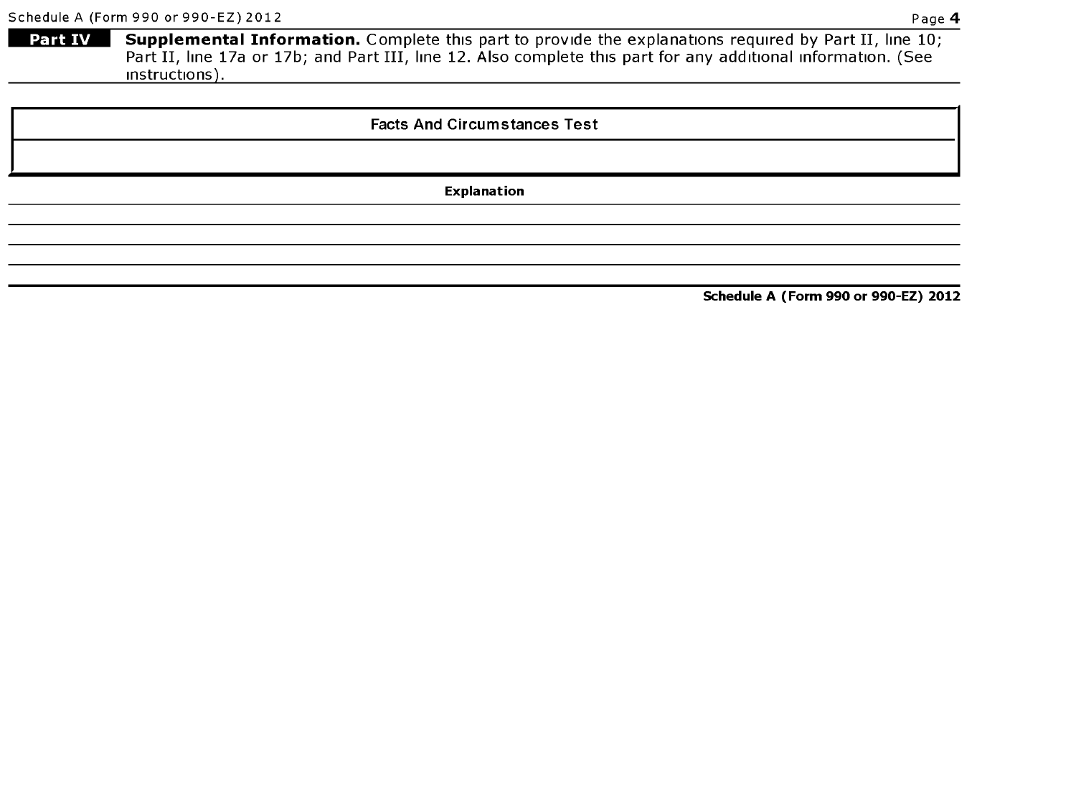Part IV Supplemental Information. Complete this part to provide the explanations required by Part II, line 10; Part II, line 17a or 17b; and Part III, line 12. Also complete this part for any additional information. (See instructions).

### Facts And Circumstances Test

Explanation

Schedule A (Form 990 or 990-EZ) 2012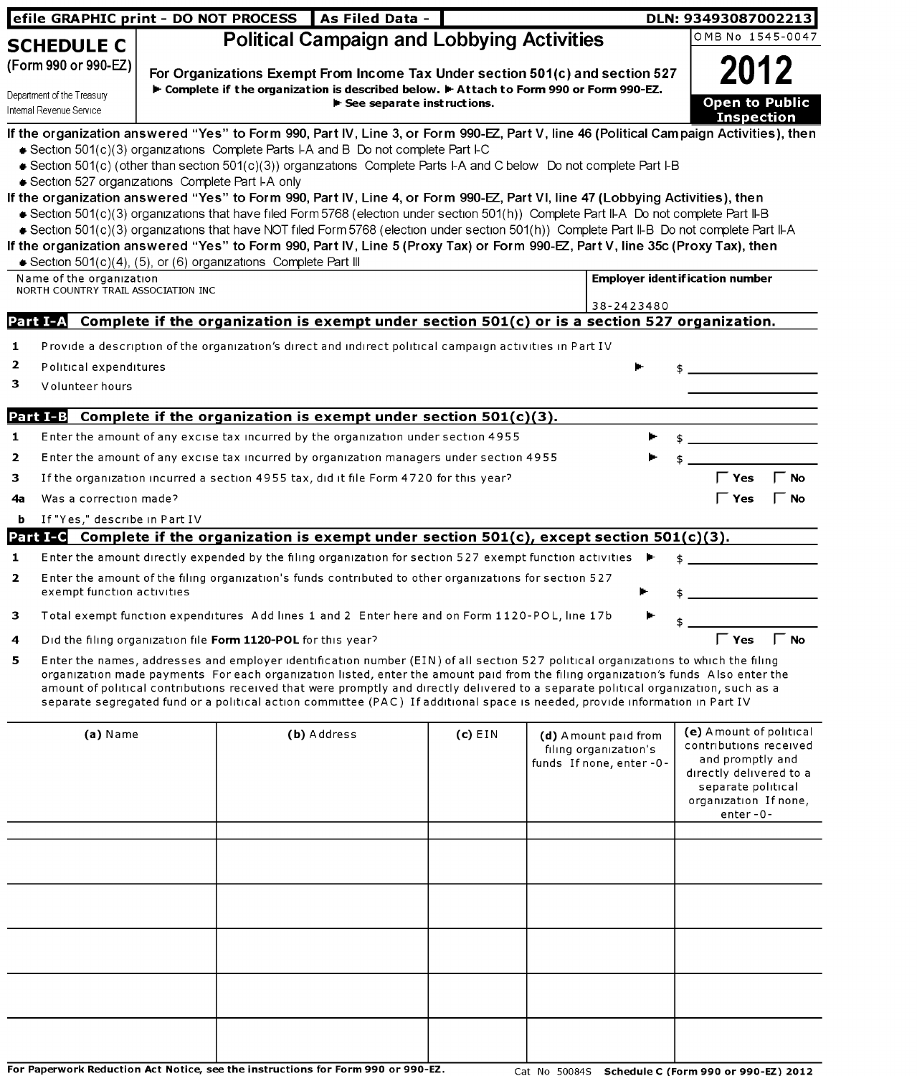| efile GRAPHIC print - DO NOT PROCESS                                           |                                                                                                                                                                                                                              | As Filed Data -                                                                                                                                                                                                                                                                                                                                                                                                                                                                                                                                                                                                                                                                                                                                                                                                                                                                                                                                                                 |           |                                                                           | DLN: 93493087002213                                                                                                                                          |
|--------------------------------------------------------------------------------|------------------------------------------------------------------------------------------------------------------------------------------------------------------------------------------------------------------------------|---------------------------------------------------------------------------------------------------------------------------------------------------------------------------------------------------------------------------------------------------------------------------------------------------------------------------------------------------------------------------------------------------------------------------------------------------------------------------------------------------------------------------------------------------------------------------------------------------------------------------------------------------------------------------------------------------------------------------------------------------------------------------------------------------------------------------------------------------------------------------------------------------------------------------------------------------------------------------------|-----------|---------------------------------------------------------------------------|--------------------------------------------------------------------------------------------------------------------------------------------------------------|
| <b>SCHEDULE C</b>                                                              |                                                                                                                                                                                                                              | <b>Political Campaign and Lobbying Activities</b>                                                                                                                                                                                                                                                                                                                                                                                                                                                                                                                                                                                                                                                                                                                                                                                                                                                                                                                               |           |                                                                           | OMB No 1545-0047                                                                                                                                             |
| (Form 990 or 990-EZ)<br>Department of the Treasury<br>Internal Revenue Service | For Organizations Exempt From Income Tax Under section 501(c) and section 527<br>► Complete if the organization is described below. ► Attach to Form 990 or Form 990-EZ.<br>$\blacktriangleright$ See separate instructions. |                                                                                                                                                                                                                                                                                                                                                                                                                                                                                                                                                                                                                                                                                                                                                                                                                                                                                                                                                                                 |           |                                                                           |                                                                                                                                                              |
| Section 527 organizations Complete Part I-A only                               |                                                                                                                                                                                                                              | If the organization answered "Yes" to Form 990, Part IV, Line 3, or Form 990-EZ, Part V, line 46 (Political Campaign Activities), then<br>Gection 501(c)(3) organizations Complete Parts I-A and B Do not complete Part I-C<br>Gection 501(c) (other than section 501(c)(3)) organizations Complete Parts I-A and C below Do not complete Part I-B<br>If the organization answered "Yes" to Form 990, Part IV, Line 4, or Form 990-EZ, Part VI, line 47 (Lobbying Activities), then<br>Section 501(c)(3) organizations that have filed Form 5768 (election under section 501(h)) Complete Part II-A Do not complete Part II-B<br>Section 501(c)(3) organizations that have NOT filed Form 5768 (election under section 501(h)) Complete Part II-B Do not complete Part II-A<br>If the organization answered "Yes" to Form 990, Part IV, Line 5 (Proxy Tax) or Form 990-EZ, Part V, line 35c (Proxy Tax), then<br>Section 501(c)(4), (5), or (6) organizations Complete Part III |           |                                                                           |                                                                                                                                                              |
| Name of the organization<br>NORTH COUNTRY TRAIL ASSOCIATION INC                |                                                                                                                                                                                                                              |                                                                                                                                                                                                                                                                                                                                                                                                                                                                                                                                                                                                                                                                                                                                                                                                                                                                                                                                                                                 |           |                                                                           | <b>Employer ident if ication number</b>                                                                                                                      |
|                                                                                |                                                                                                                                                                                                                              | Part I-A Complete if the organization is exempt under section $501(c)$ or is a section 527 organization.                                                                                                                                                                                                                                                                                                                                                                                                                                                                                                                                                                                                                                                                                                                                                                                                                                                                        |           | 38-2423480                                                                |                                                                                                                                                              |
| 2<br>Political expenditures<br>з<br>Volunteer hours<br>1<br>2<br>з             |                                                                                                                                                                                                                              | <b>Part I-B</b> Complete if the organization is exempt under section $501(c)(3)$ .<br>Enter the amount of any excise tax incurred by the organization under section 4955<br>Enter the amount of any excise tax incurred by organization managers under section 4955<br>If the organization incurred a section 4955 tax, did it file Form 4720 for this year?                                                                                                                                                                                                                                                                                                                                                                                                                                                                                                                                                                                                                    |           |                                                                           | ັ Yes<br><b>No</b>                                                                                                                                           |
| Was a correction made?<br>4a<br>If "Yes," describe in Part IV<br>b             |                                                                                                                                                                                                                              |                                                                                                                                                                                                                                                                                                                                                                                                                                                                                                                                                                                                                                                                                                                                                                                                                                                                                                                                                                                 |           |                                                                           | <b>Yes</b><br>ΓNo                                                                                                                                            |
|                                                                                |                                                                                                                                                                                                                              | <b>Part I-C</b> Complete if the organization is exempt under section $501(c)$ , except section $501(c)(3)$ .                                                                                                                                                                                                                                                                                                                                                                                                                                                                                                                                                                                                                                                                                                                                                                                                                                                                    |           |                                                                           |                                                                                                                                                              |
| 1<br>$\mathbf{2}$<br>exempt function activities                                |                                                                                                                                                                                                                              | Enter the amount directly expended by the filing organization for section 527 exempt function activities<br>Enter the amount of the filing organization's funds contributed to other organizations for section 527                                                                                                                                                                                                                                                                                                                                                                                                                                                                                                                                                                                                                                                                                                                                                              |           |                                                                           |                                                                                                                                                              |
|                                                                                |                                                                                                                                                                                                                              | Total exempt function expenditures Add lines 1 and 2 Enter here and on Form 1120-POL, line 17b                                                                                                                                                                                                                                                                                                                                                                                                                                                                                                                                                                                                                                                                                                                                                                                                                                                                                  |           |                                                                           | \$                                                                                                                                                           |
| 4                                                                              |                                                                                                                                                                                                                              | Did the filing organization file Form 1120-POL for this year?                                                                                                                                                                                                                                                                                                                                                                                                                                                                                                                                                                                                                                                                                                                                                                                                                                                                                                                   |           |                                                                           | $\begin{bmatrix} 1 & 1 \\ 1 & 1 \end{bmatrix}$ Yes $\begin{bmatrix} 1 & 1 \\ 1 & 1 \end{bmatrix}$ No                                                         |
| 5.                                                                             |                                                                                                                                                                                                                              | Enter the names, addresses and employer identification number (EIN) of all section 527 political organizations to which the filing<br>organization made payments For each organization listed, enter the amount paid from the filing organization's funds Also enter the<br>amount of political contributions received that were promptly and directly delivered to a separate political organization, such as a<br>separate segregated fund or a political action committee (PAC) If additional space is needed, provide information in Part IV                                                                                                                                                                                                                                                                                                                                                                                                                                |           |                                                                           |                                                                                                                                                              |
| (a) Name                                                                       |                                                                                                                                                                                                                              | (b) Address                                                                                                                                                                                                                                                                                                                                                                                                                                                                                                                                                                                                                                                                                                                                                                                                                                                                                                                                                                     | $(c)$ EIN | (d) Amount paid from<br>filing organization's<br>funds If none, enter -0- | (e) A mount of political<br>contributions received<br>and promptly and<br>directly delivered to a<br>separate political<br>organization If none,<br>enter-0- |
|                                                                                |                                                                                                                                                                                                                              |                                                                                                                                                                                                                                                                                                                                                                                                                                                                                                                                                                                                                                                                                                                                                                                                                                                                                                                                                                                 |           |                                                                           |                                                                                                                                                              |
|                                                                                |                                                                                                                                                                                                                              |                                                                                                                                                                                                                                                                                                                                                                                                                                                                                                                                                                                                                                                                                                                                                                                                                                                                                                                                                                                 |           |                                                                           |                                                                                                                                                              |
|                                                                                |                                                                                                                                                                                                                              |                                                                                                                                                                                                                                                                                                                                                                                                                                                                                                                                                                                                                                                                                                                                                                                                                                                                                                                                                                                 |           |                                                                           |                                                                                                                                                              |
|                                                                                |                                                                                                                                                                                                                              | For Paperwork Reduction Act Notice, see the instructions for Form 990 or 990-EZ.                                                                                                                                                                                                                                                                                                                                                                                                                                                                                                                                                                                                                                                                                                                                                                                                                                                                                                |           |                                                                           | Cat No 50084S Schedule C (Form 990 or 990-EZ) 2012                                                                                                           |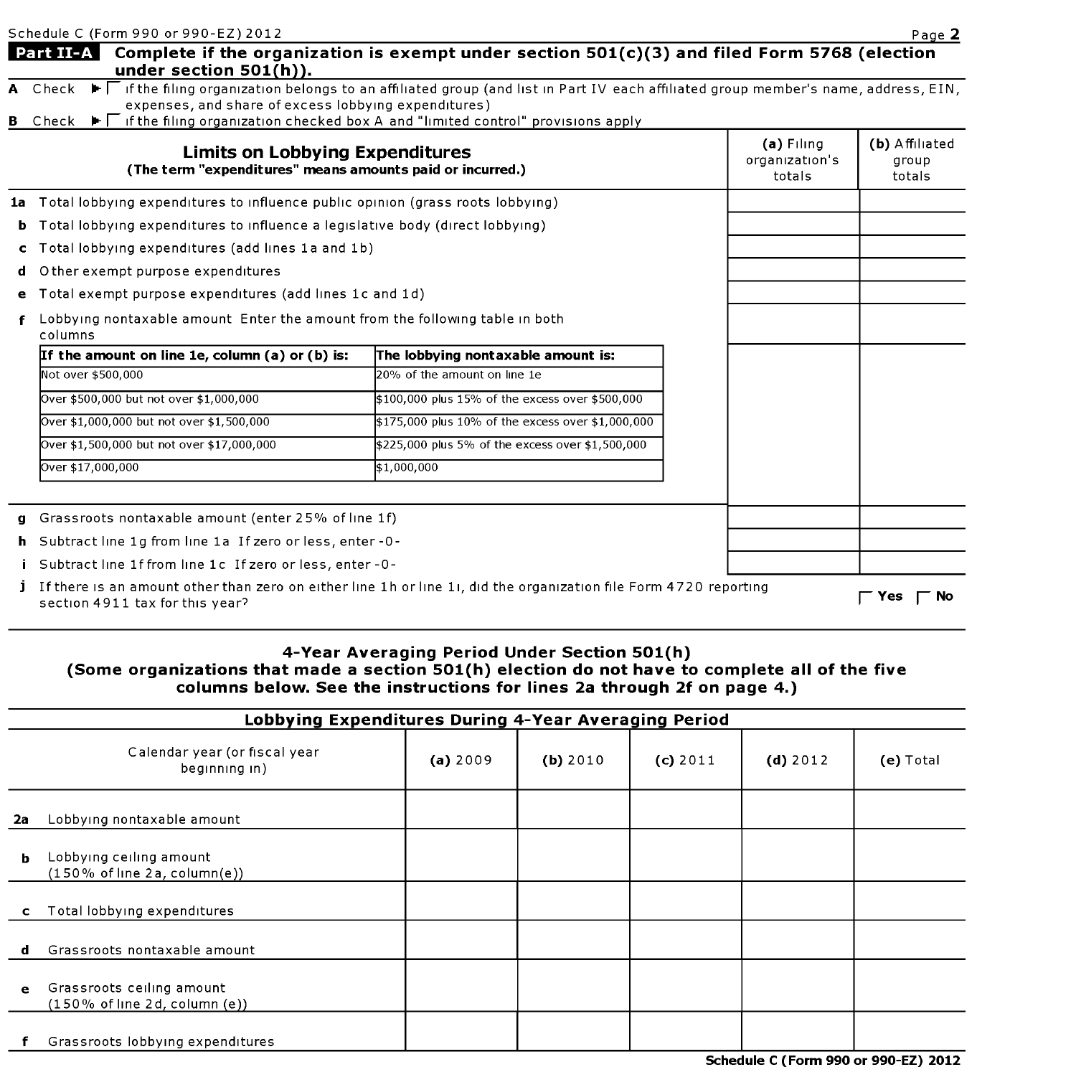|    | Schedule C (Form 990 or 990-EZ) 2012                                                                                                                                                                |                                                   |                                          | Page 2                            |
|----|-----------------------------------------------------------------------------------------------------------------------------------------------------------------------------------------------------|---------------------------------------------------|------------------------------------------|-----------------------------------|
|    | <b>Part II-A</b> Complete if the organization is exempt under section $501(c)(3)$ and filed Form 5768 (election<br>under section $501(h)$ ).                                                        |                                                   |                                          |                                   |
|    | A Check ▶ Fifthe filing organization belongs to an affiliated group (and list in Part IV each affiliated group member's name, address, EIN,<br>expenses, and share of excess lobbying expenditures) |                                                   |                                          |                                   |
|    | <b>B</b> Check $\blacktriangleright\Gamma$ if the filing organization checked box A and "limited control" provisions apply                                                                          |                                                   |                                          |                                   |
|    | <b>Limits on Lobbying Expenditures</b><br>(The term "expenditures" means amounts paid or incurred.)                                                                                                 |                                                   | $(a)$ Filing<br>organization's<br>totals | (b) Affiliated<br>group<br>totals |
|    | 1a Total lobbying expenditures to influence public opinion (grass roots lobbying)                                                                                                                   |                                                   |                                          |                                   |
| ь. | Total lobbying expenditures to influence a legislative body (direct lobbying)                                                                                                                       |                                                   |                                          |                                   |
| c. | Total lobbying expenditures (add lines 1a and 1b)                                                                                                                                                   |                                                   |                                          |                                   |
|    | O ther exempt purpose expenditures                                                                                                                                                                  |                                                   |                                          |                                   |
| e  | Total exempt purpose expenditures (add lines 1c and 1d)                                                                                                                                             |                                                   |                                          |                                   |
|    | Lobbying nontaxable amount Enter the amount from the following table in both<br>columns                                                                                                             |                                                   |                                          |                                   |
|    | If the amount on line 1e, column (a) or (b) is:                                                                                                                                                     | The lobbying nontaxable amount is:                |                                          |                                   |
|    | Not over \$500,000                                                                                                                                                                                  | 20% of the amount on line 1e                      |                                          |                                   |
|    | Over \$500,000 but not over \$1,000,000                                                                                                                                                             | \$100,000 plus 15% of the excess over \$500,000   |                                          |                                   |
|    | Over \$1,000,000 but not over \$1,500,000                                                                                                                                                           | \$175,000 plus 10% of the excess over \$1,000,000 |                                          |                                   |
|    | Over \$1,500,000 but not over \$17,000,000                                                                                                                                                          | \$225,000 plus 5% of the excess over \$1,500,000  |                                          |                                   |
|    | Over \$17,000,000                                                                                                                                                                                   | \$1,000,000                                       |                                          |                                   |
|    |                                                                                                                                                                                                     |                                                   |                                          |                                   |
|    | Grassroots nontaxable amount (enter 25% of line 1f)                                                                                                                                                 |                                                   |                                          |                                   |
|    | h Subtract line 1g from line 1a If zero or less, enter -0-                                                                                                                                          |                                                   |                                          |                                   |
|    | Subtract line 1f from line 1c If zero or less, enter -0-                                                                                                                                            |                                                   |                                          |                                   |
| L  | If there is an amount other than zero on either line 1h or line 1i, did the organization file Form 4720 reporting<br>section 4911 tax for this year?                                                |                                                   |                                          | No.<br><b>Yes</b>                 |

#### **4-Year Averaging Period Under Section 501(h) (Some organizations that made a section 501(h) election do not have to complete all of the five columns below. See the instructions for lines 2a through 2f on page 4.)**

|           | Lobbying Expenditures During 4-Year Averaging Period          |          |          |          |            |             |  |
|-----------|---------------------------------------------------------------|----------|----------|----------|------------|-------------|--|
|           | Calendar year (or fiscal year<br>beginning in)                | (a) 2009 | (b) 2010 | (c) 2011 | $(d)$ 2012 | $(e)$ Total |  |
| 2a        | Lobbying nontaxable amount                                    |          |          |          |            |             |  |
| b         | Lobbying ceiling amount<br>$(150\%$ of line 2a, column(e))    |          |          |          |            |             |  |
| c         | Total lobbying expenditures                                   |          |          |          |            |             |  |
| d         | Grassroots nontaxable amount                                  |          |          |          |            |             |  |
| $\bullet$ | Grassroots ceiling amount<br>$(150\%$ of line 2d, column (e)) |          |          |          |            |             |  |
|           | Grassroots lobbying expenditures                              |          |          |          |            |             |  |

**Schedule C (Form 990 or 990-EZ) 2012**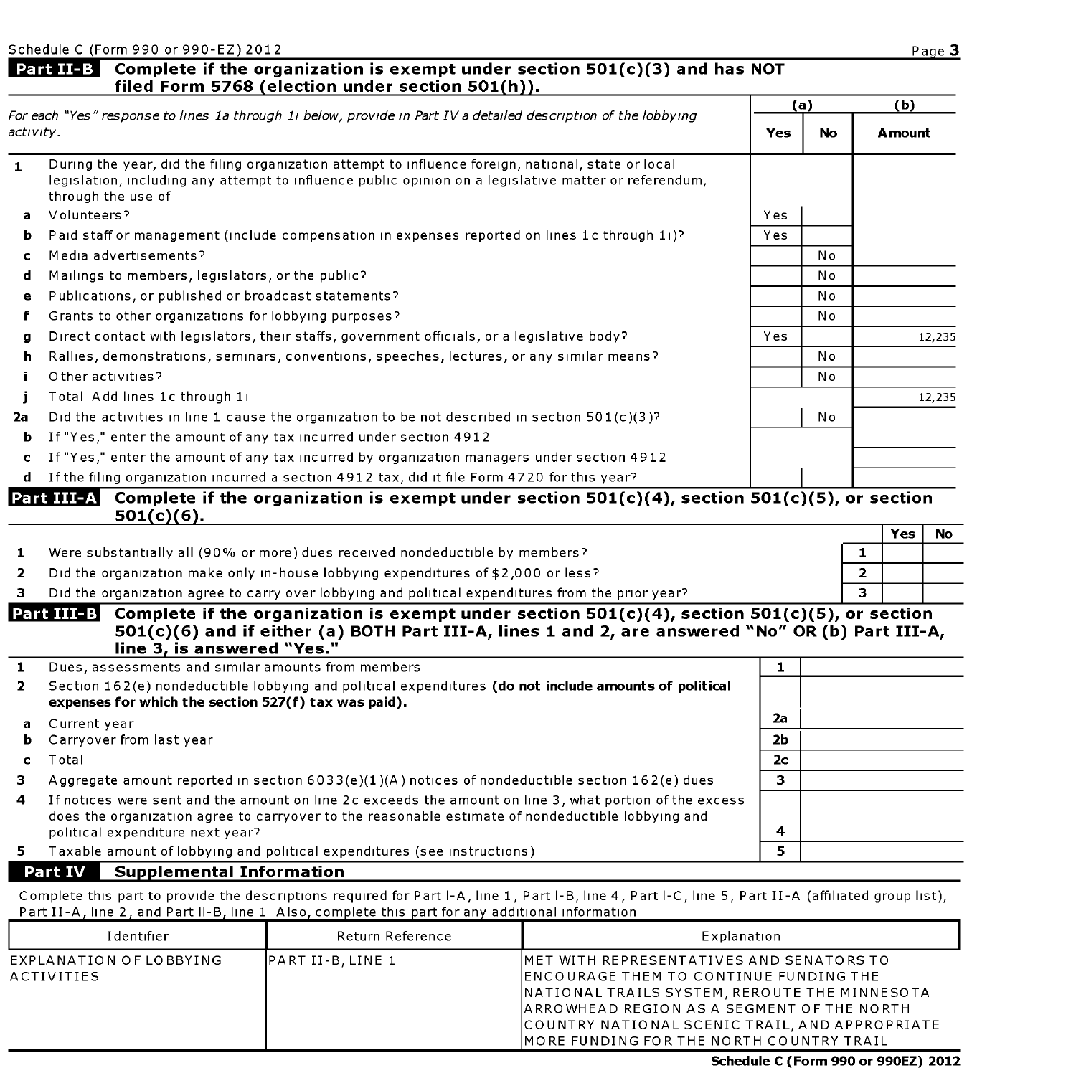#### **Part II-B** Complete if the organization is exempt under section 501(c)(3) and has NOT **filed Form 5768 (election under section 501(h)).**

| For each "Yes" response to lines 1a through 1i below, provide in Part IV a detailed description of the lobbying |                                                                                                                                                                                                                                                     | (a)            |           | (b)            |               |        |
|-----------------------------------------------------------------------------------------------------------------|-----------------------------------------------------------------------------------------------------------------------------------------------------------------------------------------------------------------------------------------------------|----------------|-----------|----------------|---------------|--------|
|                                                                                                                 | activity.                                                                                                                                                                                                                                           |                | <b>No</b> |                | <b>Amount</b> |        |
| $\mathbf{1}$                                                                                                    | During the year, did the filing organization attempt to influence foreign, national, state or local<br>legislation, including any attempt to influence public opinion on a legislative matter or referendum,<br>through the use of                  |                |           |                |               |        |
| a                                                                                                               | Volunteers?                                                                                                                                                                                                                                         | Yes            |           |                |               |        |
| ь.                                                                                                              | Paid staff or management (include compensation in expenses reported on lines 1c through 11)?                                                                                                                                                        | Yes            |           |                |               |        |
| c.                                                                                                              | Media advertisements?                                                                                                                                                                                                                               |                | No        |                |               |        |
| d                                                                                                               | Mailings to members, legislators, or the public?                                                                                                                                                                                                    |                | No        |                |               |        |
| e                                                                                                               | Publications, or published or broadcast statements?                                                                                                                                                                                                 |                | No        |                |               |        |
| f                                                                                                               | Grants to other organizations for lobbying purposes?                                                                                                                                                                                                |                | No        |                |               |        |
| g                                                                                                               | Direct contact with legislators, their staffs, government officials, or a legislative body?                                                                                                                                                         | Yes            |           |                |               | 12,235 |
| h                                                                                                               | Rallies, demonstrations, seminars, conventions, speeches, lectures, or any similar means?                                                                                                                                                           |                | No        |                |               |        |
| j.                                                                                                              | O ther activities?                                                                                                                                                                                                                                  |                | No        |                |               |        |
| j.                                                                                                              | Total Add lines 1c through 11                                                                                                                                                                                                                       |                |           |                |               | 12.235 |
| 2a                                                                                                              | Did the activities in line 1 cause the organization to be not described in section $501(c)(3)$ ?                                                                                                                                                    |                | No        |                |               |        |
| ь                                                                                                               | If "Yes," enter the amount of any tax incurred under section 4912                                                                                                                                                                                   |                |           |                |               |        |
| $\mathbf{C}$                                                                                                    | If "Yes," enter the amount of any tax incurred by organization managers under section 4912                                                                                                                                                          |                |           |                |               |        |
|                                                                                                                 | d If the filing organization incurred a section 4912 tax, did it file Form 4720 for this year?                                                                                                                                                      |                |           |                |               |        |
|                                                                                                                 | Part III-A Complete if the organization is exempt under section $501(c)(4)$ , section $501(c)(5)$ , or section<br>$501(c)(6)$ .                                                                                                                     |                |           |                |               |        |
|                                                                                                                 |                                                                                                                                                                                                                                                     |                |           |                | <b>Yes</b>    | No.    |
| 1                                                                                                               | Were substantially all (90% or more) dues received nondeductible by members?                                                                                                                                                                        |                |           | $\mathbf{1}$   |               |        |
| $\overline{2}$                                                                                                  | Did the organization make only in-house lobbying expenditures of \$2,000 or less?                                                                                                                                                                   |                |           | $\overline{2}$ |               |        |
| 3                                                                                                               | Did the organization agree to carry over lobbying and political expenditures from the prior year?                                                                                                                                                   |                |           | $\mathbf{R}$   |               |        |
|                                                                                                                 | Complete if the organization is exempt under section $501(c)(4)$ , section $501(c)(5)$ , or section<br>Part III-B<br>501(c)(6) and if either (a) BOTH Part III-A, lines 1 and 2, are answered "No" OR (b) Part III-A,<br>line 3, is answered "Yes." |                |           |                |               |        |
| $\mathbf{1}$                                                                                                    | Dues, assessments and similar amounts from members                                                                                                                                                                                                  | $\mathbf{1}$   |           |                |               |        |
| $\overline{2}$                                                                                                  | Section 162(e) nondeductible lobbying and political expenditures (do not include amounts of political<br>expenses for which the section 527(f) tax was paid).                                                                                       |                |           |                |               |        |
| а                                                                                                               | Current year                                                                                                                                                                                                                                        | 2a             |           |                |               |        |
| b                                                                                                               | Carryover from last year                                                                                                                                                                                                                            | 2b             |           |                |               |        |
| $\mathbf{C}$                                                                                                    | Total                                                                                                                                                                                                                                               | 2 <sub>c</sub> |           |                |               |        |
| 3                                                                                                               | Aggregate amount reported in section $6033(e)(1)(A)$ notices of nondeductible section $162(e)$ dues                                                                                                                                                 | 3.             |           |                |               |        |
| 4                                                                                                               | If notices were sent and the amount on line 2c exceeds the amount on line 3, what portion of the excess<br>does the organization agree to carryover to the reasonable estimate of nondeductible lobbying and<br>political expenditure next year?    | 4              |           |                |               |        |
| 5.                                                                                                              | Taxable amount of lobbying and political expenditures (see instructions)                                                                                                                                                                            | 5              |           |                |               |        |
|                                                                                                                 | Part IV<br><b>Supplemental Information</b>                                                                                                                                                                                                          |                |           |                |               |        |

Complete this part to provide the descriptions required for Part I-A, line 1, Part I-B, line 4, Part I-C, line 5, Part II-A (affiliated group list), Part II-A, line 2, and Part II-B, line 1 Also, complete this part for any additional information

| Identifier                            | Return Reference          | Explanation                                                                                                                                                                                                                                                                               |
|---------------------------------------|---------------------------|-------------------------------------------------------------------------------------------------------------------------------------------------------------------------------------------------------------------------------------------------------------------------------------------|
| EXPLANATION OF LOBBYING<br>ACTIVITIES | <b>IPART II-B. LINE 1</b> | IMET WITH REPRESENTATIVES AND SENATORS TO<br><b>IENCOURAGE THEM TO CONTINUE FUNDING THE</b><br>NATIONAL TRAILS SYSTEM, REROUTE THE MINNESOTA<br>ARROWHEAD REGION AS A SEGMENT OF THE NORTH<br>COUNTRY NATIONAL SCENIC TRAIL, AND APPROPRIATE<br>IMORE FUNDING FOR THE NORTH COUNTRY TRAIL |

**Schedule C (Form 990 or 990EZ) 2012**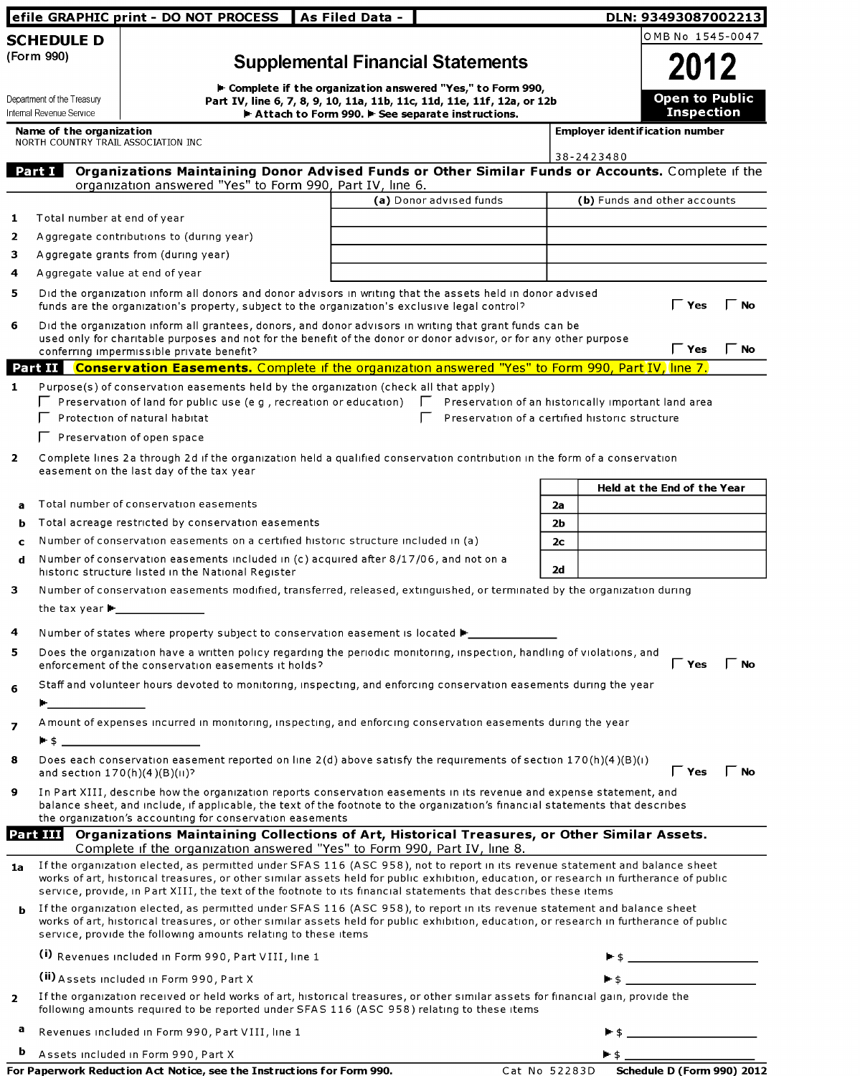|                                                        | efile GRAPHIC print - DO NOT PROCESS                                                                                                                                                                                                                                                                                                                                                       | As Filed Data - |                                                             |                | DLN: 93493087002213                                                                                   |
|--------------------------------------------------------|--------------------------------------------------------------------------------------------------------------------------------------------------------------------------------------------------------------------------------------------------------------------------------------------------------------------------------------------------------------------------------------------|-----------------|-------------------------------------------------------------|----------------|-------------------------------------------------------------------------------------------------------|
| <b>SCHEDULE D</b>                                      |                                                                                                                                                                                                                                                                                                                                                                                            |                 |                                                             |                | OMB No 1545-0047                                                                                      |
| (Form 990)                                             |                                                                                                                                                                                                                                                                                                                                                                                            |                 | <b>Supplemental Financial Statements</b>                    |                | 2012                                                                                                  |
|                                                        |                                                                                                                                                                                                                                                                                                                                                                                            |                 | ► Complete if the organization answered "Yes," to Form 990, |                |                                                                                                       |
| Department of the Treasury<br>Internal Revenue Service | Part IV, line 6, 7, 8, 9, 10, 11a, 11b, 11c, 11d, 11e, 11f, 12a, or 12b                                                                                                                                                                                                                                                                                                                    |                 | Attach to Form 990. F See separate instructions.            |                | <b>Open to Public</b><br><b>Inspection</b>                                                            |
| Name of the organization                               |                                                                                                                                                                                                                                                                                                                                                                                            |                 |                                                             |                | <b>Employer ident if ication number</b>                                                               |
| NORTH COUNTRY TRAIL ASSOCIATION INC                    |                                                                                                                                                                                                                                                                                                                                                                                            |                 |                                                             |                | 38-2423480                                                                                            |
| Part I                                                 | Organizations Maintaining Donor Advised Funds or Other Similar Funds or Accounts. Complete if the                                                                                                                                                                                                                                                                                          |                 |                                                             |                |                                                                                                       |
|                                                        | organization answered "Yes" to Form 990, Part IV, line 6.                                                                                                                                                                                                                                                                                                                                  |                 | (a) Donor advised funds                                     |                | (b) Funds and other accounts                                                                          |
| Total number at end of year<br>1                       |                                                                                                                                                                                                                                                                                                                                                                                            |                 |                                                             |                |                                                                                                       |
| 2                                                      | Aggregate contributions to (during year)                                                                                                                                                                                                                                                                                                                                                   |                 |                                                             |                |                                                                                                       |
| 3.                                                     | Aggregate grants from (during year)                                                                                                                                                                                                                                                                                                                                                        |                 |                                                             |                |                                                                                                       |
| Aggregate value at end of year<br>4                    |                                                                                                                                                                                                                                                                                                                                                                                            |                 |                                                             |                |                                                                                                       |
| 5                                                      | Did the organization inform all donors and donor advisors in writing that the assets held in donor advised<br>funds are the organization's property, subject to the organization's exclusive legal control?                                                                                                                                                                                |                 |                                                             |                | l Yes<br><b>No</b>                                                                                    |
| 6                                                      | Did the organization inform all grantees, donors, and donor advisors in writing that grant funds can be<br>used only for charitable purposes and not for the benefit of the donor or donor advisor, or for any other purpose<br>conferring impermissible private benefit?                                                                                                                  |                 |                                                             |                | $\mathsf \Gamma$ Yes<br>$\Gamma$ No                                                                   |
|                                                        | Part II Conservation Easements. Complete if the organization answered "Yes" to Form 990, Part IV, line 7.                                                                                                                                                                                                                                                                                  |                 |                                                             |                |                                                                                                       |
| $\mathbf{1}$                                           | Purpose(s) of conservation easements held by the organization (check all that apply)                                                                                                                                                                                                                                                                                                       |                 |                                                             |                |                                                                                                       |
|                                                        | $\Box$ Preservation of land for public use (e g , recreation or education)<br>$\overline{\phantom{a}}$ Protection of natural habitat                                                                                                                                                                                                                                                       |                 |                                                             |                | Preservation of an historically important land area<br>Preservation of a certified historic structure |
|                                                        | $\Gamma$ Preservation of open space                                                                                                                                                                                                                                                                                                                                                        |                 |                                                             |                |                                                                                                       |
| $\mathbf{2}$                                           |                                                                                                                                                                                                                                                                                                                                                                                            |                 |                                                             |                |                                                                                                       |
|                                                        | Complete lines 2a through 2d if the organization held a qualified conservation contribution in the form of a conservation<br>easement on the last day of the tax year                                                                                                                                                                                                                      |                 |                                                             |                | <b>Held at the End of the Year</b>                                                                    |
| а                                                      | Total number of conservation easements                                                                                                                                                                                                                                                                                                                                                     |                 |                                                             | 2a             |                                                                                                       |
| b                                                      | Total acreage restricted by conservation easements                                                                                                                                                                                                                                                                                                                                         |                 |                                                             | 2 <sub>b</sub> |                                                                                                       |
| C                                                      | Number of conservation easements on a certified historic structure included in (a)                                                                                                                                                                                                                                                                                                         |                 |                                                             | 2 <sub>c</sub> |                                                                                                       |
| d                                                      | Number of conservation easements included in (c) acquired after 8/17/06, and not on a<br>historic structure listed in the National Register                                                                                                                                                                                                                                                |                 |                                                             | 2d             |                                                                                                       |
| 3                                                      | Number of conservation easements modified, transferred, released, extinguished, or terminated by the organization during<br>the tax year $\blacktriangleright$                                                                                                                                                                                                                             |                 |                                                             |                |                                                                                                       |
| 4                                                      | Number of states where property subject to conservation easement is located ▶ _____________________                                                                                                                                                                                                                                                                                        |                 |                                                             |                |                                                                                                       |
| 5                                                      | Does the organization have a written policy regarding the periodic monitoring, inspection, handling of violations, and<br>enforcement of the conservation easements it holds?                                                                                                                                                                                                              |                 |                                                             |                | $\mathsf \Gamma$ Yes<br>$\Gamma$ No                                                                   |
| 6<br>$\blacksquare$                                    | Staff and volunteer hours devoted to monitoring, inspecting, and enforcing conservation easements during the year                                                                                                                                                                                                                                                                          |                 |                                                             |                |                                                                                                       |
| $\overline{ }$                                         | A mount of expenses incurred in monitoring, inspecting, and enforcing conservation easements during the year<br>$-5$ $-2$                                                                                                                                                                                                                                                                  |                 |                                                             |                |                                                                                                       |
| 8<br>and section $170(h)(4)(B)(H)$ ?                   | Does each conservation easement reported on line 2(d) above satisfy the requirements of section 170(h)(4)(B)(i)                                                                                                                                                                                                                                                                            |                 |                                                             |                | $\mathsf{\Gamma}$ Yes<br>l No                                                                         |
| 9                                                      | In Part XIII, describe how the organization reports conservation easements in its revenue and expense statement, and<br>balance sheet, and include, if applicable, the text of the footnote to the organization's financial statements that describes<br>the organization's accounting for conservation easements                                                                          |                 |                                                             |                |                                                                                                       |
|                                                        | <b>Part III</b> Organizations Maintaining Collections of Art, Historical Treasures, or Other Similar Assets.                                                                                                                                                                                                                                                                               |                 |                                                             |                |                                                                                                       |
|                                                        | Complete if the organization answered "Yes" to Form 990, Part IV, line 8.                                                                                                                                                                                                                                                                                                                  |                 |                                                             |                |                                                                                                       |
| 1a                                                     | If the organization elected, as permitted under SFAS 116 (ASC 958), not to report in its revenue statement and balance sheet<br>works of art, historical treasures, or other similar assets held for public exhibition, education, or research in furtherance of public<br>service, provide, in Part XIII, the text of the footnote to its financial statements that describes these items |                 |                                                             |                |                                                                                                       |
| b                                                      | If the organization elected, as permitted under SFAS 116 (ASC 958), to report in its revenue statement and balance sheet<br>works of art, historical treasures, or other similar assets held for public exhibition, education, or research in furtherance of public<br>service, provide the following amounts relating to these items                                                      |                 |                                                             |                |                                                                                                       |
|                                                        | (i) Revenues included in Form 990, Part VIII, line 1                                                                                                                                                                                                                                                                                                                                       |                 |                                                             |                |                                                                                                       |
|                                                        | (ii) Assets included in Form 990, Part X                                                                                                                                                                                                                                                                                                                                                   |                 |                                                             |                |                                                                                                       |
| $\mathbf{2}$                                           | If the organization received or held works of art, historical treasures, or other similar assets for financial gain, provide the<br>following amounts required to be reported under SFAS 116 (ASC 958) relating to these items                                                                                                                                                             |                 |                                                             |                |                                                                                                       |
| a                                                      | Revenues included in Form 990, Part VIII, line 1                                                                                                                                                                                                                                                                                                                                           |                 |                                                             |                |                                                                                                       |
| b                                                      | Assets included in Form 990, Part X                                                                                                                                                                                                                                                                                                                                                        |                 |                                                             |                | <u> 1990 - Johann Barbara, martxa a</u>                                                               |

| For Paperwork Reduction Act Notice, see the Instructions for Form 990. |  |  |
|------------------------------------------------------------------------|--|--|
|                                                                        |  |  |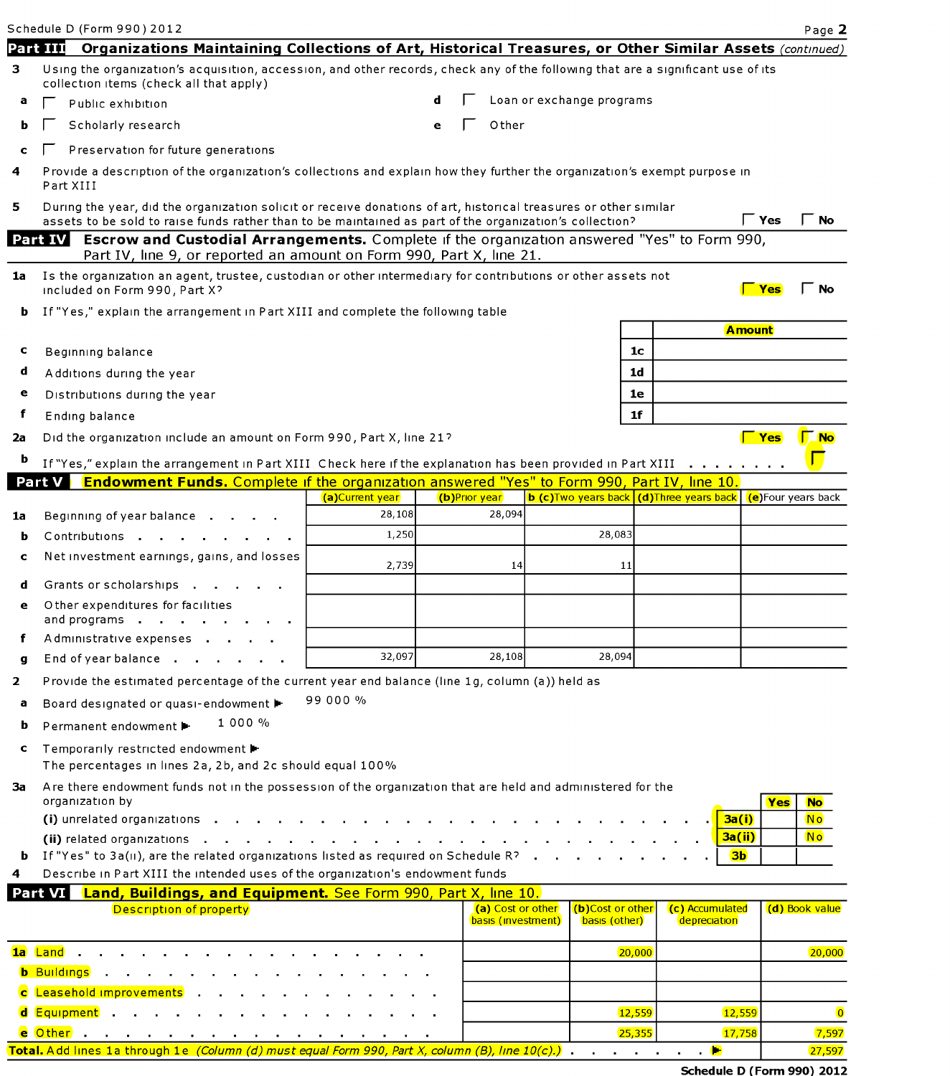|              | Schedule D (Form 990) 2012                                                                                                                                                                                                  |                 |   |                                         |                                   |                                                                    | Page 2           |
|--------------|-----------------------------------------------------------------------------------------------------------------------------------------------------------------------------------------------------------------------------|-----------------|---|-----------------------------------------|-----------------------------------|--------------------------------------------------------------------|------------------|
|              | Organizations Maintaining Collections of Art, Historical Treasures, or Other Similar Assets (continued)<br>Part III                                                                                                         |                 |   |                                         |                                   |                                                                    |                  |
| 3.           | Using the organization's acquisition, accession, and other records, check any of the following that are a significant use of its<br>collection items (check all that apply)                                                 |                 |   |                                         |                                   |                                                                    |                  |
| а            | Public exhibition                                                                                                                                                                                                           |                 |   |                                         | Loan or exchange programs         |                                                                    |                  |
|              | Scholarly research                                                                                                                                                                                                          |                 | е | Other                                   |                                   |                                                                    |                  |
|              | Preservation for future generations                                                                                                                                                                                         |                 |   |                                         |                                   |                                                                    |                  |
| 4            | Provide a description of the organization's collections and explain how they further the organization's exempt purpose in<br>Part XIII                                                                                      |                 |   |                                         |                                   |                                                                    |                  |
| 5.           | During the year, did the organization solicit or receive donations of art, historical treasures or other similar<br>assets to be sold to raise funds rather than to be maintained as part of the organization's collection? |                 |   |                                         |                                   | Γ Yes                                                              | <b>No</b>        |
|              | <b>Escrow and Custodial Arrangements.</b> Complete if the organization answered "Yes" to Form 990,<br>Part IV<br>Part IV, line 9, or reported an amount on Form 990, Part X, line 21.                                       |                 |   |                                         |                                   |                                                                    |                  |
| 1a           | Is the organization an agent, trustee, custodian or other intermediary for contributions or other assets not<br>Included on Form 990, Part X?                                                                               |                 |   |                                         |                                   |                                                                    | <b>No</b>        |
| b            | If "Yes," explain the arrangement in Part XIII and complete the following table                                                                                                                                             |                 |   |                                         |                                   |                                                                    |                  |
|              |                                                                                                                                                                                                                             |                 |   |                                         |                                   | <b>Amount</b>                                                      |                  |
| c            | Beginning balance                                                                                                                                                                                                           |                 |   |                                         | 1 <sub>c</sub>                    |                                                                    |                  |
| d            | Additions during the year                                                                                                                                                                                                   |                 |   |                                         | 1 <sub>d</sub>                    |                                                                    |                  |
| e            | Distributions during the year                                                                                                                                                                                               |                 |   |                                         | 1e                                |                                                                    |                  |
| f            | Ending balance                                                                                                                                                                                                              |                 |   |                                         | 1 <sub>f</sub>                    |                                                                    |                  |
| 2a           | Did the organization include an amount on Form 990, Part X, line 21?                                                                                                                                                        |                 |   |                                         |                                   | $\sqrt{ }$ Yes                                                     | <u>I No</u>      |
|              | If "Yes," explain the arrangement in Part XIII Check here if the explanation has been provided in Part XIII                                                                                                                 |                 |   |                                         |                                   | and a series and a                                                 |                  |
|              | <b>Endowment Funds.</b> Complete if the organization answered "Yes" to Form 990, Part IV, line 10.<br>Part V                                                                                                                |                 |   |                                         |                                   |                                                                    |                  |
|              |                                                                                                                                                                                                                             | (a)Current year |   | (b)Prior year                           |                                   | <b>b (c)Two years back (d)Three years back (e)</b> Four years back |                  |
| 1a           | Beginning of year balance.                                                                                                                                                                                                  | 28,108<br>1,250 |   | 28,094                                  | 28,083                            |                                                                    |                  |
| b            | Contributions                                                                                                                                                                                                               |                 |   |                                         |                                   |                                                                    |                  |
| C            | Net investment earnings, gains, and losses                                                                                                                                                                                  | 2,739           |   | 14                                      | 11                                |                                                                    |                  |
| d            | Grants or scholarships .                                                                                                                                                                                                    |                 |   |                                         |                                   |                                                                    |                  |
| e            | Other expenditures for facilities                                                                                                                                                                                           |                 |   |                                         |                                   |                                                                    |                  |
|              | and programs<br>Administrative expenses .                                                                                                                                                                                   |                 |   |                                         |                                   |                                                                    |                  |
| g            | End of year balance                                                                                                                                                                                                         | 32,097          |   | 28,108                                  | 28,094                            |                                                                    |                  |
| $\mathbf{2}$ | Provide the estimated percentage of the current year end balance (line 1g, column (a)) held as                                                                                                                              |                 |   |                                         |                                   |                                                                    |                  |
| а            | Board designated or quasi-endowment                                                                                                                                                                                         | 99 000 %        |   |                                         |                                   |                                                                    |                  |
|              | $1000\%$                                                                                                                                                                                                                    |                 |   |                                         |                                   |                                                                    |                  |
| b            | Permanent endowment ▶                                                                                                                                                                                                       |                 |   |                                         |                                   |                                                                    |                  |
| c            | Temporarily restricted endowment ▶<br>The percentages in lines 2a, 2b, and 2c should equal 100%                                                                                                                             |                 |   |                                         |                                   |                                                                    |                  |
| За           | Are there endowment funds not in the possession of the organization that are held and administered for the<br>organization by                                                                                               |                 |   |                                         |                                   |                                                                    | Yes<br><b>No</b> |
|              | (i) unrelated organizations                                                                                                                                                                                                 |                 |   |                                         |                                   | 3a(i)                                                              | <b>No</b>        |
|              |                                                                                                                                                                                                                             |                 |   |                                         |                                   | 3a(ii)                                                             | N <sub>o</sub>   |
| b<br>4       | If "Yes" to $3a(u)$ , are the related organizations listed as required on Schedule R?<br>Describe in Part XIII the intended uses of the organization's endowment funds                                                      |                 |   |                                         |                                   | 3 <sub>b</sub>                                                     |                  |
|              | Land, Buildings, and Equipment. See Form 990, Part X, line 10.<br>Part VI                                                                                                                                                   |                 |   |                                         |                                   |                                                                    |                  |
|              | Description of property                                                                                                                                                                                                     |                 |   | (a) Cost or other<br>basis (investment) | (b)Cost or other<br>basis (other) | (c) Accumulated<br>depreciation                                    | (d) Book value   |
|              | 1a Land .                                                                                                                                                                                                                   |                 |   |                                         | 20,000                            |                                                                    | 20,000           |
|              | <b>b</b> Buildings .                                                                                                                                                                                                        |                 |   |                                         |                                   |                                                                    |                  |
|              | c Leasehold improvements                                                                                                                                                                                                    |                 |   |                                         |                                   |                                                                    |                  |
|              | <mark>Equipment</mark>                                                                                                                                                                                                      |                 |   |                                         | 12,559                            | 12,559                                                             |                  |
|              | e Other I                                                                                                                                                                                                                   |                 |   |                                         | 25,355                            | 17,758                                                             | 7,597            |

Total. Add lines 1a through 1e (Column (d) must equal Form 990, Part X, column (B), line  $10(c)$ .)  $\Box$ 

Schedule D (Form 990) 2012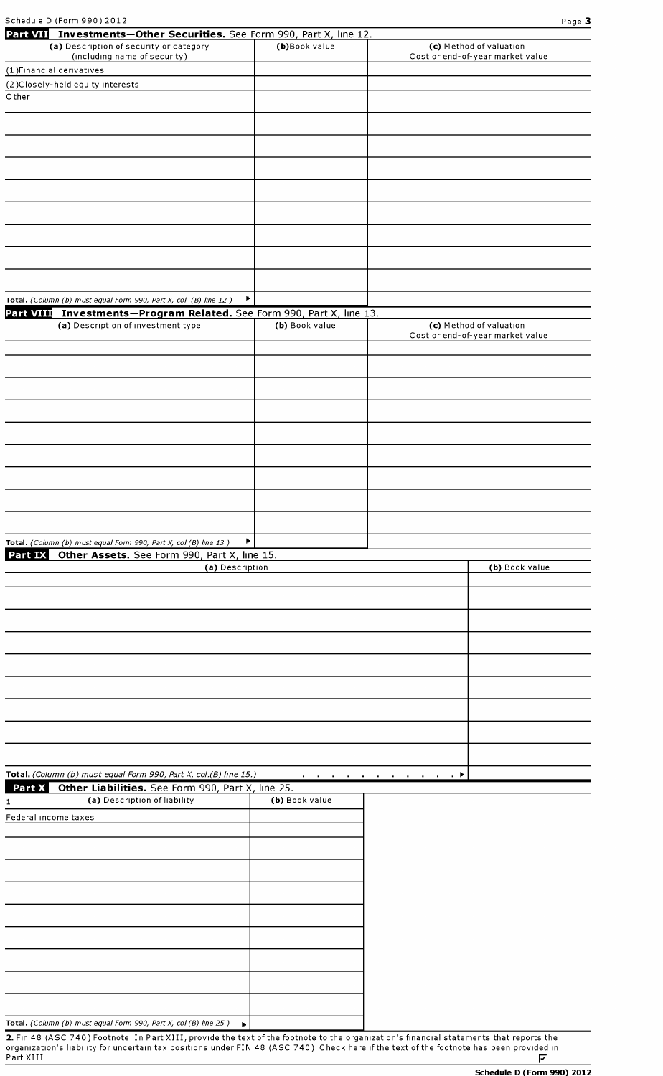| Schedule D (Form 990) 2012                                                                                       |                |                                                             | Page 3 |
|------------------------------------------------------------------------------------------------------------------|----------------|-------------------------------------------------------------|--------|
| Part VII Investments-Other Securities. See Form 990, Part X, line 12.<br>(a) Description of security or category | (b)Book value  | (c) Method of valuation                                     |        |
| (including name of security)                                                                                     |                | Cost or end-of-year market value                            |        |
| (1) Financial derivatives                                                                                        |                |                                                             |        |
| (2)Closely-held equity interests                                                                                 |                |                                                             |        |
| Other                                                                                                            |                |                                                             |        |
|                                                                                                                  |                |                                                             |        |
|                                                                                                                  |                |                                                             |        |
|                                                                                                                  |                |                                                             |        |
|                                                                                                                  |                |                                                             |        |
|                                                                                                                  |                |                                                             |        |
|                                                                                                                  |                |                                                             |        |
|                                                                                                                  |                |                                                             |        |
|                                                                                                                  |                |                                                             |        |
|                                                                                                                  |                |                                                             |        |
|                                                                                                                  |                |                                                             |        |
|                                                                                                                  |                |                                                             |        |
|                                                                                                                  |                |                                                             |        |
| Total. (Column (b) must equal Form 990, Part X, col (B) line 12)                                                 | Þ              |                                                             |        |
| Part VIII Investments-Program Related. See Form 990, Part X, line 13.                                            |                |                                                             |        |
| (a) Description of investment type                                                                               | (b) Book value | (c) Method of valuation<br>Cost or end-of-year market value |        |
|                                                                                                                  |                |                                                             |        |
|                                                                                                                  |                |                                                             |        |
|                                                                                                                  |                |                                                             |        |
|                                                                                                                  |                |                                                             |        |
|                                                                                                                  |                |                                                             |        |
|                                                                                                                  |                |                                                             |        |
|                                                                                                                  |                |                                                             |        |
|                                                                                                                  |                |                                                             |        |
|                                                                                                                  |                |                                                             |        |
|                                                                                                                  |                |                                                             |        |
|                                                                                                                  |                |                                                             |        |
|                                                                                                                  |                |                                                             |        |
|                                                                                                                  |                |                                                             |        |
| Total. (Column (b) must equal Form 990, Part X, col (B) line 13)                                                 | Þ.             |                                                             |        |
| Part IX Other Assets. See Form 990, Part X, line 15.                                                             |                |                                                             |        |
| (a) Description                                                                                                  |                | (b) Book value                                              |        |
|                                                                                                                  |                |                                                             |        |
|                                                                                                                  |                |                                                             |        |
|                                                                                                                  |                |                                                             |        |
|                                                                                                                  |                |                                                             |        |
|                                                                                                                  |                |                                                             |        |
|                                                                                                                  |                |                                                             |        |
|                                                                                                                  |                |                                                             |        |
|                                                                                                                  |                |                                                             |        |
|                                                                                                                  |                |                                                             |        |
|                                                                                                                  |                |                                                             |        |
|                                                                                                                  |                |                                                             |        |
|                                                                                                                  |                |                                                             |        |
| Total. (Column (b) must equal Form 990, Part X, col.(B) line 15.)                                                |                | _. ⊧<br>$\sim$                                              |        |
| Part X Other Liabilities. See Form 990, Part X, line 25.                                                         |                |                                                             |        |
| (a) Description of liability<br>1                                                                                | (b) Book value |                                                             |        |
| Federal income taxes                                                                                             |                |                                                             |        |
|                                                                                                                  |                |                                                             |        |
|                                                                                                                  |                |                                                             |        |
|                                                                                                                  |                |                                                             |        |
|                                                                                                                  |                |                                                             |        |
|                                                                                                                  |                |                                                             |        |
|                                                                                                                  |                |                                                             |        |
|                                                                                                                  |                |                                                             |        |
|                                                                                                                  |                |                                                             |        |

**Total.** *(Column (b) must equal Form 990, Part X, col (B) line 25)* 

2. Fin 48 (ASC 740) Footnote In Part XIII, provide the text of the footnote to the organization's financial statements that reports the organization's liability for uncertain tax positions under FIN 48 (ASC 740) Check here if the text of the footnote has been provided in<br>V Part XIII **f7**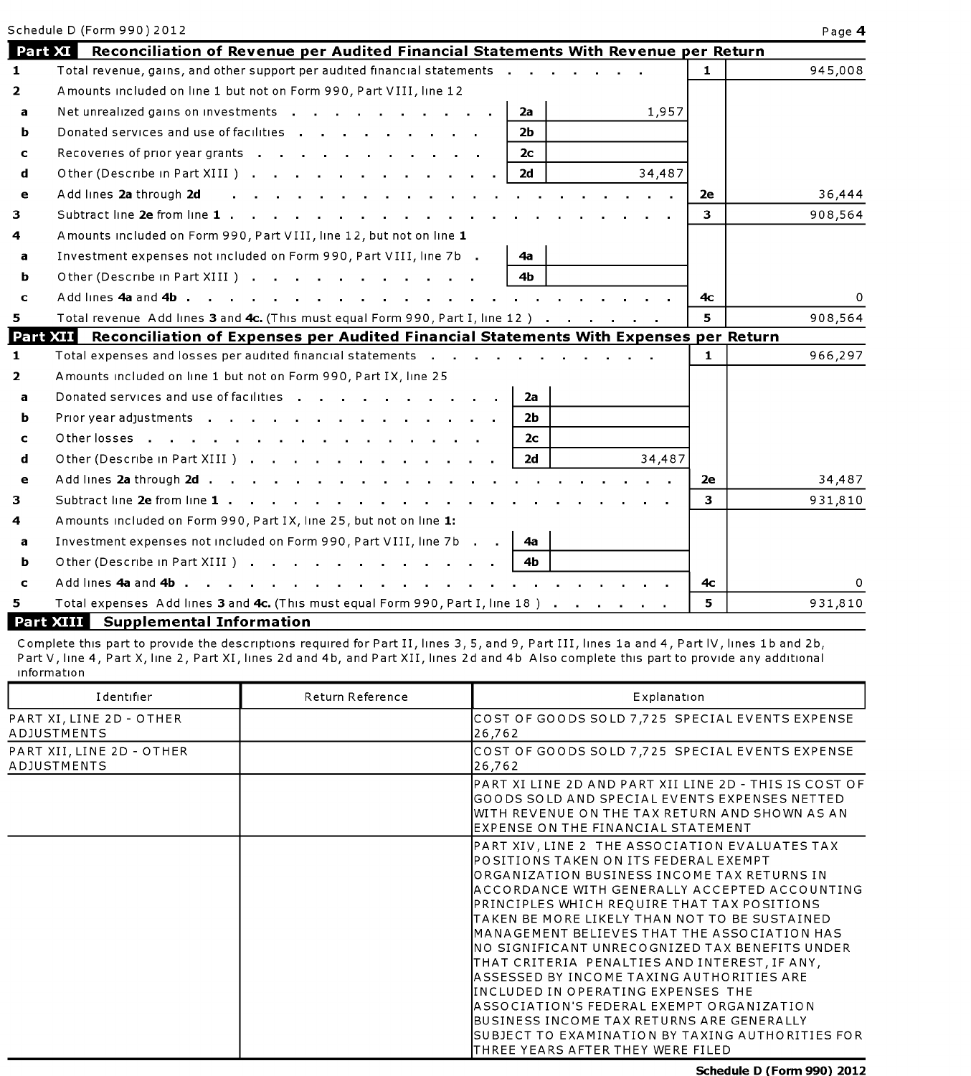|              | Schedule D (Form 990) 2012                                                                                                                                                                                                                                |             | Page 4   |
|--------------|-----------------------------------------------------------------------------------------------------------------------------------------------------------------------------------------------------------------------------------------------------------|-------------|----------|
|              | <b>Part XI</b> Reconciliation of Revenue per Audited Financial Statements With Revenue per Return                                                                                                                                                         |             |          |
| $\mathbf{1}$ | Total revenue, gains, and other support per audited financial statements                                                                                                                                                                                  | $\mathbf 1$ | 945,008  |
| $\mathbf{2}$ | Amounts included on line 1 but not on Form 990, Part VIII, line 12                                                                                                                                                                                        |             |          |
| a            | Net unrealized gains on investments<br>2a<br>1,957                                                                                                                                                                                                        |             |          |
| ь            | Donated services and use of facilities<br>2 <sub>b</sub>                                                                                                                                                                                                  |             |          |
| $\mathbf c$  | 2с                                                                                                                                                                                                                                                        |             |          |
| d            | Other (Describe in Part XIII)<br>34,487<br>2d                                                                                                                                                                                                             |             |          |
| e            | Add lines 2a through 2d<br>and a strong control of the state of the state of the state of the state of the state of the state of the state of the state of the state of the state of the state of the state of the state of the state of the state of the | 2e          | 36,444   |
| з.           | Subtract line 2e from line 1                                                                                                                                                                                                                              | З.          | 908,564  |
| 4            | Amounts included on Form 990, Part VIII, line 12, but not on line 1                                                                                                                                                                                       |             |          |
| a            | Investment expenses not included on Form 990, Part VIII, line 7b.<br>4а                                                                                                                                                                                   |             |          |
| ь            | 4 <sub>b</sub><br>Other (Describe in Part XIII )                                                                                                                                                                                                          |             |          |
| c            |                                                                                                                                                                                                                                                           | 4с.         | $\Omega$ |
| 5.           | Total revenue Add lines 3 and 4c. (This must equal Form 990, Part I, line 12)                                                                                                                                                                             | 5           | 908,564  |
|              | <b>Part XII</b><br>Reconciliation of Expenses per Audited Financial Statements With Expenses per Return                                                                                                                                                   |             |          |
| $\mathbf 1$  | Total expenses and losses per audited financial statements                                                                                                                                                                                                | 1.          | 966,297  |
| $\mathbf{2}$ | Amounts included on line 1 but not on Form 990, Part IX, line 25                                                                                                                                                                                          |             |          |
| a            | Donated services and use of facilities<br>2a                                                                                                                                                                                                              |             |          |
| ь            | 2Ь.                                                                                                                                                                                                                                                       |             |          |
| c            | Other losses<br>2c                                                                                                                                                                                                                                        |             |          |
| d            | Other (Describe in Part XIII )<br>2d<br>34,487                                                                                                                                                                                                            |             |          |
| e            |                                                                                                                                                                                                                                                           | 2е          | 34,487   |
| з.           |                                                                                                                                                                                                                                                           | з.          | 931,810  |
| 4            | A mounts included on Form 990, Part IX, line 25, but not on line 1:                                                                                                                                                                                       |             |          |
| a            | Investment expenses not included on Form 990, Part VIII, line 7b<br>4a                                                                                                                                                                                    |             |          |
| ь            | Other (Describe in Part XIII)<br>4 <sub>b</sub>                                                                                                                                                                                                           |             |          |
| c            |                                                                                                                                                                                                                                                           | 4с          |          |
| 5.           | Total expenses Add lines 3 and 4c. (This must equal Form 990, Part I, line 18)                                                                                                                                                                            | 5.          | 931,810  |

### **Part XIII Supplemental Information**

Complete this part to provide the descriptions required for Part II, lines 3, 5, and 9, Part III, lines 1a and 4, Part IV, lines 1b and 2b, Part V, line 4, Part X, line 2, Part XI, lines 2d and 4b, and Part XII, lines 2d and 4b Also complete this part to provide any additional 1nformat1on

| Identifier                                     | Return Reference | Explanation                                                                                                                                                                                                                                                                                                                                                                                                                                                                                                                                                                                                                                                                                                                                |
|------------------------------------------------|------------------|--------------------------------------------------------------------------------------------------------------------------------------------------------------------------------------------------------------------------------------------------------------------------------------------------------------------------------------------------------------------------------------------------------------------------------------------------------------------------------------------------------------------------------------------------------------------------------------------------------------------------------------------------------------------------------------------------------------------------------------------|
| PART XI, LINE 2D - OTHER<br><b>ADJUSTMENTS</b> |                  | COST OF GOODS SOLD 7,725 SPECIAL EVENTS EXPENSE<br>26,762                                                                                                                                                                                                                                                                                                                                                                                                                                                                                                                                                                                                                                                                                  |
| PART XII, LINE 2D - OTHER<br>ADJUSTMENTS       |                  | COST OF GOODS SOLD 7,725 SPECIAL EVENTS EXPENSE<br>26,762                                                                                                                                                                                                                                                                                                                                                                                                                                                                                                                                                                                                                                                                                  |
|                                                |                  | IPART XI LINE 2D AND PART XII LINE 2D - THIS IS COST OF<br>IGOODS SOLD AND SPECIAL EVENTS EXPENSES NETTED<br>IWITH REVENUE ON THE TAX RETURN AND SHOWN AS AN<br>IEXPENSE ON THE FINANCIAL STATEMENT                                                                                                                                                                                                                                                                                                                                                                                                                                                                                                                                        |
|                                                |                  | PART XIV, LINE 2 THE ASSOCIATION EVALUATES TAX<br>POSITIONS TAKEN ON ITS FEDERAL EXEMPT<br>IORGANIZATION BUSINESS INCOME TAX RETURNS IN<br>IACCORDANCE WITH GENERALLY ACCEPTED ACCOUNTING<br>PRINCIPLES WHICH REQUIRE THAT TAX POSITIONS<br>ITAKEN BE MORE LIKELY THAN NOT TO BE SUSTAINED<br>IMANAGEMENT BELIEVES THAT THE ASSOCIATION HAS<br>INO SIGNIFICANT UNRECOGNIZED TAX BENEFITS UNDER<br>THAT CRITERIA PENALTIES AND INTEREST, IF ANY,<br>lASSESSED BY INCOME TAXING AUTHORITIES ARE<br>IINCLUDED IN OPERATING EXPENSES THE<br>IASSOCIATION'S FEDERAL EXEMPT ORGANIZATION<br><b>IBUSINESS INCOME TAX RETURNS ARE GENERALLY</b><br><b>I</b> SUBJECT TO EXAMINATION BY TAXING AUTHORITIES FOR<br>ITHREE YEARS AFTER THEY WERE FILED |

**Schedule D (Form 990) 2012**